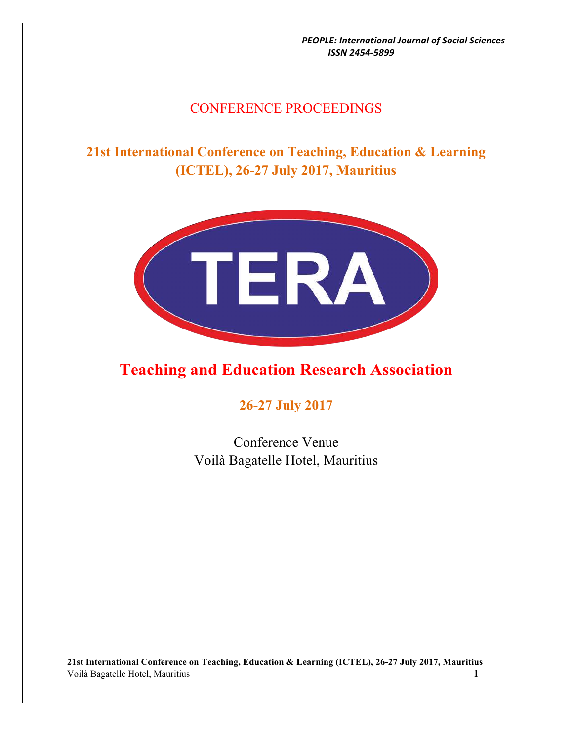## CONFERENCE PROCEEDINGS

## **21st International Conference on Teaching, Education & Learning (ICTEL), 26-27 July 2017, Mauritius**



# **Teaching and Education Research Association**

## **26-27 July 2017**

Conference Venue Voilà Bagatelle Hotel, Mauritius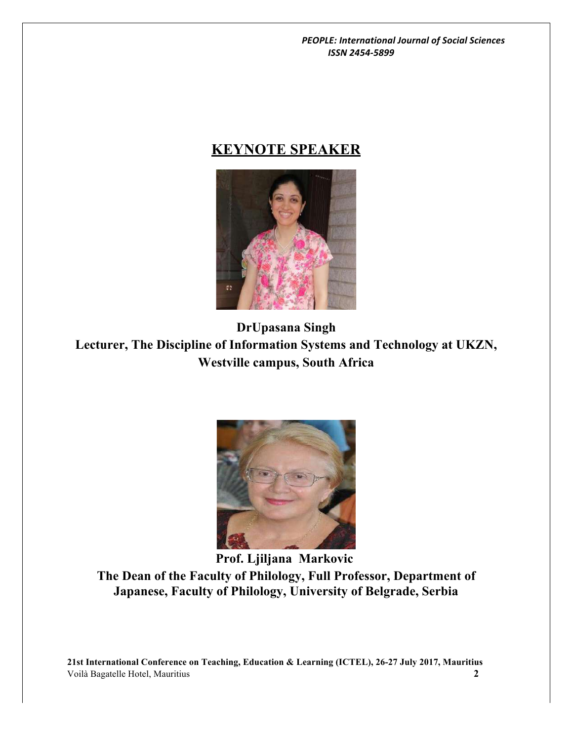## **KEYNOTE SPEAKER**



**DrUpasana Singh Lecturer, The Discipline of Information Systems and Technology at UKZN, Westville campus, South Africa**



**Prof. Ljiljana Markovic The Dean of the Faculty of Philology, Full Professor, Department of Japanese, Faculty of Philology, University of Belgrade, Serbia**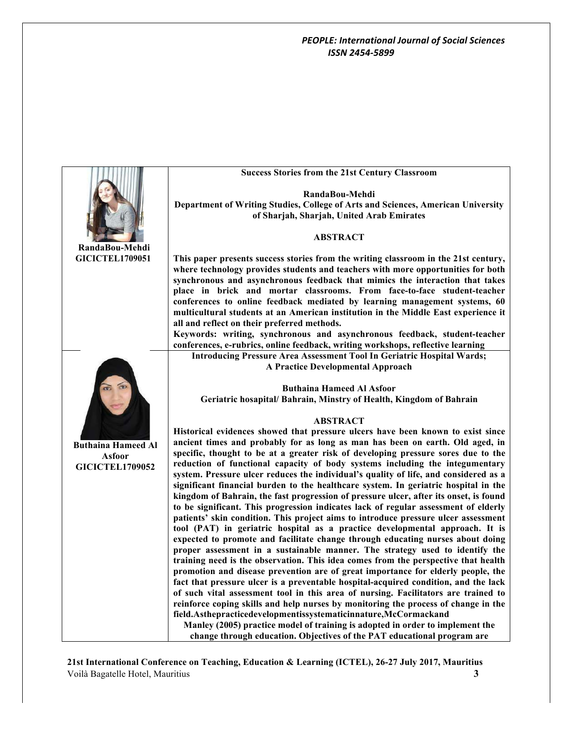|                           | <b>Success Stories from the 21st Century Classroom</b>                                                                                                           |
|---------------------------|------------------------------------------------------------------------------------------------------------------------------------------------------------------|
|                           | RandaBou-Mehdi                                                                                                                                                   |
|                           | Department of Writing Studies, College of Arts and Sciences, American University                                                                                 |
|                           | of Sharjah, Sharjah, United Arab Emirates                                                                                                                        |
|                           |                                                                                                                                                                  |
|                           | <b>ABSTRACT</b>                                                                                                                                                  |
| RandaBou-Mehdi            |                                                                                                                                                                  |
| <b>GICICTEL1709051</b>    | This paper presents success stories from the writing classroom in the 21st century,                                                                              |
|                           | where technology provides students and teachers with more opportunities for both                                                                                 |
|                           | synchronous and asynchronous feedback that mimics the interaction that takes                                                                                     |
|                           | place in brick and mortar classrooms. From face-to-face student-teacher                                                                                          |
|                           | conferences to online feedback mediated by learning management systems, 60                                                                                       |
|                           | multicultural students at an American institution in the Middle East experience it                                                                               |
|                           | all and reflect on their preferred methods.                                                                                                                      |
|                           | Keywords: writing, synchronous and asynchronous feedback, student-teacher                                                                                        |
|                           | conferences, e-rubrics, online feedback, writing workshops, reflective learning                                                                                  |
|                           | <b>Introducing Pressure Area Assessment Tool In Geriatric Hospital Wards;</b>                                                                                    |
|                           | <b>A Practice Developmental Approach</b>                                                                                                                         |
|                           |                                                                                                                                                                  |
|                           | <b>Buthaina Hameed Al Asfoor</b>                                                                                                                                 |
|                           | Geriatric hosapital/ Bahrain, Minstry of Health, Kingdom of Bahrain                                                                                              |
|                           |                                                                                                                                                                  |
|                           | <b>ABSTRACT</b>                                                                                                                                                  |
|                           | Historical evidences showed that pressure ulcers have been known to exist since<br>ancient times and probably for as long as man has been on earth. Old aged, in |
| <b>Buthaina Hameed Al</b> | specific, thought to be at a greater risk of developing pressure sores due to the                                                                                |
| Asfoor                    | reduction of functional capacity of body systems including the integumentary                                                                                     |
| <b>GICICTEL1709052</b>    | system. Pressure ulcer reduces the individual's quality of life, and considered as a                                                                             |
|                           | significant financial burden to the healthcare system. In geriatric hospital in the                                                                              |
|                           | kingdom of Bahrain, the fast progression of pressure ulcer, after its onset, is found                                                                            |
|                           | to be significant. This progression indicates lack of regular assessment of elderly                                                                              |
|                           | patients' skin condition. This project aims to introduce pressure ulcer assessment                                                                               |
|                           | tool (PAT) in geriatric hospital as a practice developmental approach. It is                                                                                     |
|                           | expected to promote and facilitate change through educating nurses about doing                                                                                   |
|                           | proper assessment in a sustainable manner. The strategy used to identify the                                                                                     |
|                           | training need is the observation. This idea comes from the perspective that health                                                                               |
|                           | promotion and disease prevention are of great importance for elderly people, the                                                                                 |
|                           | fact that pressure ulcer is a preventable hospital-acquired condition, and the lack                                                                              |
|                           | of such vital assessment tool in this area of nursing. Facilitators are trained to                                                                               |
|                           | reinforce coping skills and help nurses by monitoring the process of change in the                                                                               |
|                           | field.Asthepracticedevelopmentissystematicinnature,McCormackand                                                                                                  |
|                           | Manley (2005) practice model of training is adopted in order to implement the                                                                                    |
|                           | change through education. Objectives of the PAT educational program are                                                                                          |
|                           |                                                                                                                                                                  |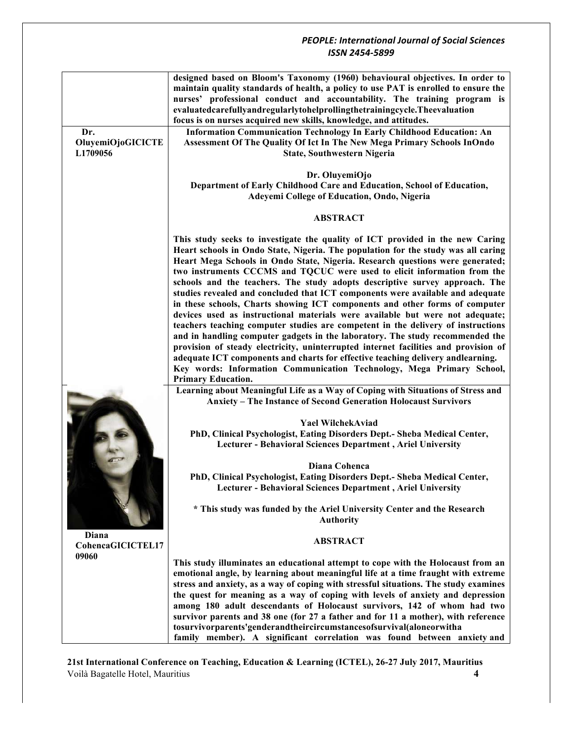|                                             | designed based on Bloom's Taxonomy (1960) behavioural objectives. In order to<br>maintain quality standards of health, a policy to use PAT is enrolled to ensure the<br>nurses' professional conduct and accountability. The training program is<br>evaluatedcarefullyandregularlytohelprollingthetrainingcycle.Theevaluation<br>focus is on nurses acquired new skills, knowledge, and attitudes.                                                                                                                                                                                                                                                                                                                                                                                                                                                                                                                                                                                                                                                                                                                    |
|---------------------------------------------|-----------------------------------------------------------------------------------------------------------------------------------------------------------------------------------------------------------------------------------------------------------------------------------------------------------------------------------------------------------------------------------------------------------------------------------------------------------------------------------------------------------------------------------------------------------------------------------------------------------------------------------------------------------------------------------------------------------------------------------------------------------------------------------------------------------------------------------------------------------------------------------------------------------------------------------------------------------------------------------------------------------------------------------------------------------------------------------------------------------------------|
| Dr.<br><b>OluyemiOjoGICICTE</b><br>L1709056 | Information Communication Technology In Early Childhood Education: An<br>Assessment Of The Quality Of Ict In The New Mega Primary Schools InOndo<br><b>State, Southwestern Nigeria</b>                                                                                                                                                                                                                                                                                                                                                                                                                                                                                                                                                                                                                                                                                                                                                                                                                                                                                                                                |
|                                             | Dr. OluyemiOjo<br>Department of Early Childhood Care and Education, School of Education,<br>Adeyemi College of Education, Ondo, Nigeria                                                                                                                                                                                                                                                                                                                                                                                                                                                                                                                                                                                                                                                                                                                                                                                                                                                                                                                                                                               |
|                                             | <b>ABSTRACT</b>                                                                                                                                                                                                                                                                                                                                                                                                                                                                                                                                                                                                                                                                                                                                                                                                                                                                                                                                                                                                                                                                                                       |
|                                             | This study seeks to investigate the quality of ICT provided in the new Caring<br>Heart schools in Ondo State, Nigeria. The population for the study was all caring<br>Heart Mega Schools in Ondo State, Nigeria. Research questions were generated;<br>two instruments CCCMS and TQCUC were used to elicit information from the<br>schools and the teachers. The study adopts descriptive survey approach. The<br>studies revealed and concluded that ICT components were available and adequate<br>in these schools, Charts showing ICT components and other forms of computer<br>devices used as instructional materials were available but were not adequate;<br>teachers teaching computer studies are competent in the delivery of instructions<br>and in handling computer gadgets in the laboratory. The study recommended the<br>provision of steady electricity, uninterrupted internet facilities and provision of<br>adequate ICT components and charts for effective teaching delivery andlearning.<br>Key words: Information Communication Technology, Mega Primary School,<br><b>Primary Education.</b> |
|                                             | Learning about Meaningful Life as a Way of Coping with Situations of Stress and<br><b>Anxiety - The Instance of Second Generation Holocaust Survivors</b>                                                                                                                                                                                                                                                                                                                                                                                                                                                                                                                                                                                                                                                                                                                                                                                                                                                                                                                                                             |
|                                             | <b>Yael WilchekAviad</b><br>PhD, Clinical Psychologist, Eating Disorders Dept.- Sheba Medical Center,<br>Lecturer - Behavioral Sciences Department, Ariel University                                                                                                                                                                                                                                                                                                                                                                                                                                                                                                                                                                                                                                                                                                                                                                                                                                                                                                                                                  |
|                                             | Diana Cohenca                                                                                                                                                                                                                                                                                                                                                                                                                                                                                                                                                                                                                                                                                                                                                                                                                                                                                                                                                                                                                                                                                                         |
|                                             | PhD, Clinical Psychologist, Eating Disorders Dept.- Sheba Medical Center,<br>Lecturer - Behavioral Sciences Department, Ariel University                                                                                                                                                                                                                                                                                                                                                                                                                                                                                                                                                                                                                                                                                                                                                                                                                                                                                                                                                                              |
|                                             | * This study was funded by the Ariel University Center and the Research<br><b>Authority</b>                                                                                                                                                                                                                                                                                                                                                                                                                                                                                                                                                                                                                                                                                                                                                                                                                                                                                                                                                                                                                           |
| Diana<br>CohencaGICICTEL17                  | <b>ABSTRACT</b>                                                                                                                                                                                                                                                                                                                                                                                                                                                                                                                                                                                                                                                                                                                                                                                                                                                                                                                                                                                                                                                                                                       |
| 09060                                       | This study illuminates an educational attempt to cope with the Holocaust from an<br>emotional angle, by learning about meaningful life at a time fraught with extreme<br>stress and anxiety, as a way of coping with stressful situations. The study examines<br>the quest for meaning as a way of coping with levels of anxiety and depression<br>among 180 adult descendants of Holocaust survivors, 142 of whom had two<br>survivor parents and 38 one (for 27 a father and for 11 a mother), with reference<br>tosurvivorparents'genderandtheircircumstancesofsurvival(aloneorwitha<br>family member). A significant correlation was found between anxiety and                                                                                                                                                                                                                                                                                                                                                                                                                                                    |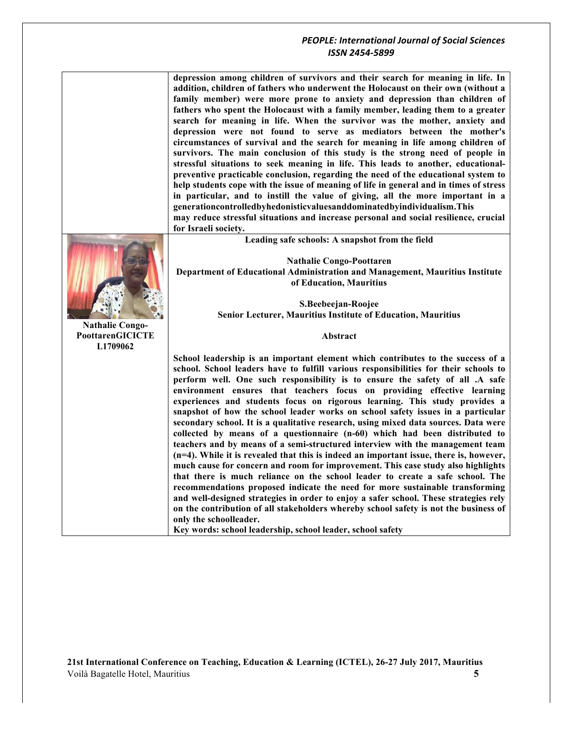**depression among children of survivors and their search for meaning in life. In addition, children of fathers who underwent the Holocaust on their own (without a family member) were more prone to anxiety and depression than children of fathers who spent the Holocaust with a family member, leading them to a greater search for meaning in life. When the survivor was the mother, anxiety and depression were not found to serve as mediators between the mother's circumstances of survival and the search for meaning in life among children of survivors. The main conclusion of this study is the strong need of people in stressful situations to seek meaning in life. This leads to another, educationalpreventive practicable conclusion, regarding the need of the educational system to help students cope with the issue of meaning of life in general and in times of stress in particular, and to instill the value of giving, all the more important in a generationcontrolledbyhedonisticvaluesanddominatedbyindividualism.This may reduce stressful situations and increase personal and social resilience, crucial for Israeli society.**

**Leading safe schools: A snapshot from the field**



**Nathalie Congo-PoottarenGICICTE L1709062**

**Nathalie Congo-Poottaren Department of Educational Administration and Management, Mauritius Institute of Education, Mauritius**

> **S.Beebeejan-Roojee Senior Lecturer, Mauritius Institute of Education, Mauritius**

#### **Abstract**

**School leadership is an important element which contributes to the success of a school. School leaders have to fulfill various responsibilities for their schools to perform well. One such responsibility is to ensure the safety of all .A safe environment ensures that teachers focus on providing effective learning experiences and students focus on rigorous learning. This study provides a snapshot of how the school leader works on school safety issues in a particular secondary school. It is a qualitative research, using mixed data sources. Data were collected by means of a questionnaire (n-60) which had been distributed to teachers and by means of a semi-structured interview with the management team (n=4). While it is revealed that this is indeed an important issue, there is, however, much cause for concern and room for improvement. This case study also highlights that there is much reliance on the school leader to create a safe school. The recommendations proposed indicate the need for more sustainable transforming and well-designed strategies in order to enjoy a safer school. These strategies rely on the contribution of all stakeholders whereby school safety is not the business of only the schoolleader.**

**Key words: school leadership, school leader, school safety**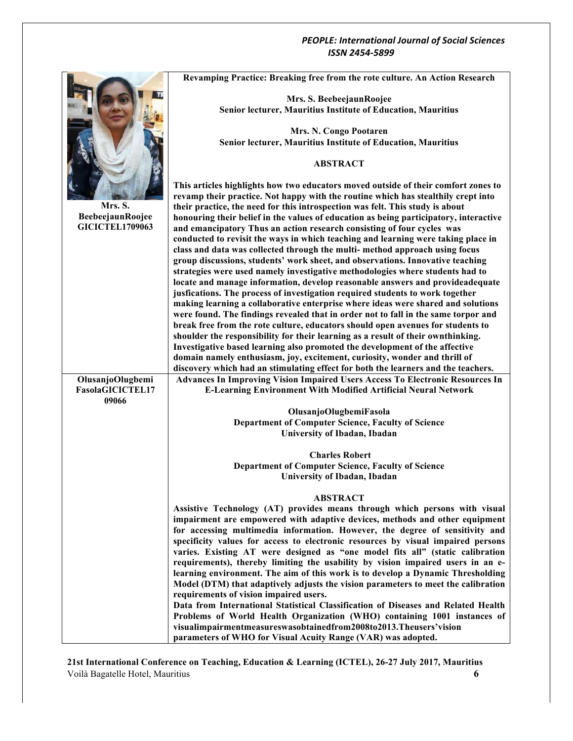|                         | Revamping Practice: Breaking free from the rote culture. An Action Research                                                                                             |
|-------------------------|-------------------------------------------------------------------------------------------------------------------------------------------------------------------------|
|                         |                                                                                                                                                                         |
|                         | Mrs. S. BeebeejaunRoojee<br>Senior lecturer, Mauritius Institute of Education, Mauritius                                                                                |
|                         |                                                                                                                                                                         |
|                         | Mrs. N. Congo Pootaren                                                                                                                                                  |
|                         | Senior lecturer, Mauritius Institute of Education, Mauritius                                                                                                            |
|                         |                                                                                                                                                                         |
|                         | <b>ABSTRACT</b>                                                                                                                                                         |
|                         |                                                                                                                                                                         |
|                         | This articles highlights how two educators moved outside of their comfort zones to<br>revamp their practice. Not happy with the routine which has stealthily crept into |
| Mrs. S.                 | their practice, the need for this introspection was felt. This study is about                                                                                           |
| BeebeejaunRoojee        | honouring their belief in the values of education as being participatory, interactive                                                                                   |
| <b>GICICTEL1709063</b>  | and emancipatory Thus an action research consisting of four cycles was                                                                                                  |
|                         | conducted to revisit the ways in which teaching and learning were taking place in                                                                                       |
|                         | class and data was collected through the multi-method approach using focus                                                                                              |
|                         | group discussions, students' work sheet, and observations. Innovative teaching                                                                                          |
|                         | strategies were used namely investigative methodologies where students had to<br>locate and manage information, develop reasonable answers and provideadequate          |
|                         | jusfications. The process of investigation required students to work together                                                                                           |
|                         | making learning a collaborative enterprise where ideas were shared and solutions                                                                                        |
|                         | were found. The findings revealed that in order not to fall in the same torpor and                                                                                      |
|                         | break free from the rote culture, educators should open avenues for students to                                                                                         |
|                         | shoulder the responsibility for their learning as a result of their ownthinking.                                                                                        |
|                         | Investigative based learning also promoted the development of the affective<br>domain namely enthusiasm, joy, excitement, curiosity, wonder and thrill of               |
|                         | discovery which had an stimulating effect for both the learners and the teachers.                                                                                       |
| OlusanjoOlugbemi        | Advances In Improving Vision Impaired Users Access To Electronic Resources In                                                                                           |
| <b>FasolaGICICTEL17</b> | <b>E-Learning Environment With Modified Artificial Neural Network</b>                                                                                                   |
| 09066                   |                                                                                                                                                                         |
|                         | OlusanjoOlugbemiFasola                                                                                                                                                  |
|                         | Department of Computer Science, Faculty of Science<br>University of Ibadan, Ibadan                                                                                      |
|                         |                                                                                                                                                                         |
|                         | <b>Charles Robert</b>                                                                                                                                                   |
|                         | Department of Computer Science, Faculty of Science                                                                                                                      |
|                         | University of Ibadan, Ibadan                                                                                                                                            |
|                         | <b>ABSTRACT</b>                                                                                                                                                         |
|                         | Assistive Technology (AT) provides means through which persons with visual                                                                                              |
|                         | impairment are empowered with adaptive devices, methods and other equipment                                                                                             |
|                         | for accessing multimedia information. However, the degree of sensitivity and                                                                                            |
|                         | specificity values for access to electronic resources by visual impaired persons                                                                                        |
|                         | varies. Existing AT were designed as "one model fits all" (static calibration                                                                                           |
|                         | requirements), thereby limiting the usability by vision impaired users in an e-<br>learning environment. The aim of this work is to develop a Dynamic Thresholding      |
|                         | Model (DTM) that adaptively adjusts the vision parameters to meet the calibration                                                                                       |
|                         | requirements of vision impaired users.                                                                                                                                  |
|                         | Data from International Statistical Classification of Diseases and Related Health                                                                                       |
|                         | Problems of World Health Organization (WHO) containing 1001 instances of                                                                                                |
|                         | visualimpairmentmeasureswasobtainedfrom2008to2013.Theusers'vision                                                                                                       |
|                         | parameters of WHO for Visual Acuity Range (VAR) was adopted.                                                                                                            |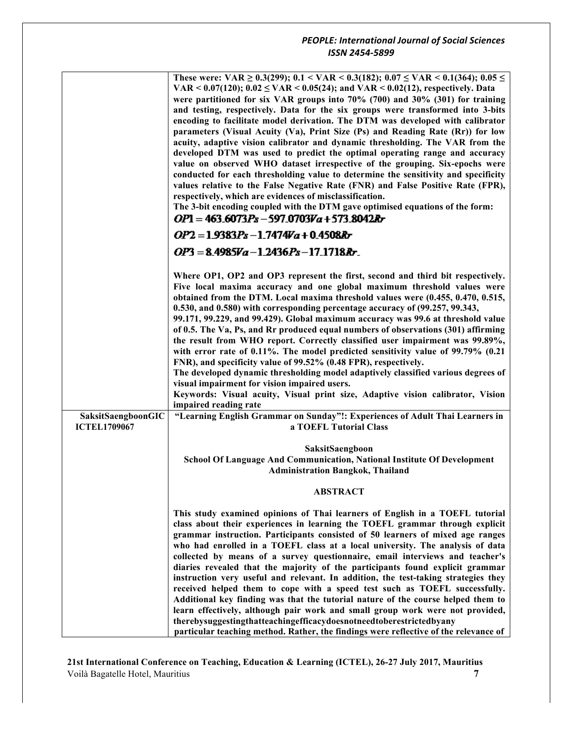|                     | These were: VAR $\geq$ 0.3(299); 0.1 < VAR < 0.3(182); 0.07 $\leq$ VAR < 0.1(364); 0.05 $\leq$        |
|---------------------|-------------------------------------------------------------------------------------------------------|
|                     | VAR < 0.07(120); $0.02 \leq$ VAR < 0.05(24); and VAR < 0.02(12), respectively. Data                   |
|                     | were partitioned for six VAR groups into 70% (700) and 30% (301) for training                         |
|                     | and testing, respectively. Data for the six groups were transformed into 3-bits                       |
|                     | encoding to facilitate model derivation. The DTM was developed with calibrator                        |
|                     | parameters (Visual Acuity (Va), Print Size (Ps) and Reading Rate (Rr)) for low                        |
|                     |                                                                                                       |
|                     | acuity, adaptive vision calibrator and dynamic thresholding. The VAR from the                         |
|                     | developed DTM was used to predict the optimal operating range and accuracy                            |
|                     | value on observed WHO dataset irrespective of the grouping. Six-epochs were                           |
|                     | conducted for each thresholding value to determine the sensitivity and specificity                    |
|                     | values relative to the False Negative Rate (FNR) and False Positive Rate (FPR),                       |
|                     | respectively, which are evidences of misclassification.                                               |
|                     |                                                                                                       |
|                     | The 3-bit encoding coupled with the DTM gave optimised equations of the form:                         |
|                     | $OP1 = 463.6073P_s - 597.0703Va + 573.8042Rr$                                                         |
|                     | $OP2 = 1.9383Ps - 1.7474Va + 0.4508Rr$                                                                |
|                     | $OP3 = 8.4985Va - 1.2436Ps - 17.1718Rr$                                                               |
|                     |                                                                                                       |
|                     | Where OP1, OP2 and OP3 represent the first, second and third bit respectively.                        |
|                     | Five local maxima accuracy and one global maximum threshold values were                               |
|                     | obtained from the DTM. Local maxima threshold values were (0.455, 0.470, 0.515,                       |
|                     |                                                                                                       |
|                     | 0.530, and 0.580) with corresponding percentage accuracy of (99.257, 99.343,                          |
|                     | 99.171, 99.229, and 99.429). Global maximum accuracy was 99.6 at threshold value                      |
|                     | of 0.5. The Va, Ps, and Rr produced equal numbers of observations (301) affirming                     |
|                     | the result from WHO report. Correctly classified user impairment was 99.89%,                          |
|                     | with error rate of 0.11%. The model predicted sensitivity value of 99.79% (0.21                       |
|                     | FNR), and specificity value of 99.52% (0.48 FPR), respectively.                                       |
|                     | The developed dynamic thresholding model adaptively classified various degrees of                     |
|                     | visual impairment for vision impaired users.                                                          |
|                     | Keywords: Visual acuity, Visual print size, Adaptive vision calibrator, Vision                        |
|                     |                                                                                                       |
| SaksitSaengboonGIC  | impaired reading rate<br>"Learning English Grammar on Sunday"!: Experiences of Adult Thai Learners in |
| <b>ICTEL1709067</b> | a TOEFL Tutorial Class                                                                                |
|                     |                                                                                                       |
|                     | SaksitSaengboon                                                                                       |
|                     | School Of Language And Communication, National Institute Of Development                               |
|                     | <b>Administration Bangkok, Thailand</b>                                                               |
|                     |                                                                                                       |
|                     | <b>ABSTRACT</b>                                                                                       |
|                     |                                                                                                       |
|                     | This study examined opinions of Thai learners of English in a TOEFL tutorial                          |
|                     | class about their experiences in learning the TOEFL grammar through explicit                          |
|                     | grammar instruction. Participants consisted of 50 learners of mixed age ranges                        |
|                     | who had enrolled in a TOEFL class at a local university. The analysis of data                         |
|                     | collected by means of a survey questionnaire, email interviews and teacher's                          |
|                     |                                                                                                       |
|                     | diaries revealed that the majority of the participants found explicit grammar                         |
|                     | instruction very useful and relevant. In addition, the test-taking strategies they                    |
|                     | received helped them to cope with a speed test such as TOEFL successfully.                            |
|                     | Additional key finding was that the tutorial nature of the course helped them to                      |
|                     | learn effectively, although pair work and small group work were not provided,                         |
|                     | therebysuggestingthatteachingefficacydoesnotneedtoberestrictedbyany                                   |
|                     | particular teaching method. Rather, the findings were reflective of the relevance of                  |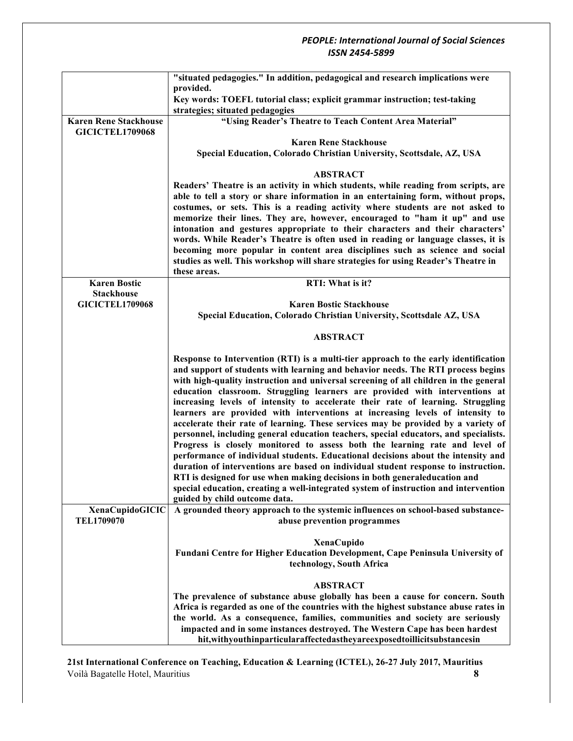|                                                        | "situated pedagogies." In addition, pedagogical and research implications were                                                                                                                                                                                                                                                                                                                                                                                                                                                                                                                                                                                                                                                                                                                                                                                                                                                                                                                                                                                                                                                                                   |
|--------------------------------------------------------|------------------------------------------------------------------------------------------------------------------------------------------------------------------------------------------------------------------------------------------------------------------------------------------------------------------------------------------------------------------------------------------------------------------------------------------------------------------------------------------------------------------------------------------------------------------------------------------------------------------------------------------------------------------------------------------------------------------------------------------------------------------------------------------------------------------------------------------------------------------------------------------------------------------------------------------------------------------------------------------------------------------------------------------------------------------------------------------------------------------------------------------------------------------|
|                                                        | provided.<br>Key words: TOEFL tutorial class; explicit grammar instruction; test-taking                                                                                                                                                                                                                                                                                                                                                                                                                                                                                                                                                                                                                                                                                                                                                                                                                                                                                                                                                                                                                                                                          |
|                                                        | strategies; situated pedagogies                                                                                                                                                                                                                                                                                                                                                                                                                                                                                                                                                                                                                                                                                                                                                                                                                                                                                                                                                                                                                                                                                                                                  |
| <b>Karen Rene Stackhouse</b><br><b>GICICTEL1709068</b> | "Using Reader's Theatre to Teach Content Area Material"                                                                                                                                                                                                                                                                                                                                                                                                                                                                                                                                                                                                                                                                                                                                                                                                                                                                                                                                                                                                                                                                                                          |
|                                                        | <b>Karen Rene Stackhouse</b>                                                                                                                                                                                                                                                                                                                                                                                                                                                                                                                                                                                                                                                                                                                                                                                                                                                                                                                                                                                                                                                                                                                                     |
|                                                        | Special Education, Colorado Christian University, Scottsdale, AZ, USA                                                                                                                                                                                                                                                                                                                                                                                                                                                                                                                                                                                                                                                                                                                                                                                                                                                                                                                                                                                                                                                                                            |
|                                                        | <b>ABSTRACT</b>                                                                                                                                                                                                                                                                                                                                                                                                                                                                                                                                                                                                                                                                                                                                                                                                                                                                                                                                                                                                                                                                                                                                                  |
|                                                        | Readers' Theatre is an activity in which students, while reading from scripts, are<br>able to tell a story or share information in an entertaining form, without props,<br>costumes, or sets. This is a reading activity where students are not asked to<br>memorize their lines. They are, however, encouraged to "ham it up" and use<br>intonation and gestures appropriate to their characters and their characters'<br>words. While Reader's Theatre is often used in reading or language classes, it is<br>becoming more popular in content area disciplines such as science and social<br>studies as well. This workshop will share strategies for using Reader's Theatre in<br>these areas.                                                                                                                                                                                                                                                                                                                                                                                                                                                               |
| <b>Karen Bostic</b>                                    | RTI: What is it?                                                                                                                                                                                                                                                                                                                                                                                                                                                                                                                                                                                                                                                                                                                                                                                                                                                                                                                                                                                                                                                                                                                                                 |
| <b>Stackhouse</b>                                      |                                                                                                                                                                                                                                                                                                                                                                                                                                                                                                                                                                                                                                                                                                                                                                                                                                                                                                                                                                                                                                                                                                                                                                  |
| <b>GICICTEL1709068</b>                                 | <b>Karen Bostic Stackhouse</b><br>Special Education, Colorado Christian University, Scottsdale AZ, USA                                                                                                                                                                                                                                                                                                                                                                                                                                                                                                                                                                                                                                                                                                                                                                                                                                                                                                                                                                                                                                                           |
|                                                        |                                                                                                                                                                                                                                                                                                                                                                                                                                                                                                                                                                                                                                                                                                                                                                                                                                                                                                                                                                                                                                                                                                                                                                  |
|                                                        | <b>ABSTRACT</b>                                                                                                                                                                                                                                                                                                                                                                                                                                                                                                                                                                                                                                                                                                                                                                                                                                                                                                                                                                                                                                                                                                                                                  |
|                                                        | Response to Intervention (RTI) is a multi-tier approach to the early identification<br>and support of students with learning and behavior needs. The RTI process begins<br>with high-quality instruction and universal screening of all children in the general<br>education classroom. Struggling learners are provided with interventions at<br>increasing levels of intensity to accelerate their rate of learning. Struggling<br>learners are provided with interventions at increasing levels of intensity to<br>accelerate their rate of learning. These services may be provided by a variety of<br>personnel, including general education teachers, special educators, and specialists.<br>Progress is closely monitored to assess both the learning rate and level of<br>performance of individual students. Educational decisions about the intensity and<br>duration of interventions are based on individual student response to instruction.<br>RTI is designed for use when making decisions in both generaleducation and<br>special education, creating a well-integrated system of instruction and intervention<br>guided by child outcome data. |
| <b>XenaCupidoGICIC</b>                                 | A grounded theory approach to the systemic influences on school-based substance-                                                                                                                                                                                                                                                                                                                                                                                                                                                                                                                                                                                                                                                                                                                                                                                                                                                                                                                                                                                                                                                                                 |
| <b>TEL1709070</b>                                      | abuse prevention programmes<br><b>XenaCupido</b><br>Fundani Centre for Higher Education Development, Cape Peninsula University of<br>technology, South Africa                                                                                                                                                                                                                                                                                                                                                                                                                                                                                                                                                                                                                                                                                                                                                                                                                                                                                                                                                                                                    |
|                                                        | <b>ABSTRACT</b>                                                                                                                                                                                                                                                                                                                                                                                                                                                                                                                                                                                                                                                                                                                                                                                                                                                                                                                                                                                                                                                                                                                                                  |
|                                                        | The prevalence of substance abuse globally has been a cause for concern. South                                                                                                                                                                                                                                                                                                                                                                                                                                                                                                                                                                                                                                                                                                                                                                                                                                                                                                                                                                                                                                                                                   |
|                                                        | Africa is regarded as one of the countries with the highest substance abuse rates in                                                                                                                                                                                                                                                                                                                                                                                                                                                                                                                                                                                                                                                                                                                                                                                                                                                                                                                                                                                                                                                                             |
|                                                        | the world. As a consequence, families, communities and society are seriously<br>impacted and in some instances destroyed. The Western Cape has been hardest<br>hit, with youth in particular affected as the yare exposed to illicits ubstances in                                                                                                                                                                                                                                                                                                                                                                                                                                                                                                                                                                                                                                                                                                                                                                                                                                                                                                               |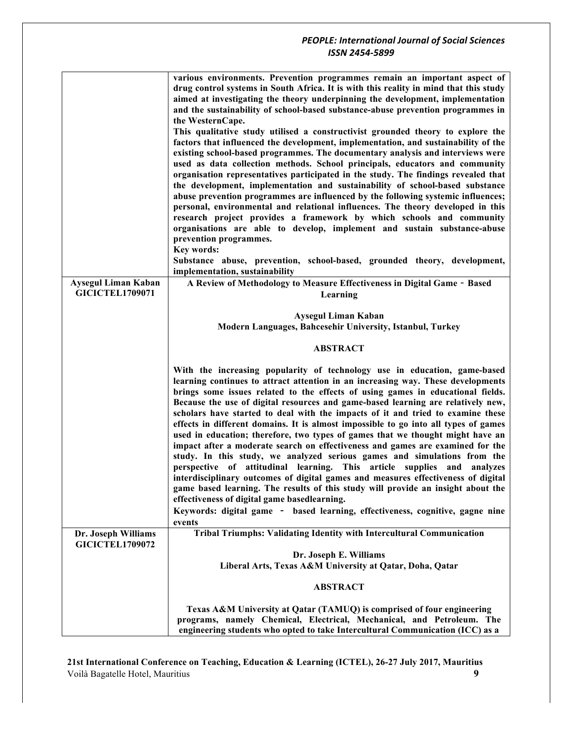|                                                      | various environments. Prevention programmes remain an important aspect of<br>drug control systems in South Africa. It is with this reality in mind that this study<br>aimed at investigating the theory underpinning the development, implementation<br>and the sustainability of school-based substance-abuse prevention programmes in<br>the WesternCape.<br>This qualitative study utilised a constructivist grounded theory to explore the<br>factors that influenced the development, implementation, and sustainability of the<br>existing school-based programmes. The documentary analysis and interviews were<br>used as data collection methods. School principals, educators and community<br>organisation representatives participated in the study. The findings revealed that<br>the development, implementation and sustainability of school-based substance<br>abuse prevention programmes are influenced by the following systemic influences;<br>personal, environmental and relational influences. The theory developed in this<br>research project provides a framework by which schools and community<br>organisations are able to develop, implement and sustain substance-abuse<br>prevention programmes.<br><b>Key words:</b><br>Substance abuse, prevention, school-based, grounded theory, development, |
|------------------------------------------------------|-----------------------------------------------------------------------------------------------------------------------------------------------------------------------------------------------------------------------------------------------------------------------------------------------------------------------------------------------------------------------------------------------------------------------------------------------------------------------------------------------------------------------------------------------------------------------------------------------------------------------------------------------------------------------------------------------------------------------------------------------------------------------------------------------------------------------------------------------------------------------------------------------------------------------------------------------------------------------------------------------------------------------------------------------------------------------------------------------------------------------------------------------------------------------------------------------------------------------------------------------------------------------------------------------------------------------------------|
|                                                      | implementation, sustainability                                                                                                                                                                                                                                                                                                                                                                                                                                                                                                                                                                                                                                                                                                                                                                                                                                                                                                                                                                                                                                                                                                                                                                                                                                                                                                    |
| <b>Aysegul Liman Kaban</b><br><b>GICICTEL1709071</b> | A Review of Methodology to Measure Effectiveness in Digital Game - Based<br>Learning                                                                                                                                                                                                                                                                                                                                                                                                                                                                                                                                                                                                                                                                                                                                                                                                                                                                                                                                                                                                                                                                                                                                                                                                                                              |
|                                                      |                                                                                                                                                                                                                                                                                                                                                                                                                                                                                                                                                                                                                                                                                                                                                                                                                                                                                                                                                                                                                                                                                                                                                                                                                                                                                                                                   |
|                                                      | <b>Aysegul Liman Kaban</b>                                                                                                                                                                                                                                                                                                                                                                                                                                                                                                                                                                                                                                                                                                                                                                                                                                                                                                                                                                                                                                                                                                                                                                                                                                                                                                        |
|                                                      | Modern Languages, Bahcesehir University, Istanbul, Turkey                                                                                                                                                                                                                                                                                                                                                                                                                                                                                                                                                                                                                                                                                                                                                                                                                                                                                                                                                                                                                                                                                                                                                                                                                                                                         |
|                                                      | <b>ABSTRACT</b>                                                                                                                                                                                                                                                                                                                                                                                                                                                                                                                                                                                                                                                                                                                                                                                                                                                                                                                                                                                                                                                                                                                                                                                                                                                                                                                   |
|                                                      | With the increasing popularity of technology use in education, game-based<br>learning continues to attract attention in an increasing way. These developments<br>brings some issues related to the effects of using games in educational fields.<br>Because the use of digital resources and game-based learning are relatively new,<br>scholars have started to deal with the impacts of it and tried to examine these<br>effects in different domains. It is almost impossible to go into all types of games<br>used in education; therefore, two types of games that we thought might have an<br>impact after a moderate search on effectiveness and games are examined for the<br>study. In this study, we analyzed serious games and simulations from the<br>perspective of attitudinal learning. This article supplies and analyzes<br>interdisciplinary outcomes of digital games and measures effectiveness of digital<br>game based learning. The results of this study will provide an insight about the<br>effectiveness of digital game basedlearning.<br>Keywords: digital game - based learning, effectiveness, cognitive, gagne nine<br>events                                                                                                                                                                     |
| Dr. Joseph Williams                                  | <b>Tribal Triumphs: Validating Identity with Intercultural Communication</b>                                                                                                                                                                                                                                                                                                                                                                                                                                                                                                                                                                                                                                                                                                                                                                                                                                                                                                                                                                                                                                                                                                                                                                                                                                                      |
| <b>GICICTEL1709072</b>                               |                                                                                                                                                                                                                                                                                                                                                                                                                                                                                                                                                                                                                                                                                                                                                                                                                                                                                                                                                                                                                                                                                                                                                                                                                                                                                                                                   |
|                                                      | Dr. Joseph E. Williams                                                                                                                                                                                                                                                                                                                                                                                                                                                                                                                                                                                                                                                                                                                                                                                                                                                                                                                                                                                                                                                                                                                                                                                                                                                                                                            |
|                                                      | Liberal Arts, Texas A&M University at Qatar, Doha, Qatar                                                                                                                                                                                                                                                                                                                                                                                                                                                                                                                                                                                                                                                                                                                                                                                                                                                                                                                                                                                                                                                                                                                                                                                                                                                                          |
|                                                      | <b>ABSTRACT</b>                                                                                                                                                                                                                                                                                                                                                                                                                                                                                                                                                                                                                                                                                                                                                                                                                                                                                                                                                                                                                                                                                                                                                                                                                                                                                                                   |
|                                                      | Texas A&M University at Qatar (TAMUQ) is comprised of four engineering                                                                                                                                                                                                                                                                                                                                                                                                                                                                                                                                                                                                                                                                                                                                                                                                                                                                                                                                                                                                                                                                                                                                                                                                                                                            |
|                                                      | programs, namely Chemical, Electrical, Mechanical, and Petroleum. The                                                                                                                                                                                                                                                                                                                                                                                                                                                                                                                                                                                                                                                                                                                                                                                                                                                                                                                                                                                                                                                                                                                                                                                                                                                             |
|                                                      | engineering students who opted to take Intercultural Communication (ICC) as a                                                                                                                                                                                                                                                                                                                                                                                                                                                                                                                                                                                                                                                                                                                                                                                                                                                                                                                                                                                                                                                                                                                                                                                                                                                     |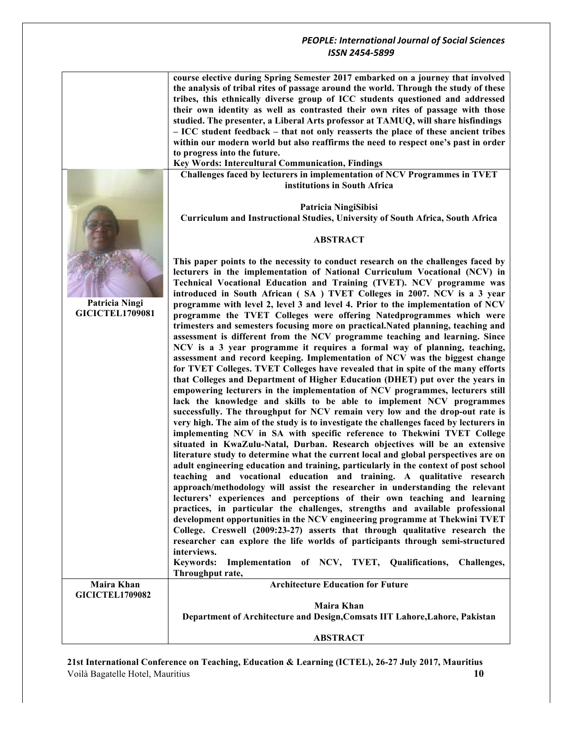|                        | course elective during Spring Semester 2017 embarked on a journey that involved<br>the analysis of tribal rites of passage around the world. Through the study of these<br>tribes, this ethnically diverse group of ICC students questioned and addressed<br>their own identity as well as contrasted their own rites of passage with those<br>studied. The presenter, a Liberal Arts professor at TAMUQ, will share hisfindings<br>- ICC student feedback - that not only reasserts the place of these ancient tribes<br>within our modern world but also reaffirms the need to respect one's past in order<br>to progress into the future.<br>Key Words: Intercultural Communication, Findings |
|------------------------|--------------------------------------------------------------------------------------------------------------------------------------------------------------------------------------------------------------------------------------------------------------------------------------------------------------------------------------------------------------------------------------------------------------------------------------------------------------------------------------------------------------------------------------------------------------------------------------------------------------------------------------------------------------------------------------------------|
|                        | Challenges faced by lecturers in implementation of NCV Programmes in TVET                                                                                                                                                                                                                                                                                                                                                                                                                                                                                                                                                                                                                        |
|                        | institutions in South Africa                                                                                                                                                                                                                                                                                                                                                                                                                                                                                                                                                                                                                                                                     |
|                        |                                                                                                                                                                                                                                                                                                                                                                                                                                                                                                                                                                                                                                                                                                  |
|                        | Patricia NingiSibisi                                                                                                                                                                                                                                                                                                                                                                                                                                                                                                                                                                                                                                                                             |
|                        | Curriculum and Instructional Studies, University of South Africa, South Africa                                                                                                                                                                                                                                                                                                                                                                                                                                                                                                                                                                                                                   |
|                        | <b>ABSTRACT</b>                                                                                                                                                                                                                                                                                                                                                                                                                                                                                                                                                                                                                                                                                  |
|                        | This paper points to the necessity to conduct research on the challenges faced by                                                                                                                                                                                                                                                                                                                                                                                                                                                                                                                                                                                                                |
|                        | lecturers in the implementation of National Curriculum Vocational (NCV) in                                                                                                                                                                                                                                                                                                                                                                                                                                                                                                                                                                                                                       |
|                        | Technical Vocational Education and Training (TVET). NCV programme was                                                                                                                                                                                                                                                                                                                                                                                                                                                                                                                                                                                                                            |
| Patricia Ningi         | introduced in South African (SA) TVET Colleges in 2007. NCV is a 3 year<br>programme with level 2, level 3 and level 4. Prior to the implementation of NCV                                                                                                                                                                                                                                                                                                                                                                                                                                                                                                                                       |
| <b>GICICTEL1709081</b> | programme the TVET Colleges were offering Natedprogrammes which were                                                                                                                                                                                                                                                                                                                                                                                                                                                                                                                                                                                                                             |
|                        | trimesters and semesters focusing more on practical. Nated planning, teaching and                                                                                                                                                                                                                                                                                                                                                                                                                                                                                                                                                                                                                |
|                        | assessment is different from the NCV programme teaching and learning. Since                                                                                                                                                                                                                                                                                                                                                                                                                                                                                                                                                                                                                      |
|                        | NCV is a 3 year programme it requires a formal way of planning, teaching,                                                                                                                                                                                                                                                                                                                                                                                                                                                                                                                                                                                                                        |
|                        | assessment and record keeping. Implementation of NCV was the biggest change<br>for TVET Colleges. TVET Colleges have revealed that in spite of the many efforts                                                                                                                                                                                                                                                                                                                                                                                                                                                                                                                                  |
|                        | that Colleges and Department of Higher Education (DHET) put over the years in                                                                                                                                                                                                                                                                                                                                                                                                                                                                                                                                                                                                                    |
|                        | empowering lecturers in the implementation of NCV programmes, lecturers still                                                                                                                                                                                                                                                                                                                                                                                                                                                                                                                                                                                                                    |
|                        | lack the knowledge and skills to be able to implement NCV programmes                                                                                                                                                                                                                                                                                                                                                                                                                                                                                                                                                                                                                             |
|                        | successfully. The throughput for NCV remain very low and the drop-out rate is                                                                                                                                                                                                                                                                                                                                                                                                                                                                                                                                                                                                                    |
|                        | very high. The aim of the study is to investigate the challenges faced by lecturers in<br>implementing NCV in SA with specific reference to Thekwini TVET College                                                                                                                                                                                                                                                                                                                                                                                                                                                                                                                                |
|                        | situated in KwaZulu-Natal, Durban. Research objectives will be an extensive                                                                                                                                                                                                                                                                                                                                                                                                                                                                                                                                                                                                                      |
|                        | literature study to determine what the current local and global perspectives are on                                                                                                                                                                                                                                                                                                                                                                                                                                                                                                                                                                                                              |
|                        | adult engineering education and training, particularly in the context of post school                                                                                                                                                                                                                                                                                                                                                                                                                                                                                                                                                                                                             |
|                        | teaching and vocational education and training. A qualitative research                                                                                                                                                                                                                                                                                                                                                                                                                                                                                                                                                                                                                           |
|                        | approach/methodology will assist the researcher in understanding the relevant<br>lecturers' experiences and perceptions of their own teaching and learning                                                                                                                                                                                                                                                                                                                                                                                                                                                                                                                                       |
|                        | practices, in particular the challenges, strengths and available professional                                                                                                                                                                                                                                                                                                                                                                                                                                                                                                                                                                                                                    |
|                        | development opportunities in the NCV engineering programme at Thekwini TVET                                                                                                                                                                                                                                                                                                                                                                                                                                                                                                                                                                                                                      |
|                        | College. Creswell (2009:23-27) asserts that through qualitative research the                                                                                                                                                                                                                                                                                                                                                                                                                                                                                                                                                                                                                     |
|                        | researcher can explore the life worlds of participants through semi-structured                                                                                                                                                                                                                                                                                                                                                                                                                                                                                                                                                                                                                   |
|                        | interviews.<br><b>Keywords:</b><br>Implementation of NCV, TVET, Qualifications,<br>Challenges,                                                                                                                                                                                                                                                                                                                                                                                                                                                                                                                                                                                                   |
|                        | Throughput rate,                                                                                                                                                                                                                                                                                                                                                                                                                                                                                                                                                                                                                                                                                 |
| Maira Khan             | <b>Architecture Education for Future</b>                                                                                                                                                                                                                                                                                                                                                                                                                                                                                                                                                                                                                                                         |
| <b>GICICTEL1709082</b> |                                                                                                                                                                                                                                                                                                                                                                                                                                                                                                                                                                                                                                                                                                  |
|                        | Maira Khan                                                                                                                                                                                                                                                                                                                                                                                                                                                                                                                                                                                                                                                                                       |
|                        | Department of Architecture and Design, Comsats IIT Lahore, Lahore, Pakistan                                                                                                                                                                                                                                                                                                                                                                                                                                                                                                                                                                                                                      |
|                        | <b>ABSTRACT</b>                                                                                                                                                                                                                                                                                                                                                                                                                                                                                                                                                                                                                                                                                  |
|                        |                                                                                                                                                                                                                                                                                                                                                                                                                                                                                                                                                                                                                                                                                                  |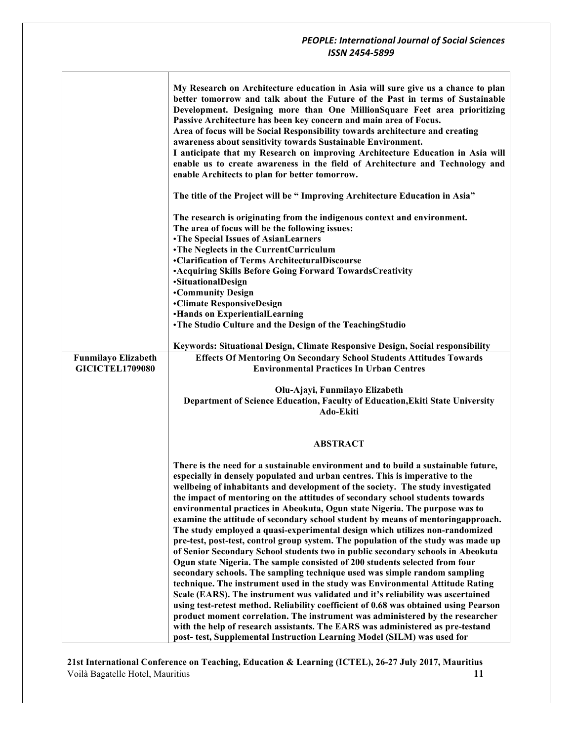|                            | My Research on Architecture education in Asia will sure give us a chance to plan<br>better tomorrow and talk about the Future of the Past in terms of Sustainable<br>Development. Designing more than One MillionSquare Feet area prioritizing<br>Passive Architecture has been key concern and main area of Focus.<br>Area of focus will be Social Responsibility towards architecture and creating<br>awareness about sensitivity towards Sustainable Environment.<br>I anticipate that my Research on improving Architecture Education in Asia will<br>enable us to create awareness in the field of Architecture and Technology and<br>enable Architects to plan for better tomorrow.                                                                                                                                                                                                                                                                                                                                                                                                                                                                                                                                                                                                                                                                                                                                               |
|----------------------------|-----------------------------------------------------------------------------------------------------------------------------------------------------------------------------------------------------------------------------------------------------------------------------------------------------------------------------------------------------------------------------------------------------------------------------------------------------------------------------------------------------------------------------------------------------------------------------------------------------------------------------------------------------------------------------------------------------------------------------------------------------------------------------------------------------------------------------------------------------------------------------------------------------------------------------------------------------------------------------------------------------------------------------------------------------------------------------------------------------------------------------------------------------------------------------------------------------------------------------------------------------------------------------------------------------------------------------------------------------------------------------------------------------------------------------------------|
|                            | The title of the Project will be " Improving Architecture Education in Asia"                                                                                                                                                                                                                                                                                                                                                                                                                                                                                                                                                                                                                                                                                                                                                                                                                                                                                                                                                                                                                                                                                                                                                                                                                                                                                                                                                            |
|                            | The research is originating from the indigenous context and environment.<br>The area of focus will be the following issues:<br>•The Special Issues of AsianLearners                                                                                                                                                                                                                                                                                                                                                                                                                                                                                                                                                                                                                                                                                                                                                                                                                                                                                                                                                                                                                                                                                                                                                                                                                                                                     |
|                            | •The Neglects in the CurrentCurriculum                                                                                                                                                                                                                                                                                                                                                                                                                                                                                                                                                                                                                                                                                                                                                                                                                                                                                                                                                                                                                                                                                                                                                                                                                                                                                                                                                                                                  |
|                            | •Clarification of Terms ArchitecturalDiscourse                                                                                                                                                                                                                                                                                                                                                                                                                                                                                                                                                                                                                                                                                                                                                                                                                                                                                                                                                                                                                                                                                                                                                                                                                                                                                                                                                                                          |
|                            | • Acquiring Skills Before Going Forward Towards Creativity<br>·SituationalDesign                                                                                                                                                                                                                                                                                                                                                                                                                                                                                                                                                                                                                                                                                                                                                                                                                                                                                                                                                                                                                                                                                                                                                                                                                                                                                                                                                        |
|                            | <b>•Community Design</b>                                                                                                                                                                                                                                                                                                                                                                                                                                                                                                                                                                                                                                                                                                                                                                                                                                                                                                                                                                                                                                                                                                                                                                                                                                                                                                                                                                                                                |
|                            | •Climate ResponsiveDesign                                                                                                                                                                                                                                                                                                                                                                                                                                                                                                                                                                                                                                                                                                                                                                                                                                                                                                                                                                                                                                                                                                                                                                                                                                                                                                                                                                                                               |
|                            | <b>•Hands on ExperientialLearning</b>                                                                                                                                                                                                                                                                                                                                                                                                                                                                                                                                                                                                                                                                                                                                                                                                                                                                                                                                                                                                                                                                                                                                                                                                                                                                                                                                                                                                   |
|                            | . The Studio Culture and the Design of the TeachingStudio                                                                                                                                                                                                                                                                                                                                                                                                                                                                                                                                                                                                                                                                                                                                                                                                                                                                                                                                                                                                                                                                                                                                                                                                                                                                                                                                                                               |
|                            | Keywords: Situational Design, Climate Responsive Design, Social responsibility                                                                                                                                                                                                                                                                                                                                                                                                                                                                                                                                                                                                                                                                                                                                                                                                                                                                                                                                                                                                                                                                                                                                                                                                                                                                                                                                                          |
| <b>Funmilayo Elizabeth</b> | <b>Effects Of Mentoring On Secondary School Students Attitudes Towards</b>                                                                                                                                                                                                                                                                                                                                                                                                                                                                                                                                                                                                                                                                                                                                                                                                                                                                                                                                                                                                                                                                                                                                                                                                                                                                                                                                                              |
| <b>GICICTEL1709080</b>     | <b>Environmental Practices In Urban Centres</b>                                                                                                                                                                                                                                                                                                                                                                                                                                                                                                                                                                                                                                                                                                                                                                                                                                                                                                                                                                                                                                                                                                                                                                                                                                                                                                                                                                                         |
|                            | Olu-Ajayi, Funmilayo Elizabeth<br>Department of Science Education, Faculty of Education, Ekiti State University<br>Ado-Ekiti                                                                                                                                                                                                                                                                                                                                                                                                                                                                                                                                                                                                                                                                                                                                                                                                                                                                                                                                                                                                                                                                                                                                                                                                                                                                                                            |
|                            | <b>ABSTRACT</b>                                                                                                                                                                                                                                                                                                                                                                                                                                                                                                                                                                                                                                                                                                                                                                                                                                                                                                                                                                                                                                                                                                                                                                                                                                                                                                                                                                                                                         |
|                            | There is the need for a sustainable environment and to build a sustainable future,<br>especially in densely populated and urban centres. This is imperative to the<br>wellbeing of inhabitants and development of the society. The study investigated<br>the impact of mentoring on the attitudes of secondary school students towards<br>environmental practices in Abeokuta, Ogun state Nigeria. The purpose was to<br>examine the attitude of secondary school student by means of mentoringapproach.<br>The study employed a quasi-experimental design which utilizes non-randomized<br>pre-test, post-test, control group system. The population of the study was made up<br>of Senior Secondary School students two in public secondary schools in Abeokuta<br>Ogun state Nigeria. The sample consisted of 200 students selected from four<br>secondary schools. The sampling technique used was simple random sampling<br>technique. The instrument used in the study was Environmental Attitude Rating<br>Scale (EARS). The instrument was validated and it's reliability was ascertained<br>using test-retest method. Reliability coefficient of 0.68 was obtained using Pearson<br>product moment correlation. The instrument was administered by the researcher<br>with the help of research assistants. The EARS was administered as pre-testand<br>post- test, Supplemental Instruction Learning Model (SILM) was used for |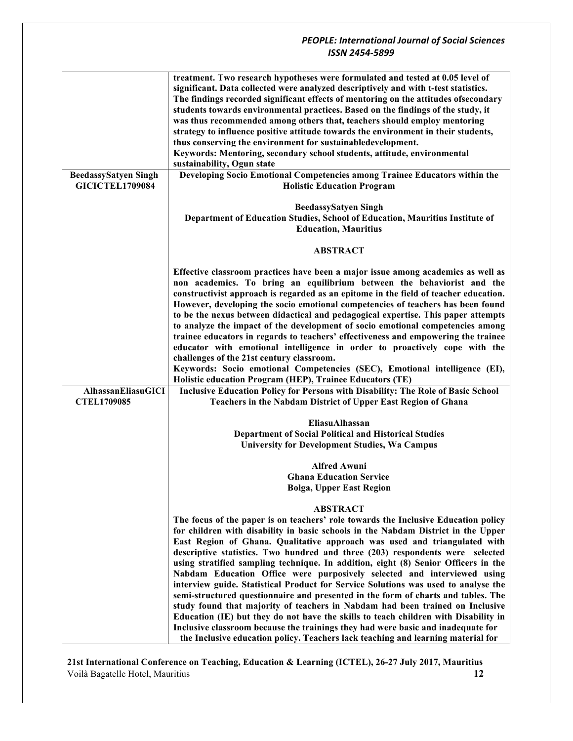| <b>BeedassySatyen Singh</b>                     | treatment. Two research hypotheses were formulated and tested at 0.05 level of<br>significant. Data collected were analyzed descriptively and with t-test statistics.<br>The findings recorded significant effects of mentoring on the attitudes ofsecondary<br>students towards environmental practices. Based on the findings of the study, it<br>was thus recommended among others that, teachers should employ mentoring<br>strategy to influence positive attitude towards the environment in their students,<br>thus conserving the environment for sustainabledevelopment.<br>Keywords: Mentoring, secondary school students, attitude, environmental<br>sustainability, Ogun state<br>Developing Socio Emotional Competencies among Trainee Educators within the                                                                                                                                                                                                                                                          |
|-------------------------------------------------|-----------------------------------------------------------------------------------------------------------------------------------------------------------------------------------------------------------------------------------------------------------------------------------------------------------------------------------------------------------------------------------------------------------------------------------------------------------------------------------------------------------------------------------------------------------------------------------------------------------------------------------------------------------------------------------------------------------------------------------------------------------------------------------------------------------------------------------------------------------------------------------------------------------------------------------------------------------------------------------------------------------------------------------|
| <b>GICICTEL1709084</b>                          | <b>Holistic Education Program</b>                                                                                                                                                                                                                                                                                                                                                                                                                                                                                                                                                                                                                                                                                                                                                                                                                                                                                                                                                                                                 |
|                                                 | <b>BeedassySatyen Singh</b><br>Department of Education Studies, School of Education, Mauritius Institute of<br><b>Education, Mauritius</b>                                                                                                                                                                                                                                                                                                                                                                                                                                                                                                                                                                                                                                                                                                                                                                                                                                                                                        |
|                                                 | <b>ABSTRACT</b>                                                                                                                                                                                                                                                                                                                                                                                                                                                                                                                                                                                                                                                                                                                                                                                                                                                                                                                                                                                                                   |
|                                                 | Effective classroom practices have been a major issue among academics as well as<br>non academics. To bring an equilibrium between the behaviorist and the<br>constructivist approach is regarded as an epitome in the field of teacher education.<br>However, developing the socio emotional competencies of teachers has been found<br>to be the nexus between didactical and pedagogical expertise. This paper attempts<br>to analyze the impact of the development of socio emotional competencies among<br>trainee educators in regards to teachers' effectiveness and empowering the trainee<br>educator with emotional intelligence in order to proactively cope with the<br>challenges of the 21st century classroom.<br>Keywords: Socio emotional Competencies (SEC), Emotional intelligence (EI),<br>Holistic education Program (HEP), Trainee Educators (TE)                                                                                                                                                           |
| <b>AlhassanEliasuGICI</b><br><b>CTEL1709085</b> | Inclusive Education Policy for Persons with Disability: The Role of Basic School<br>Teachers in the Nabdam District of Upper East Region of Ghana                                                                                                                                                                                                                                                                                                                                                                                                                                                                                                                                                                                                                                                                                                                                                                                                                                                                                 |
|                                                 |                                                                                                                                                                                                                                                                                                                                                                                                                                                                                                                                                                                                                                                                                                                                                                                                                                                                                                                                                                                                                                   |
|                                                 | EliasuAlhassan                                                                                                                                                                                                                                                                                                                                                                                                                                                                                                                                                                                                                                                                                                                                                                                                                                                                                                                                                                                                                    |
|                                                 | <b>Department of Social Political and Historical Studies</b><br><b>University for Development Studies, Wa Campus</b>                                                                                                                                                                                                                                                                                                                                                                                                                                                                                                                                                                                                                                                                                                                                                                                                                                                                                                              |
|                                                 |                                                                                                                                                                                                                                                                                                                                                                                                                                                                                                                                                                                                                                                                                                                                                                                                                                                                                                                                                                                                                                   |
|                                                 | <b>Alfred Awuni</b><br><b>Ghana Education Service</b>                                                                                                                                                                                                                                                                                                                                                                                                                                                                                                                                                                                                                                                                                                                                                                                                                                                                                                                                                                             |
|                                                 | <b>Bolga, Upper East Region</b>                                                                                                                                                                                                                                                                                                                                                                                                                                                                                                                                                                                                                                                                                                                                                                                                                                                                                                                                                                                                   |
|                                                 | <b>ABSTRACT</b>                                                                                                                                                                                                                                                                                                                                                                                                                                                                                                                                                                                                                                                                                                                                                                                                                                                                                                                                                                                                                   |
|                                                 | The focus of the paper is on teachers' role towards the Inclusive Education policy<br>for children with disability in basic schools in the Nabdam District in the Upper<br>East Region of Ghana. Qualitative approach was used and triangulated with<br>descriptive statistics. Two hundred and three (203) respondents were selected<br>using stratified sampling technique. In addition, eight (8) Senior Officers in the<br>Nabdam Education Office were purposively selected and interviewed using<br>interview guide. Statistical Product for Service Solutions was used to analyse the<br>semi-structured questionnaire and presented in the form of charts and tables. The<br>study found that majority of teachers in Nabdam had been trained on Inclusive<br>Education (IE) but they do not have the skills to teach children with Disability in<br>Inclusive classroom because the trainings they had were basic and inadequate for<br>the Inclusive education policy. Teachers lack teaching and learning material for |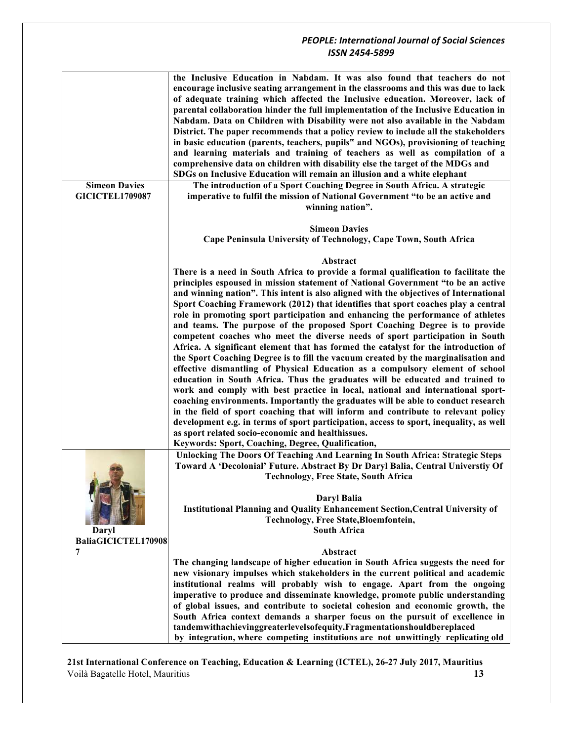|                                 | the Inclusive Education in Nabdam. It was also found that teachers do not<br>encourage inclusive seating arrangement in the classrooms and this was due to lack<br>of adequate training which affected the Inclusive education. Moreover, lack of<br>parental collaboration hinder the full implementation of the Inclusive Education in<br>Nabdam. Data on Children with Disability were not also available in the Nabdam<br>District. The paper recommends that a policy review to include all the stakeholders<br>in basic education (parents, teachers, pupils" and NGOs), provisioning of teaching<br>and learning materials and training of teachers as well as compilation of a<br>comprehensive data on children with disability else the target of the MDGs and<br>SDGs on Inclusive Education will remain an illusion and a white elephant |
|---------------------------------|------------------------------------------------------------------------------------------------------------------------------------------------------------------------------------------------------------------------------------------------------------------------------------------------------------------------------------------------------------------------------------------------------------------------------------------------------------------------------------------------------------------------------------------------------------------------------------------------------------------------------------------------------------------------------------------------------------------------------------------------------------------------------------------------------------------------------------------------------|
| <b>Simeon Davies</b>            | The introduction of a Sport Coaching Degree in South Africa. A strategic                                                                                                                                                                                                                                                                                                                                                                                                                                                                                                                                                                                                                                                                                                                                                                             |
| <b>GICICTEL1709087</b>          | imperative to fulfil the mission of National Government "to be an active and                                                                                                                                                                                                                                                                                                                                                                                                                                                                                                                                                                                                                                                                                                                                                                         |
|                                 | winning nation".                                                                                                                                                                                                                                                                                                                                                                                                                                                                                                                                                                                                                                                                                                                                                                                                                                     |
|                                 |                                                                                                                                                                                                                                                                                                                                                                                                                                                                                                                                                                                                                                                                                                                                                                                                                                                      |
|                                 | <b>Simeon Davies</b>                                                                                                                                                                                                                                                                                                                                                                                                                                                                                                                                                                                                                                                                                                                                                                                                                                 |
|                                 | Cape Peninsula University of Technology, Cape Town, South Africa                                                                                                                                                                                                                                                                                                                                                                                                                                                                                                                                                                                                                                                                                                                                                                                     |
|                                 |                                                                                                                                                                                                                                                                                                                                                                                                                                                                                                                                                                                                                                                                                                                                                                                                                                                      |
|                                 | Abstract                                                                                                                                                                                                                                                                                                                                                                                                                                                                                                                                                                                                                                                                                                                                                                                                                                             |
|                                 | There is a need in South Africa to provide a formal qualification to facilitate the                                                                                                                                                                                                                                                                                                                                                                                                                                                                                                                                                                                                                                                                                                                                                                  |
|                                 | principles espoused in mission statement of National Government "to be an active                                                                                                                                                                                                                                                                                                                                                                                                                                                                                                                                                                                                                                                                                                                                                                     |
|                                 | and winning nation". This intent is also aligned with the objectives of International                                                                                                                                                                                                                                                                                                                                                                                                                                                                                                                                                                                                                                                                                                                                                                |
|                                 | Sport Coaching Framework (2012) that identifies that sport coaches play a central                                                                                                                                                                                                                                                                                                                                                                                                                                                                                                                                                                                                                                                                                                                                                                    |
|                                 | role in promoting sport participation and enhancing the performance of athletes                                                                                                                                                                                                                                                                                                                                                                                                                                                                                                                                                                                                                                                                                                                                                                      |
|                                 | and teams. The purpose of the proposed Sport Coaching Degree is to provide                                                                                                                                                                                                                                                                                                                                                                                                                                                                                                                                                                                                                                                                                                                                                                           |
|                                 | competent coaches who meet the diverse needs of sport participation in South                                                                                                                                                                                                                                                                                                                                                                                                                                                                                                                                                                                                                                                                                                                                                                         |
|                                 | Africa. A significant element that has formed the catalyst for the introduction of                                                                                                                                                                                                                                                                                                                                                                                                                                                                                                                                                                                                                                                                                                                                                                   |
|                                 | the Sport Coaching Degree is to fill the vacuum created by the marginalisation and                                                                                                                                                                                                                                                                                                                                                                                                                                                                                                                                                                                                                                                                                                                                                                   |
|                                 | effective dismantling of Physical Education as a compulsory element of school                                                                                                                                                                                                                                                                                                                                                                                                                                                                                                                                                                                                                                                                                                                                                                        |
|                                 | education in South Africa. Thus the graduates will be educated and trained to                                                                                                                                                                                                                                                                                                                                                                                                                                                                                                                                                                                                                                                                                                                                                                        |
|                                 | work and comply with best practice in local, national and international sport-                                                                                                                                                                                                                                                                                                                                                                                                                                                                                                                                                                                                                                                                                                                                                                       |
|                                 | coaching environments. Importantly the graduates will be able to conduct research                                                                                                                                                                                                                                                                                                                                                                                                                                                                                                                                                                                                                                                                                                                                                                    |
|                                 | in the field of sport coaching that will inform and contribute to relevant policy                                                                                                                                                                                                                                                                                                                                                                                                                                                                                                                                                                                                                                                                                                                                                                    |
|                                 | development e.g. in terms of sport participation, access to sport, inequality, as well                                                                                                                                                                                                                                                                                                                                                                                                                                                                                                                                                                                                                                                                                                                                                               |
|                                 | as sport related socio-economic and healthissues.                                                                                                                                                                                                                                                                                                                                                                                                                                                                                                                                                                                                                                                                                                                                                                                                    |
|                                 | Keywords: Sport, Coaching, Degree, Qualification,                                                                                                                                                                                                                                                                                                                                                                                                                                                                                                                                                                                                                                                                                                                                                                                                    |
|                                 | Unlocking The Doors Of Teaching And Learning In South Africa: Strategic Steps                                                                                                                                                                                                                                                                                                                                                                                                                                                                                                                                                                                                                                                                                                                                                                        |
|                                 |                                                                                                                                                                                                                                                                                                                                                                                                                                                                                                                                                                                                                                                                                                                                                                                                                                                      |
|                                 | Toward A 'Decolonial' Future. Abstract By Dr Daryl Balia, Central Universtiy Of                                                                                                                                                                                                                                                                                                                                                                                                                                                                                                                                                                                                                                                                                                                                                                      |
|                                 | <b>Technology, Free State, South Africa</b>                                                                                                                                                                                                                                                                                                                                                                                                                                                                                                                                                                                                                                                                                                                                                                                                          |
|                                 | Daryl Balia                                                                                                                                                                                                                                                                                                                                                                                                                                                                                                                                                                                                                                                                                                                                                                                                                                          |
|                                 |                                                                                                                                                                                                                                                                                                                                                                                                                                                                                                                                                                                                                                                                                                                                                                                                                                                      |
|                                 | Institutional Planning and Quality Enhancement Section, Central University of<br><b>Technology, Free State, Bloemfontein,</b>                                                                                                                                                                                                                                                                                                                                                                                                                                                                                                                                                                                                                                                                                                                        |
|                                 | <b>South Africa</b>                                                                                                                                                                                                                                                                                                                                                                                                                                                                                                                                                                                                                                                                                                                                                                                                                                  |
| Daryl                           |                                                                                                                                                                                                                                                                                                                                                                                                                                                                                                                                                                                                                                                                                                                                                                                                                                                      |
| <b>BaliaGICICTEL170908</b><br>7 |                                                                                                                                                                                                                                                                                                                                                                                                                                                                                                                                                                                                                                                                                                                                                                                                                                                      |
|                                 | Abstract<br>The changing landscape of higher education in South Africa suggests the need for                                                                                                                                                                                                                                                                                                                                                                                                                                                                                                                                                                                                                                                                                                                                                         |
|                                 |                                                                                                                                                                                                                                                                                                                                                                                                                                                                                                                                                                                                                                                                                                                                                                                                                                                      |
|                                 | new visionary impulses which stakeholders in the current political and academic                                                                                                                                                                                                                                                                                                                                                                                                                                                                                                                                                                                                                                                                                                                                                                      |
|                                 | institutional realms will probably wish to engage. Apart from the ongoing                                                                                                                                                                                                                                                                                                                                                                                                                                                                                                                                                                                                                                                                                                                                                                            |
|                                 | imperative to produce and disseminate knowledge, promote public understanding                                                                                                                                                                                                                                                                                                                                                                                                                                                                                                                                                                                                                                                                                                                                                                        |
|                                 | of global issues, and contribute to societal cohesion and economic growth, the                                                                                                                                                                                                                                                                                                                                                                                                                                                                                                                                                                                                                                                                                                                                                                       |
|                                 | South Africa context demands a sharper focus on the pursuit of excellence in                                                                                                                                                                                                                                                                                                                                                                                                                                                                                                                                                                                                                                                                                                                                                                         |
|                                 | tandemwithachievinggreaterlevelsofequity.Fragmentationshouldbereplaced                                                                                                                                                                                                                                                                                                                                                                                                                                                                                                                                                                                                                                                                                                                                                                               |
|                                 | by integration, where competing institutions are not unwittingly replicating old                                                                                                                                                                                                                                                                                                                                                                                                                                                                                                                                                                                                                                                                                                                                                                     |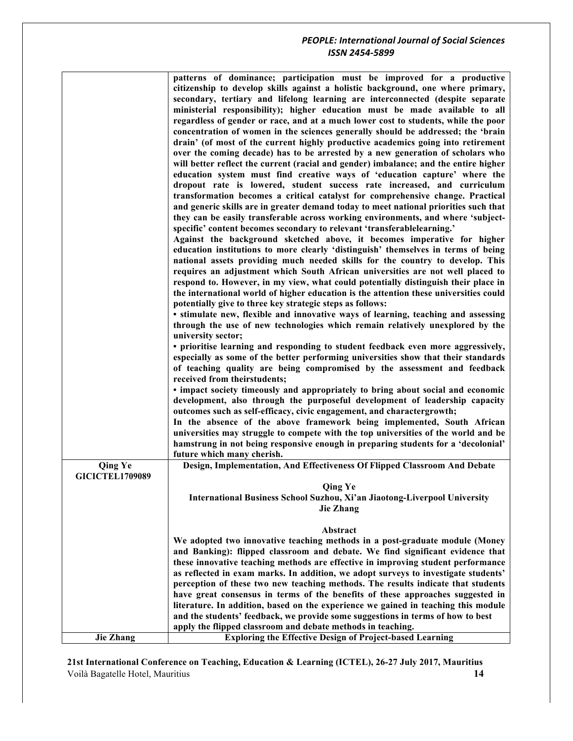|                        | patterns of dominance; participation must be improved for a productive<br>citizenship to develop skills against a holistic background, one where primary,<br>secondary, tertiary and lifelong learning are interconnected (despite separate<br>ministerial responsibility); higher education must be made available to all<br>regardless of gender or race, and at a much lower cost to students, while the poor<br>concentration of women in the sciences generally should be addressed; the 'brain<br>drain' (of most of the current highly productive academics going into retirement<br>over the coming decade) has to be arrested by a new generation of scholars who<br>will better reflect the current (racial and gender) imbalance; and the entire higher<br>education system must find creative ways of 'education capture' where the<br>dropout rate is lowered, student success rate increased, and curriculum<br>transformation becomes a critical catalyst for comprehensive change. Practical<br>and generic skills are in greater demand today to meet national priorities such that<br>they can be easily transferable across working environments, and where 'subject-<br>specific' content becomes secondary to relevant 'transferablelearning.'<br>Against the background sketched above, it becomes imperative for higher<br>education institutions to more clearly 'distinguish' themselves in terms of being<br>national assets providing much needed skills for the country to develop. This<br>requires an adjustment which South African universities are not well placed to<br>respond to. However, in my view, what could potentially distinguish their place in<br>the international world of higher education is the attention these universities could<br>potentially give to three key strategic steps as follows:<br>• stimulate new, flexible and innovative ways of learning, teaching and assessing<br>through the use of new technologies which remain relatively unexplored by the<br>university sector;<br>• prioritise learning and responding to student feedback even more aggressively,<br>especially as some of the better performing universities show that their standards<br>of teaching quality are being compromised by the assessment and feedback<br>received from theirstudents;<br>· impact society timeously and appropriately to bring about social and economic<br>development, also through the purposeful development of leadership capacity<br>outcomes such as self-efficacy, civic engagement, and charactergrowth;<br>In the absence of the above framework being implemented, South African<br>universities may struggle to compete with the top universities of the world and be<br>hamstrung in not being responsive enough in preparing students for a 'decolonial'<br>future which many cherish. |
|------------------------|---------------------------------------------------------------------------------------------------------------------------------------------------------------------------------------------------------------------------------------------------------------------------------------------------------------------------------------------------------------------------------------------------------------------------------------------------------------------------------------------------------------------------------------------------------------------------------------------------------------------------------------------------------------------------------------------------------------------------------------------------------------------------------------------------------------------------------------------------------------------------------------------------------------------------------------------------------------------------------------------------------------------------------------------------------------------------------------------------------------------------------------------------------------------------------------------------------------------------------------------------------------------------------------------------------------------------------------------------------------------------------------------------------------------------------------------------------------------------------------------------------------------------------------------------------------------------------------------------------------------------------------------------------------------------------------------------------------------------------------------------------------------------------------------------------------------------------------------------------------------------------------------------------------------------------------------------------------------------------------------------------------------------------------------------------------------------------------------------------------------------------------------------------------------------------------------------------------------------------------------------------------------------------------------------------------------------------------------------------------------------------------------------------------------------------------------------------------------------------------------------------------------------------------------------------------------------------------------------------------------------------------------------------------------------------------------------------------------------------------------------------------------------------------------------------------------------------------------------------------------|
| <b>Qing Ye</b>         | Design, Implementation, And Effectiveness Of Flipped Classroom And Debate                                                                                                                                                                                                                                                                                                                                                                                                                                                                                                                                                                                                                                                                                                                                                                                                                                                                                                                                                                                                                                                                                                                                                                                                                                                                                                                                                                                                                                                                                                                                                                                                                                                                                                                                                                                                                                                                                                                                                                                                                                                                                                                                                                                                                                                                                                                                                                                                                                                                                                                                                                                                                                                                                                                                                                                           |
| <b>GICICTEL1709089</b> | <b>Qing Ye</b><br>International Business School Suzhou, Xi'an Jiaotong-Liverpool University<br><b>Jie Zhang</b>                                                                                                                                                                                                                                                                                                                                                                                                                                                                                                                                                                                                                                                                                                                                                                                                                                                                                                                                                                                                                                                                                                                                                                                                                                                                                                                                                                                                                                                                                                                                                                                                                                                                                                                                                                                                                                                                                                                                                                                                                                                                                                                                                                                                                                                                                                                                                                                                                                                                                                                                                                                                                                                                                                                                                     |
|                        | Abstract<br>We adopted two innovative teaching methods in a post-graduate module (Money<br>and Banking): flipped classroom and debate. We find significant evidence that<br>these innovative teaching methods are effective in improving student performance<br>as reflected in exam marks. In addition, we adopt surveys to investigate students'<br>perception of these two new teaching methods. The results indicate that students<br>have great consensus in terms of the benefits of these approaches suggested in<br>literature. In addition, based on the experience we gained in teaching this module<br>and the students' feedback, we provide some suggestions in terms of how to best<br>apply the flipped classroom and debate methods in teaching.                                                                                                                                                                                                                                                                                                                                                                                                                                                                                                                                                                                                                                                                                                                                                                                                                                                                                                                                                                                                                                                                                                                                                                                                                                                                                                                                                                                                                                                                                                                                                                                                                                                                                                                                                                                                                                                                                                                                                                                                                                                                                                    |
| <b>Jie Zhang</b>       | <b>Exploring the Effective Design of Project-based Learning</b>                                                                                                                                                                                                                                                                                                                                                                                                                                                                                                                                                                                                                                                                                                                                                                                                                                                                                                                                                                                                                                                                                                                                                                                                                                                                                                                                                                                                                                                                                                                                                                                                                                                                                                                                                                                                                                                                                                                                                                                                                                                                                                                                                                                                                                                                                                                                                                                                                                                                                                                                                                                                                                                                                                                                                                                                     |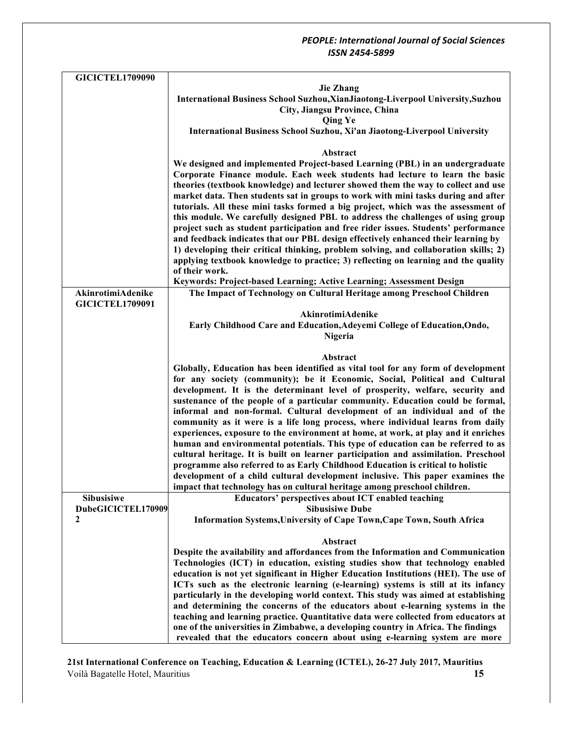| <b>GICICTEL1709090</b>           |                                                                                                                                                                         |
|----------------------------------|-------------------------------------------------------------------------------------------------------------------------------------------------------------------------|
|                                  | <b>Jie Zhang</b>                                                                                                                                                        |
|                                  | International Business School Suzhou, XianJiaotong-Liverpool University, Suzhou                                                                                         |
|                                  | City, Jiangsu Province, China                                                                                                                                           |
|                                  | <b>Qing Ye</b>                                                                                                                                                          |
|                                  | International Business School Suzhou, Xi'an Jiaotong-Liverpool University                                                                                               |
|                                  | Abstract                                                                                                                                                                |
|                                  | We designed and implemented Project-based Learning (PBL) in an undergraduate                                                                                            |
|                                  | Corporate Finance module. Each week students had lecture to learn the basic                                                                                             |
|                                  | theories (textbook knowledge) and lecturer showed them the way to collect and use                                                                                       |
|                                  | market data. Then students sat in groups to work with mini tasks during and after                                                                                       |
|                                  | tutorials. All these mini tasks formed a big project, which was the assessment of                                                                                       |
|                                  | this module. We carefully designed PBL to address the challenges of using group                                                                                         |
|                                  | project such as student participation and free rider issues. Students' performance<br>and feedback indicates that our PBL design effectively enhanced their learning by |
|                                  | 1) developing their critical thinking, problem solving, and collaboration skills; 2)                                                                                    |
|                                  | applying textbook knowledge to practice; 3) reflecting on learning and the quality                                                                                      |
|                                  | of their work.                                                                                                                                                          |
|                                  | Keywords: Project-based Learning; Active Learning; Assessment Design                                                                                                    |
| AkinrotimiAdenike                | The Impact of Technology on Cultural Heritage among Preschool Children                                                                                                  |
| <b>GICICTEL1709091</b>           | AkinrotimiAdenike                                                                                                                                                       |
|                                  | Early Childhood Care and Education, Adeyemi College of Education, Ondo,                                                                                                 |
|                                  | Nigeria                                                                                                                                                                 |
|                                  |                                                                                                                                                                         |
|                                  | Abstract                                                                                                                                                                |
|                                  | Globally, Education has been identified as vital tool for any form of development                                                                                       |
|                                  | for any society (community); be it Economic, Social, Political and Cultural                                                                                             |
|                                  | development. It is the determinant level of prosperity, welfare, security and                                                                                           |
|                                  | sustenance of the people of a particular community. Education could be formal,<br>informal and non-formal. Cultural development of an individual and of the             |
|                                  | community as it were is a life long process, where individual learns from daily                                                                                         |
|                                  | experiences, exposure to the environment at home, at work, at play and it enriches                                                                                      |
|                                  | human and environmental potentials. This type of education can be referred to as                                                                                        |
|                                  | cultural heritage. It is built on learner participation and assimilation. Preschool                                                                                     |
|                                  | programme also referred to as Early Childhood Education is critical to holistic                                                                                         |
|                                  | development of a child cultural development inclusive. This paper examines the                                                                                          |
|                                  | impact that technology has on cultural heritage among preschool children.                                                                                               |
| Sibusisiwe<br>DubeGICICTEL170909 | Educators' perspectives about ICT enabled teaching                                                                                                                      |
| $\mathbf{2}$                     | <b>Sibusisiwe Dube</b><br>Information Systems, University of Cape Town, Cape Town, South Africa                                                                         |
|                                  |                                                                                                                                                                         |
|                                  | Abstract                                                                                                                                                                |
|                                  | Despite the availability and affordances from the Information and Communication                                                                                         |
|                                  | Technologies (ICT) in education, existing studies show that technology enabled                                                                                          |
|                                  | education is not yet significant in Higher Education Institutions (HEI). The use of                                                                                     |
|                                  | ICTs such as the electronic learning (e-learning) systems is still at its infancy                                                                                       |
|                                  | particularly in the developing world context. This study was aimed at establishing                                                                                      |
|                                  | and determining the concerns of the educators about e-learning systems in the<br>teaching and learning practice. Quantitative data were collected from educators at     |
|                                  | one of the universities in Zimbabwe, a developing country in Africa. The findings                                                                                       |
|                                  | revealed that the educators concern about using e-learning system are more                                                                                              |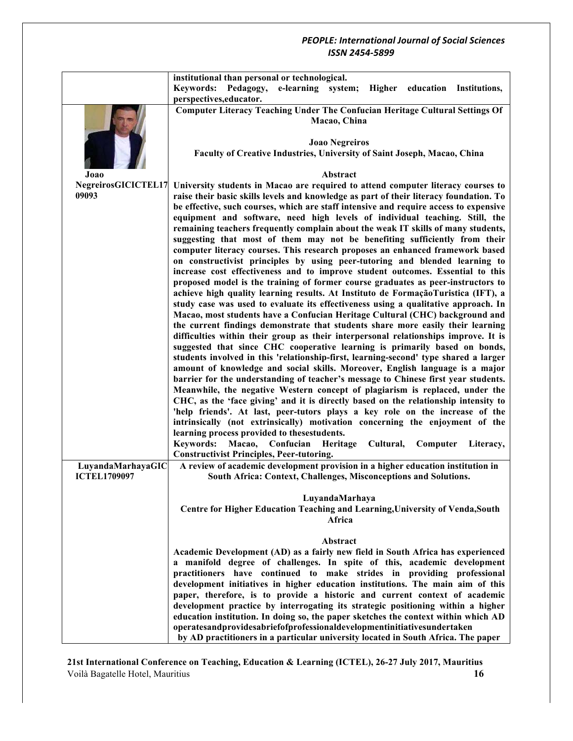|                     | institutional than personal or technological.                                                                                                                                                                                                                                                                                                                                                                                                                                                                                                                                                                                                                                                                                                                                                                                                                                                                                                                                                                                                                                                                                                                                                                                                                                                                                                                                                                                                                                                                                                                                                                                                                                                                                                                                                                   |
|---------------------|-----------------------------------------------------------------------------------------------------------------------------------------------------------------------------------------------------------------------------------------------------------------------------------------------------------------------------------------------------------------------------------------------------------------------------------------------------------------------------------------------------------------------------------------------------------------------------------------------------------------------------------------------------------------------------------------------------------------------------------------------------------------------------------------------------------------------------------------------------------------------------------------------------------------------------------------------------------------------------------------------------------------------------------------------------------------------------------------------------------------------------------------------------------------------------------------------------------------------------------------------------------------------------------------------------------------------------------------------------------------------------------------------------------------------------------------------------------------------------------------------------------------------------------------------------------------------------------------------------------------------------------------------------------------------------------------------------------------------------------------------------------------------------------------------------------------|
|                     | e-learning system; Higher education Institutions,<br>Keywords: Pedagogy,                                                                                                                                                                                                                                                                                                                                                                                                                                                                                                                                                                                                                                                                                                                                                                                                                                                                                                                                                                                                                                                                                                                                                                                                                                                                                                                                                                                                                                                                                                                                                                                                                                                                                                                                        |
|                     | perspectives, educator.                                                                                                                                                                                                                                                                                                                                                                                                                                                                                                                                                                                                                                                                                                                                                                                                                                                                                                                                                                                                                                                                                                                                                                                                                                                                                                                                                                                                                                                                                                                                                                                                                                                                                                                                                                                         |
|                     | Computer Literacy Teaching Under The Confucian Heritage Cultural Settings Of<br>Macao, China                                                                                                                                                                                                                                                                                                                                                                                                                                                                                                                                                                                                                                                                                                                                                                                                                                                                                                                                                                                                                                                                                                                                                                                                                                                                                                                                                                                                                                                                                                                                                                                                                                                                                                                    |
|                     | <b>Joao Negreiros</b><br>Faculty of Creative Industries, University of Saint Joseph, Macao, China                                                                                                                                                                                                                                                                                                                                                                                                                                                                                                                                                                                                                                                                                                                                                                                                                                                                                                                                                                                                                                                                                                                                                                                                                                                                                                                                                                                                                                                                                                                                                                                                                                                                                                               |
| Joao                | Abstract                                                                                                                                                                                                                                                                                                                                                                                                                                                                                                                                                                                                                                                                                                                                                                                                                                                                                                                                                                                                                                                                                                                                                                                                                                                                                                                                                                                                                                                                                                                                                                                                                                                                                                                                                                                                        |
| NegreirosGICICTEL17 | University students in Macao are required to attend computer literacy courses to                                                                                                                                                                                                                                                                                                                                                                                                                                                                                                                                                                                                                                                                                                                                                                                                                                                                                                                                                                                                                                                                                                                                                                                                                                                                                                                                                                                                                                                                                                                                                                                                                                                                                                                                |
| 09093               | raise their basic skills levels and knowledge as part of their literacy foundation. To<br>be effective, such courses, which are staff intensive and require access to expensive<br>equipment and software, need high levels of individual teaching. Still, the<br>remaining teachers frequently complain about the weak IT skills of many students,<br>suggesting that most of them may not be benefiting sufficiently from their<br>computer literacy courses. This research proposes an enhanced framework based<br>on constructivist principles by using peer-tutoring and blended learning to<br>increase cost effectiveness and to improve student outcomes. Essential to this<br>proposed model is the training of former course graduates as peer-instructors to<br>achieve high quality learning results. At Instituto de FormaçãoTuristica (IFT), a<br>study case was used to evaluate its effectiveness using a qualitative approach. In<br>Macao, most students have a Confucian Heritage Cultural (CHC) background and<br>the current findings demonstrate that students share more easily their learning<br>difficulties within their group as their interpersonal relationships improve. It is<br>suggested that since CHC cooperative learning is primarily based on bonds,<br>students involved in this 'relationship-first, learning-second' type shared a larger<br>amount of knowledge and social skills. Moreover, English language is a major<br>barrier for the understanding of teacher's message to Chinese first year students.<br>Meanwhile, the negative Western concept of plagiarism is replaced, under the<br>CHC, as the 'face giving' and it is directly based on the relationship intensity to<br>'help friends'. At last, peer-tutors plays a key role on the increase of the |
|                     | intrinsically (not extrinsically) motivation concerning the enjoyment of the<br>learning process provided to thesestudents.<br>Confucian<br><b>Keywords:</b><br>Heritage<br>Cultural,<br>Computer<br>Macao,<br>Literacy,<br><b>Constructivist Principles, Peer-tutoring.</b>                                                                                                                                                                                                                                                                                                                                                                                                                                                                                                                                                                                                                                                                                                                                                                                                                                                                                                                                                                                                                                                                                                                                                                                                                                                                                                                                                                                                                                                                                                                                    |
| LuyandaMarhayaGIC   | A review of academic development provision in a higher education institution in                                                                                                                                                                                                                                                                                                                                                                                                                                                                                                                                                                                                                                                                                                                                                                                                                                                                                                                                                                                                                                                                                                                                                                                                                                                                                                                                                                                                                                                                                                                                                                                                                                                                                                                                 |
| <b>ICTEL1709097</b> | South Africa: Context, Challenges, Misconceptions and Solutions.                                                                                                                                                                                                                                                                                                                                                                                                                                                                                                                                                                                                                                                                                                                                                                                                                                                                                                                                                                                                                                                                                                                                                                                                                                                                                                                                                                                                                                                                                                                                                                                                                                                                                                                                                |
|                     | LuyandaMarhaya<br>Centre for Higher Education Teaching and Learning, University of Venda, South<br>Africa                                                                                                                                                                                                                                                                                                                                                                                                                                                                                                                                                                                                                                                                                                                                                                                                                                                                                                                                                                                                                                                                                                                                                                                                                                                                                                                                                                                                                                                                                                                                                                                                                                                                                                       |
|                     | Abstract                                                                                                                                                                                                                                                                                                                                                                                                                                                                                                                                                                                                                                                                                                                                                                                                                                                                                                                                                                                                                                                                                                                                                                                                                                                                                                                                                                                                                                                                                                                                                                                                                                                                                                                                                                                                        |
|                     | Academic Development (AD) as a fairly new field in South Africa has experienced                                                                                                                                                                                                                                                                                                                                                                                                                                                                                                                                                                                                                                                                                                                                                                                                                                                                                                                                                                                                                                                                                                                                                                                                                                                                                                                                                                                                                                                                                                                                                                                                                                                                                                                                 |
|                     | a manifold degree of challenges. In spite of this, academic development                                                                                                                                                                                                                                                                                                                                                                                                                                                                                                                                                                                                                                                                                                                                                                                                                                                                                                                                                                                                                                                                                                                                                                                                                                                                                                                                                                                                                                                                                                                                                                                                                                                                                                                                         |
|                     | practitioners have continued to make strides in providing professional                                                                                                                                                                                                                                                                                                                                                                                                                                                                                                                                                                                                                                                                                                                                                                                                                                                                                                                                                                                                                                                                                                                                                                                                                                                                                                                                                                                                                                                                                                                                                                                                                                                                                                                                          |
|                     | development initiatives in higher education institutions. The main aim of this<br>paper, therefore, is to provide a historic and current context of academic                                                                                                                                                                                                                                                                                                                                                                                                                                                                                                                                                                                                                                                                                                                                                                                                                                                                                                                                                                                                                                                                                                                                                                                                                                                                                                                                                                                                                                                                                                                                                                                                                                                    |
|                     | development practice by interrogating its strategic positioning within a higher                                                                                                                                                                                                                                                                                                                                                                                                                                                                                                                                                                                                                                                                                                                                                                                                                                                                                                                                                                                                                                                                                                                                                                                                                                                                                                                                                                                                                                                                                                                                                                                                                                                                                                                                 |
|                     | education institution. In doing so, the paper sketches the context within which AD<br>operatesandprovidesabriefofprofessionaldevelopmentinitiativesundertaken<br>by AD practitioners in a particular university located in South Africa. The paper                                                                                                                                                                                                                                                                                                                                                                                                                                                                                                                                                                                                                                                                                                                                                                                                                                                                                                                                                                                                                                                                                                                                                                                                                                                                                                                                                                                                                                                                                                                                                              |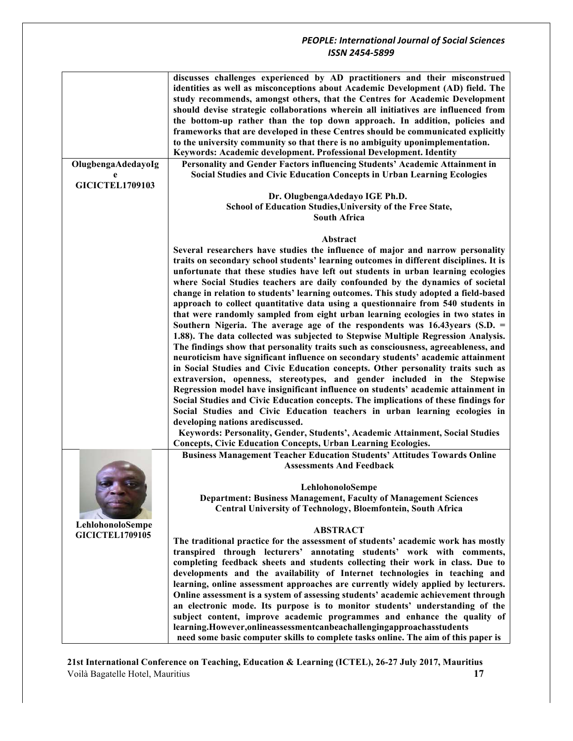|                                            | discusses challenges experienced by AD practitioners and their misconstrued<br>identities as well as misconceptions about Academic Development (AD) field. The<br>study recommends, amongst others, that the Centres for Academic Development<br>should devise strategic collaborations wherein all initiatives are influenced from<br>the bottom-up rather than the top down approach. In addition, policies and<br>frameworks that are developed in these Centres should be communicated explicitly<br>to the university community so that there is no ambiguity uponimplementation.<br>Keywords: Academic development. Professional Development. Identity                                                                                                                                                                                                                                                                                                                                                                                                                                                                                                                                                                                                                                                                                                                                                                                                                                                                                                                                        |
|--------------------------------------------|-----------------------------------------------------------------------------------------------------------------------------------------------------------------------------------------------------------------------------------------------------------------------------------------------------------------------------------------------------------------------------------------------------------------------------------------------------------------------------------------------------------------------------------------------------------------------------------------------------------------------------------------------------------------------------------------------------------------------------------------------------------------------------------------------------------------------------------------------------------------------------------------------------------------------------------------------------------------------------------------------------------------------------------------------------------------------------------------------------------------------------------------------------------------------------------------------------------------------------------------------------------------------------------------------------------------------------------------------------------------------------------------------------------------------------------------------------------------------------------------------------------------------------------------------------------------------------------------------------|
| OlugbengaAdedayoIg<br>e                    | Personality and Gender Factors influencing Students' Academic Attainment in<br>Social Studies and Civic Education Concepts in Urban Learning Ecologies                                                                                                                                                                                                                                                                                                                                                                                                                                                                                                                                                                                                                                                                                                                                                                                                                                                                                                                                                                                                                                                                                                                                                                                                                                                                                                                                                                                                                                              |
| <b>GICICTEL1709103</b>                     | Dr. OlugbengaAdedayo IGE Ph.D.<br>School of Education Studies, University of the Free State,<br><b>South Africa</b>                                                                                                                                                                                                                                                                                                                                                                                                                                                                                                                                                                                                                                                                                                                                                                                                                                                                                                                                                                                                                                                                                                                                                                                                                                                                                                                                                                                                                                                                                 |
|                                            | Abstract<br>Several researchers have studies the influence of major and narrow personality<br>traits on secondary school students' learning outcomes in different disciplines. It is<br>unfortunate that these studies have left out students in urban learning ecologies<br>where Social Studies teachers are daily confounded by the dynamics of societal<br>change in relation to students' learning outcomes. This study adopted a field-based<br>approach to collect quantitative data using a questionnaire from 540 students in<br>that were randomly sampled from eight urban learning ecologies in two states in<br>Southern Nigeria. The average age of the respondents was $16.43$ years (S.D. =<br>1.88). The data collected was subjected to Stepwise Multiple Regression Analysis.<br>The findings show that personality traits such as consciousness, agreeableness, and<br>neuroticism have significant influence on secondary students' academic attainment<br>in Social Studies and Civic Education concepts. Other personality traits such as<br>extraversion, openness, stereotypes, and gender included in the Stepwise<br>Regression model have insignificant influence on students' academic attainment in<br>Social Studies and Civic Education concepts. The implications of these findings for<br>Social Studies and Civic Education teachers in urban learning ecologies in<br>developing nations arediscussed.<br>Keywords: Personality, Gender, Students', Academic Attainment, Social Studies<br><b>Concepts, Civic Education Concepts, Urban Learning Ecologies.</b> |
| LehlohonoloSempe<br><b>GICICTEL1709105</b> | <b>Business Management Teacher Education Students' Attitudes Towards Online</b><br><b>Assessments And Feedback</b><br>LehlohonoloSempe<br>Department: Business Management, Faculty of Management Sciences<br><b>Central University of Technology, Bloemfontein, South Africa</b><br><b>ABSTRACT</b><br>The traditional practice for the assessment of students' academic work has mostly                                                                                                                                                                                                                                                                                                                                                                                                                                                                                                                                                                                                                                                                                                                                                                                                                                                                                                                                                                                                                                                                                                                                                                                                            |
|                                            | transpired through lecturers' annotating students' work with comments,<br>completing feedback sheets and students collecting their work in class. Due to<br>developments and the availability of Internet technologies in teaching and<br>learning, online assessment approaches are currently widely applied by lecturers.<br>Online assessment is a system of assessing students' academic achievement through<br>an electronic mode. Its purpose is to monitor students' understanding of the<br>subject content, improve academic programmes and enhance the quality of<br>learning.However, onlineassessment can be achallenging approach asstudents<br>need some basic computer skills to complete tasks online. The aim of this paper is                                                                                                                                                                                                                                                                                                                                                                                                                                                                                                                                                                                                                                                                                                                                                                                                                                                     |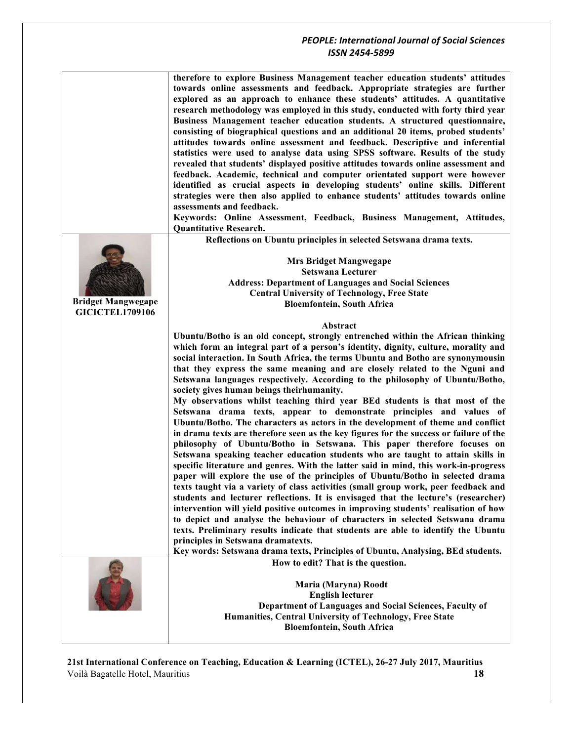|                           | therefore to explore Business Management teacher education students' attitudes<br>towards online assessments and feedback. Appropriate strategies are further<br>explored as an approach to enhance these students' attitudes. A quantitative<br>research methodology was employed in this study, conducted with forty third year<br>Business Management teacher education students. A structured questionnaire,<br>consisting of biographical questions and an additional 20 items, probed students'<br>attitudes towards online assessment and feedback. Descriptive and inferential<br>statistics were used to analyse data using SPSS software. Results of the study<br>revealed that students' displayed positive attitudes towards online assessment and<br>feedback. Academic, technical and computer orientated support were however<br>identified as crucial aspects in developing students' online skills. Different<br>strategies were then also applied to enhance students' attitudes towards online<br>assessments and feedback.<br>Keywords: Online Assessment, Feedback, Business Management, Attitudes,<br><b>Quantitative Research.</b> |
|---------------------------|-----------------------------------------------------------------------------------------------------------------------------------------------------------------------------------------------------------------------------------------------------------------------------------------------------------------------------------------------------------------------------------------------------------------------------------------------------------------------------------------------------------------------------------------------------------------------------------------------------------------------------------------------------------------------------------------------------------------------------------------------------------------------------------------------------------------------------------------------------------------------------------------------------------------------------------------------------------------------------------------------------------------------------------------------------------------------------------------------------------------------------------------------------------|
|                           | Reflections on Ubuntu principles in selected Setswana drama texts.<br><b>Mrs Bridget Mangwegape</b>                                                                                                                                                                                                                                                                                                                                                                                                                                                                                                                                                                                                                                                                                                                                                                                                                                                                                                                                                                                                                                                       |
|                           | <b>Setswana Lecturer</b>                                                                                                                                                                                                                                                                                                                                                                                                                                                                                                                                                                                                                                                                                                                                                                                                                                                                                                                                                                                                                                                                                                                                  |
|                           | <b>Address: Department of Languages and Social Sciences</b>                                                                                                                                                                                                                                                                                                                                                                                                                                                                                                                                                                                                                                                                                                                                                                                                                                                                                                                                                                                                                                                                                               |
|                           | <b>Central University of Technology, Free State</b>                                                                                                                                                                                                                                                                                                                                                                                                                                                                                                                                                                                                                                                                                                                                                                                                                                                                                                                                                                                                                                                                                                       |
| <b>Bridget Mangwegape</b> | <b>Bloemfontein, South Africa</b>                                                                                                                                                                                                                                                                                                                                                                                                                                                                                                                                                                                                                                                                                                                                                                                                                                                                                                                                                                                                                                                                                                                         |
| <b>GICICTEL1709106</b>    |                                                                                                                                                                                                                                                                                                                                                                                                                                                                                                                                                                                                                                                                                                                                                                                                                                                                                                                                                                                                                                                                                                                                                           |
|                           | Abstract                                                                                                                                                                                                                                                                                                                                                                                                                                                                                                                                                                                                                                                                                                                                                                                                                                                                                                                                                                                                                                                                                                                                                  |
|                           | Ubuntu/Botho is an old concept, strongly entrenched within the African thinking                                                                                                                                                                                                                                                                                                                                                                                                                                                                                                                                                                                                                                                                                                                                                                                                                                                                                                                                                                                                                                                                           |
|                           | which form an integral part of a person's identity, dignity, culture, morality and                                                                                                                                                                                                                                                                                                                                                                                                                                                                                                                                                                                                                                                                                                                                                                                                                                                                                                                                                                                                                                                                        |
|                           | social interaction. In South Africa, the terms Ubuntu and Botho are synonymousin                                                                                                                                                                                                                                                                                                                                                                                                                                                                                                                                                                                                                                                                                                                                                                                                                                                                                                                                                                                                                                                                          |
|                           | that they express the same meaning and are closely related to the Nguni and                                                                                                                                                                                                                                                                                                                                                                                                                                                                                                                                                                                                                                                                                                                                                                                                                                                                                                                                                                                                                                                                               |
|                           | Setswana languages respectively. According to the philosophy of Ubuntu/Botho,                                                                                                                                                                                                                                                                                                                                                                                                                                                                                                                                                                                                                                                                                                                                                                                                                                                                                                                                                                                                                                                                             |
|                           | society gives human beings theirhumanity.                                                                                                                                                                                                                                                                                                                                                                                                                                                                                                                                                                                                                                                                                                                                                                                                                                                                                                                                                                                                                                                                                                                 |
|                           | My observations whilst teaching third year BEd students is that most of the                                                                                                                                                                                                                                                                                                                                                                                                                                                                                                                                                                                                                                                                                                                                                                                                                                                                                                                                                                                                                                                                               |
|                           | Setswana drama texts, appear to demonstrate principles and values of                                                                                                                                                                                                                                                                                                                                                                                                                                                                                                                                                                                                                                                                                                                                                                                                                                                                                                                                                                                                                                                                                      |
|                           | Ubuntu/Botho. The characters as actors in the development of theme and conflict                                                                                                                                                                                                                                                                                                                                                                                                                                                                                                                                                                                                                                                                                                                                                                                                                                                                                                                                                                                                                                                                           |
|                           | in drama texts are therefore seen as the key figures for the success or failure of the                                                                                                                                                                                                                                                                                                                                                                                                                                                                                                                                                                                                                                                                                                                                                                                                                                                                                                                                                                                                                                                                    |
|                           | philosophy of Ubuntu/Botho in Setswana. This paper therefore focuses on                                                                                                                                                                                                                                                                                                                                                                                                                                                                                                                                                                                                                                                                                                                                                                                                                                                                                                                                                                                                                                                                                   |
|                           |                                                                                                                                                                                                                                                                                                                                                                                                                                                                                                                                                                                                                                                                                                                                                                                                                                                                                                                                                                                                                                                                                                                                                           |
|                           | Setswana speaking teacher education students who are taught to attain skills in                                                                                                                                                                                                                                                                                                                                                                                                                                                                                                                                                                                                                                                                                                                                                                                                                                                                                                                                                                                                                                                                           |
|                           | specific literature and genres. With the latter said in mind, this work-in-progress                                                                                                                                                                                                                                                                                                                                                                                                                                                                                                                                                                                                                                                                                                                                                                                                                                                                                                                                                                                                                                                                       |
|                           | paper will explore the use of the principles of Ubuntu/Botho in selected drama                                                                                                                                                                                                                                                                                                                                                                                                                                                                                                                                                                                                                                                                                                                                                                                                                                                                                                                                                                                                                                                                            |
|                           | texts taught via a variety of class activities (small group work, peer feedback and                                                                                                                                                                                                                                                                                                                                                                                                                                                                                                                                                                                                                                                                                                                                                                                                                                                                                                                                                                                                                                                                       |
|                           | students and lecturer reflections. It is envisaged that the lecture's (researcher)                                                                                                                                                                                                                                                                                                                                                                                                                                                                                                                                                                                                                                                                                                                                                                                                                                                                                                                                                                                                                                                                        |
|                           | intervention will yield positive outcomes in improving students' realisation of how                                                                                                                                                                                                                                                                                                                                                                                                                                                                                                                                                                                                                                                                                                                                                                                                                                                                                                                                                                                                                                                                       |
|                           | to depict and analyse the behaviour of characters in selected Setswana drama                                                                                                                                                                                                                                                                                                                                                                                                                                                                                                                                                                                                                                                                                                                                                                                                                                                                                                                                                                                                                                                                              |
|                           | texts. Preliminary results indicate that students are able to identify the Ubuntu                                                                                                                                                                                                                                                                                                                                                                                                                                                                                                                                                                                                                                                                                                                                                                                                                                                                                                                                                                                                                                                                         |
|                           | principles in Setswana dramatexts.                                                                                                                                                                                                                                                                                                                                                                                                                                                                                                                                                                                                                                                                                                                                                                                                                                                                                                                                                                                                                                                                                                                        |
|                           | Key words: Setswana drama texts, Principles of Ubuntu, Analysing, BEd students.                                                                                                                                                                                                                                                                                                                                                                                                                                                                                                                                                                                                                                                                                                                                                                                                                                                                                                                                                                                                                                                                           |
|                           | How to edit? That is the question.                                                                                                                                                                                                                                                                                                                                                                                                                                                                                                                                                                                                                                                                                                                                                                                                                                                                                                                                                                                                                                                                                                                        |
|                           |                                                                                                                                                                                                                                                                                                                                                                                                                                                                                                                                                                                                                                                                                                                                                                                                                                                                                                                                                                                                                                                                                                                                                           |
|                           | Maria (Maryna) Roodt<br><b>English lecturer</b>                                                                                                                                                                                                                                                                                                                                                                                                                                                                                                                                                                                                                                                                                                                                                                                                                                                                                                                                                                                                                                                                                                           |
|                           | Department of Languages and Social Sciences, Faculty of                                                                                                                                                                                                                                                                                                                                                                                                                                                                                                                                                                                                                                                                                                                                                                                                                                                                                                                                                                                                                                                                                                   |
|                           |                                                                                                                                                                                                                                                                                                                                                                                                                                                                                                                                                                                                                                                                                                                                                                                                                                                                                                                                                                                                                                                                                                                                                           |
|                           | Humanities, Central University of Technology, Free State                                                                                                                                                                                                                                                                                                                                                                                                                                                                                                                                                                                                                                                                                                                                                                                                                                                                                                                                                                                                                                                                                                  |
|                           | <b>Bloemfontein, South Africa</b>                                                                                                                                                                                                                                                                                                                                                                                                                                                                                                                                                                                                                                                                                                                                                                                                                                                                                                                                                                                                                                                                                                                         |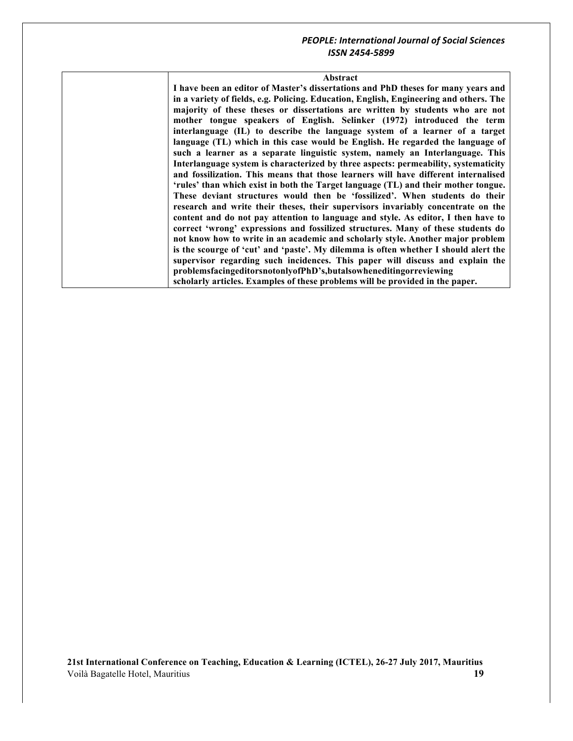**Abstract I have been an editor of Master's dissertations and PhD theses for many years and in a variety of fields, e.g. Policing. Education, English, Engineering and others. The majority of these theses or dissertations are written by students who are not mother tongue speakers of English. Selinker (1972) introduced the term interlanguage (IL) to describe the language system of a learner of a target language (TL) which in this case would be English. He regarded the language of such a learner as a separate linguistic system, namely an Interlanguage. This Interlanguage system is characterized by three aspects: permeability, systematicity and fossilization. This means that those learners will have different internalised 'rules' than which exist in both the Target language (TL) and their mother tongue. These deviant structures would then be 'fossilized'. When students do their research and write their theses, their supervisors invariably concentrate on the content and do not pay attention to language and style. As editor, I then have to correct 'wrong' expressions and fossilized structures. Many of these students do not know how to write in an academic and scholarly style. Another major problem is the scourge of 'cut' and 'paste'. My dilemma is often whether I should alert the supervisor regarding such incidences. This paper will discuss and explain the problemsfacingeditorsnotonlyofPhD's,butalsowheneditingorreviewing scholarly articles. Examples of these problems will be provided in the paper.**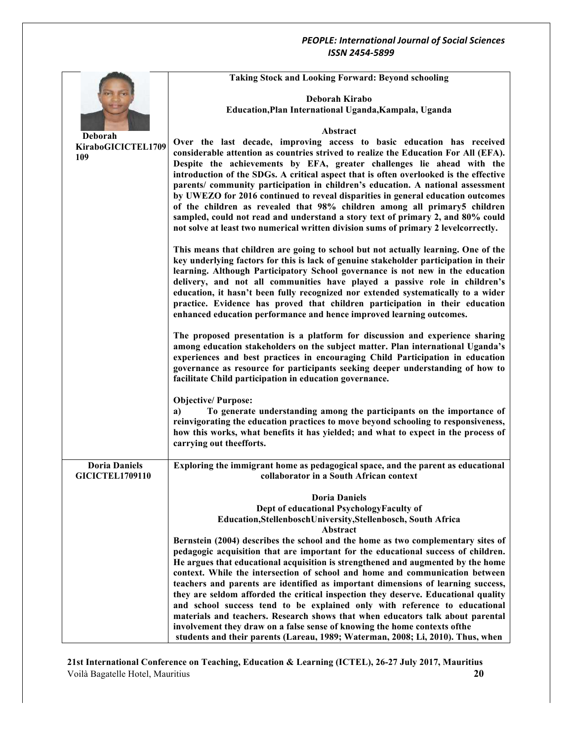|                                                | <b>Taking Stock and Looking Forward: Beyond schooling</b>                                                                                                                                                                                                                                                                                                                                                                                                                                                                                                                                    |
|------------------------------------------------|----------------------------------------------------------------------------------------------------------------------------------------------------------------------------------------------------------------------------------------------------------------------------------------------------------------------------------------------------------------------------------------------------------------------------------------------------------------------------------------------------------------------------------------------------------------------------------------------|
|                                                | Deborah Kirabo<br>Education, Plan International Uganda, Kampala, Uganda                                                                                                                                                                                                                                                                                                                                                                                                                                                                                                                      |
| Deborah<br>KiraboGICICTEL1709                  | Abstract<br>Over the last decade, improving access to basic education has received<br>considerable attention as countries strived to realize the Education For All (EFA).                                                                                                                                                                                                                                                                                                                                                                                                                    |
| 109                                            | Despite the achievements by EFA, greater challenges lie ahead with the<br>introduction of the SDGs. A critical aspect that is often overlooked is the effective<br>parents/ community participation in children's education. A national assessment<br>by UWEZO for 2016 continued to reveal disparities in general education outcomes<br>of the children as revealed that 98% children among all primary5 children<br>sampled, could not read and understand a story text of primary 2, and 80% could<br>not solve at least two numerical written division sums of primary 2 levelcorrectly. |
|                                                | This means that children are going to school but not actually learning. One of the<br>key underlying factors for this is lack of genuine stakeholder participation in their<br>learning. Although Participatory School governance is not new in the education<br>delivery, and not all communities have played a passive role in children's<br>education, it hasn't been fully recognized nor extended systematically to a wider<br>practice. Evidence has proved that children participation in their education<br>enhanced education performance and hence improved learning outcomes.     |
|                                                | The proposed presentation is a platform for discussion and experience sharing<br>among education stakeholders on the subject matter. Plan international Uganda's<br>experiences and best practices in encouraging Child Participation in education<br>governance as resource for participants seeking deeper understanding of how to<br>facilitate Child participation in education governance.                                                                                                                                                                                              |
|                                                | <b>Objective/Purpose:</b><br>To generate understanding among the participants on the importance of<br>a)<br>reinvigorating the education practices to move beyond schooling to responsiveness,<br>how this works, what benefits it has yielded; and what to expect in the process of<br>carrying out theefforts.                                                                                                                                                                                                                                                                             |
| <b>Doria Daniels</b><br><b>GICICTEL1709110</b> | Exploring the immigrant home as pedagogical space, and the parent as educational<br>collaborator in a South African context                                                                                                                                                                                                                                                                                                                                                                                                                                                                  |
|                                                | <b>Doria Daniels</b>                                                                                                                                                                                                                                                                                                                                                                                                                                                                                                                                                                         |
|                                                | Dept of educational PsychologyFaculty of<br>Education, Stellenbosch University, Stellenbosch, South Africa<br>Abstract                                                                                                                                                                                                                                                                                                                                                                                                                                                                       |
|                                                | Bernstein (2004) describes the school and the home as two complementary sites of                                                                                                                                                                                                                                                                                                                                                                                                                                                                                                             |
|                                                | pedagogic acquisition that are important for the educational success of children.<br>He argues that educational acquisition is strengthened and augmented by the home<br>context. While the intersection of school and home and communication between                                                                                                                                                                                                                                                                                                                                        |
|                                                | teachers and parents are identified as important dimensions of learning success,                                                                                                                                                                                                                                                                                                                                                                                                                                                                                                             |
|                                                | they are seldom afforded the critical inspection they deserve. Educational quality<br>and school success tend to be explained only with reference to educational                                                                                                                                                                                                                                                                                                                                                                                                                             |
|                                                | materials and teachers. Research shows that when educators talk about parental<br>involvement they draw on a false sense of knowing the home contexts ofthe                                                                                                                                                                                                                                                                                                                                                                                                                                  |
|                                                | students and their parents (Lareau, 1989; Waterman, 2008; Li, 2010). Thus, when                                                                                                                                                                                                                                                                                                                                                                                                                                                                                                              |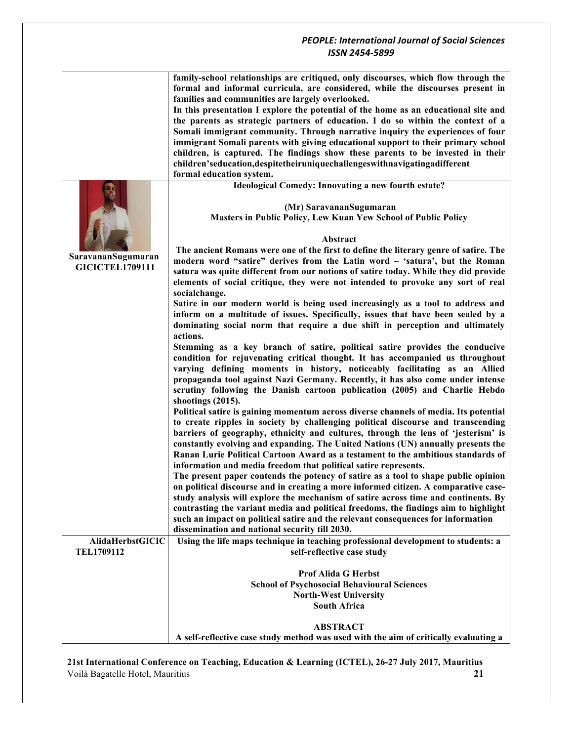|                                              | family-school relationships are critiqued, only discourses, which flow through the<br>formal and informal curricula, are considered, while the discourses present in<br>families and communities are largely overlooked.<br>In this presentation I explore the potential of the home as an educational site and<br>the parents as strategic partners of education. I do so within the context of a<br>Somali immigrant community. Through narrative inquiry the experiences of four<br>immigrant Somali parents with giving educational support to their primary school<br>children, is captured. The findings show these parents to be invested in their<br>children'seducation, despitetheir unique challenges with navigating a different<br>formal education system. |
|----------------------------------------------|--------------------------------------------------------------------------------------------------------------------------------------------------------------------------------------------------------------------------------------------------------------------------------------------------------------------------------------------------------------------------------------------------------------------------------------------------------------------------------------------------------------------------------------------------------------------------------------------------------------------------------------------------------------------------------------------------------------------------------------------------------------------------|
|                                              | Ideological Comedy: Innovating a new fourth estate?<br>(Mr) SaravananSugumaran<br>Masters in Public Policy, Lew Kuan Yew School of Public Policy<br>Abstract                                                                                                                                                                                                                                                                                                                                                                                                                                                                                                                                                                                                             |
| SaravananSugumaran<br><b>GICICTEL1709111</b> | The ancient Romans were one of the first to define the literary genre of satire. The<br>modern word "satire" derives from the Latin word - 'satura', but the Roman<br>satura was quite different from our notions of satire today. While they did provide<br>elements of social critique, they were not intended to provoke any sort of real<br>socialchange.                                                                                                                                                                                                                                                                                                                                                                                                            |
|                                              | Satire in our modern world is being used increasingly as a tool to address and<br>inform on a multitude of issues. Specifically, issues that have been sealed by a<br>dominating social norm that require a due shift in perception and ultimately<br>actions.                                                                                                                                                                                                                                                                                                                                                                                                                                                                                                           |
|                                              | Stemming as a key branch of satire, political satire provides the conducive<br>condition for rejuvenating critical thought. It has accompanied us throughout<br>varying defining moments in history, noticeably facilitating as an Allied<br>propaganda tool against Nazi Germany. Recently, it has also come under intense<br>scrutiny following the Danish cartoon publication (2005) and Charlie Hebdo<br>shootings (2015).                                                                                                                                                                                                                                                                                                                                           |
|                                              | Political satire is gaining momentum across diverse channels of media. Its potential<br>to create ripples in society by challenging political discourse and transcending<br>barriers of geography, ethnicity and cultures, through the lens of 'jesterism' is<br>constantly evolving and expanding. The United Nations (UN) annually presents the<br>Ranan Lurie Political Cartoon Award as a testament to the ambitious standards of<br>information and media freedom that political satire represents.                                                                                                                                                                                                                                                                 |
|                                              | The present paper contends the potency of satire as a tool to shape public opinion<br>on political discourse and in creating a more informed citizen. A comparative case-<br>study analysis will explore the mechanism of satire across time and continents. By<br>contrasting the variant media and political freedoms, the findings aim to highlight<br>such an impact on political satire and the relevant consequences for information<br>dissemination and national security till 2030.                                                                                                                                                                                                                                                                             |
| AlidaHerbstGICIC<br><b>TEL1709112</b>        | Using the life maps technique in teaching professional development to students: a<br>self-reflective case study                                                                                                                                                                                                                                                                                                                                                                                                                                                                                                                                                                                                                                                          |
|                                              | <b>Prof Alida G Herbst</b><br><b>School of Psychosocial Behavioural Sciences</b><br><b>North-West University</b><br><b>South Africa</b>                                                                                                                                                                                                                                                                                                                                                                                                                                                                                                                                                                                                                                  |
|                                              | <b>ABSTRACT</b>                                                                                                                                                                                                                                                                                                                                                                                                                                                                                                                                                                                                                                                                                                                                                          |
|                                              | A self-reflective case study method was used with the aim of critically evaluating a                                                                                                                                                                                                                                                                                                                                                                                                                                                                                                                                                                                                                                                                                     |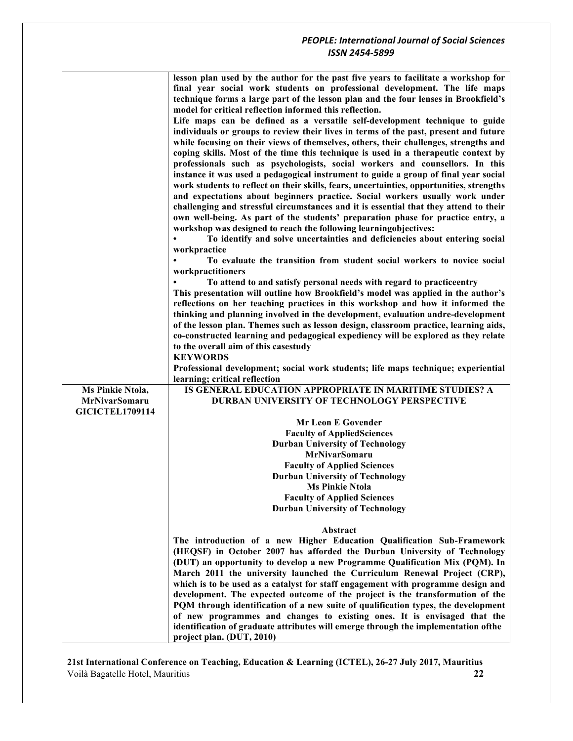|                        | lesson plan used by the author for the past five years to facilitate a workshop for<br>final year social work students on professional development. The life maps     |
|------------------------|-----------------------------------------------------------------------------------------------------------------------------------------------------------------------|
|                        | technique forms a large part of the lesson plan and the four lenses in Brookfield's                                                                                   |
|                        | model for critical reflection informed this reflection.                                                                                                               |
|                        | Life maps can be defined as a versatile self-development technique to guide<br>individuals or groups to review their lives in terms of the past, present and future   |
|                        | while focusing on their views of themselves, others, their challenges, strengths and                                                                                  |
|                        | coping skills. Most of the time this technique is used in a therapeutic context by                                                                                    |
|                        | professionals such as psychologists, social workers and counsellors. In this                                                                                          |
|                        | instance it was used a pedagogical instrument to guide a group of final year social                                                                                   |
|                        | work students to reflect on their skills, fears, uncertainties, opportunities, strengths                                                                              |
|                        | and expectations about beginners practice. Social workers usually work under<br>challenging and stressful circumstances and it is essential that they attend to their |
|                        | own well-being. As part of the students' preparation phase for practice entry, a                                                                                      |
|                        | workshop was designed to reach the following learningobjectives:                                                                                                      |
|                        | To identify and solve uncertainties and deficiencies about entering social                                                                                            |
|                        | workpractice                                                                                                                                                          |
|                        | To evaluate the transition from student social workers to novice social                                                                                               |
|                        | workpractitioners<br>To attend to and satisfy personal needs with regard to practice entry                                                                            |
|                        | This presentation will outline how Brookfield's model was applied in the author's                                                                                     |
|                        | reflections on her teaching practices in this workshop and how it informed the                                                                                        |
|                        | thinking and planning involved in the development, evaluation andre-development                                                                                       |
|                        | of the lesson plan. Themes such as lesson design, classroom practice, learning aids,                                                                                  |
|                        | co-constructed learning and pedagogical expediency will be explored as they relate                                                                                    |
|                        | to the overall aim of this casestudy<br><b>KEYWORDS</b>                                                                                                               |
|                        | Professional development; social work students; life maps technique; experiential                                                                                     |
|                        | learning; critical reflection                                                                                                                                         |
| Ms Pinkie Ntola,       | IS GENERAL EDUCATION APPROPRIATE IN MARITIME STUDIES? A                                                                                                               |
| <b>MrNivarSomaru</b>   | DURBAN UNIVERSITY OF TECHNOLOGY PERSPECTIVE                                                                                                                           |
| <b>GICICTEL1709114</b> | Mr Leon E Govender                                                                                                                                                    |
|                        | <b>Faculty of AppliedSciences</b>                                                                                                                                     |
|                        | <b>Durban University of Technology</b>                                                                                                                                |
|                        | <b>MrNivarSomaru</b>                                                                                                                                                  |
|                        | <b>Faculty of Applied Sciences</b>                                                                                                                                    |
|                        | <b>Durban University of Technology</b>                                                                                                                                |
|                        | <b>Ms Pinkie Ntola</b>                                                                                                                                                |
|                        | <b>Faculty of Applied Sciences</b><br><b>Durban University of Technology</b>                                                                                          |
|                        |                                                                                                                                                                       |
|                        | Abstract                                                                                                                                                              |
|                        | The introduction of a new Higher Education Qualification Sub-Framework                                                                                                |
|                        | (HEQSF) in October 2007 has afforded the Durban University of Technology                                                                                              |
|                        | (DUT) an opportunity to develop a new Programme Qualification Mix (PQM). In<br>March 2011 the university launched the Curriculum Renewal Project (CRP),               |
|                        | which is to be used as a catalyst for staff engagement with programme design and                                                                                      |
|                        | development. The expected outcome of the project is the transformation of the                                                                                         |
|                        | PQM through identification of a new suite of qualification types, the development                                                                                     |
|                        | of new programmes and changes to existing ones. It is envisaged that the                                                                                              |
|                        | identification of graduate attributes will emerge through the implementation of the                                                                                   |
|                        | project plan. (DUT, 2010)                                                                                                                                             |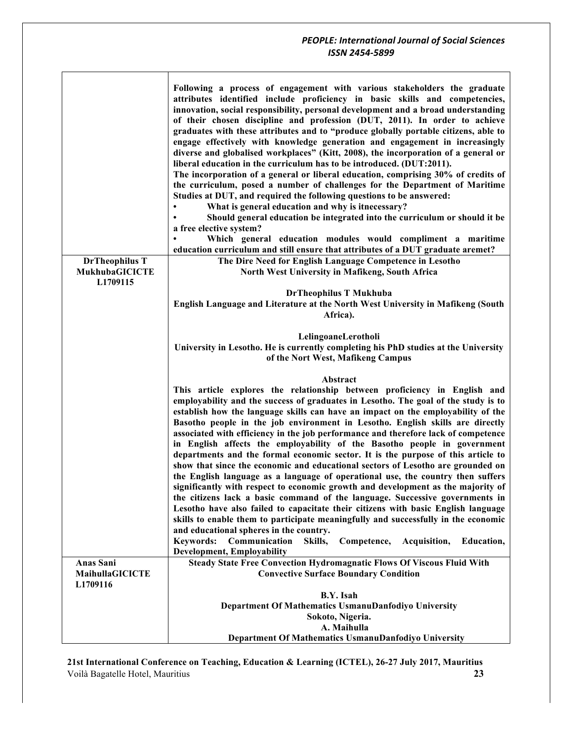|                                                            | Following a process of engagement with various stakeholders the graduate<br>attributes identified include proficiency in basic skills and competencies,<br>innovation, social responsibility, personal development and a broad understanding<br>of their chosen discipline and profession (DUT, 2011). In order to achieve<br>graduates with these attributes and to "produce globally portable citizens, able to<br>engage effectively with knowledge generation and engagement in increasingly<br>diverse and globalised workplaces" (Kitt, 2008), the incorporation of a general or<br>liberal education in the curriculum has to be introduced. (DUT:2011).<br>The incorporation of a general or liberal education, comprising 30% of credits of<br>the curriculum, posed a number of challenges for the Department of Maritime<br>Studies at DUT, and required the following questions to be answered:<br>What is general education and why is itnecessary?<br>Should general education be integrated into the curriculum or should it be<br>a free elective system?<br>Which general education modules would compliment a maritime<br>education curriculum and still ensure that attributes of a DUT graduate aremet?                                                                                                                                                            |
|------------------------------------------------------------|----------------------------------------------------------------------------------------------------------------------------------------------------------------------------------------------------------------------------------------------------------------------------------------------------------------------------------------------------------------------------------------------------------------------------------------------------------------------------------------------------------------------------------------------------------------------------------------------------------------------------------------------------------------------------------------------------------------------------------------------------------------------------------------------------------------------------------------------------------------------------------------------------------------------------------------------------------------------------------------------------------------------------------------------------------------------------------------------------------------------------------------------------------------------------------------------------------------------------------------------------------------------------------------------------------------------------------------------------------------------------------------|
| <b>DrTheophilus T</b><br><b>MukhubaGICICTE</b><br>L1709115 | The Dire Need for English Language Competence in Lesotho<br>North West University in Mafikeng, South Africa                                                                                                                                                                                                                                                                                                                                                                                                                                                                                                                                                                                                                                                                                                                                                                                                                                                                                                                                                                                                                                                                                                                                                                                                                                                                            |
|                                                            | <b>DrTheophilus T Mukhuba</b><br>English Language and Literature at the North West University in Mafikeng (South<br>Africa).                                                                                                                                                                                                                                                                                                                                                                                                                                                                                                                                                                                                                                                                                                                                                                                                                                                                                                                                                                                                                                                                                                                                                                                                                                                           |
|                                                            | LelingoaneLerotholi<br>University in Lesotho. He is currently completing his PhD studies at the University<br>of the Nort West, Mafikeng Campus                                                                                                                                                                                                                                                                                                                                                                                                                                                                                                                                                                                                                                                                                                                                                                                                                                                                                                                                                                                                                                                                                                                                                                                                                                        |
| Anas Sani                                                  | Abstract<br>This article explores the relationship between proficiency in English and<br>employability and the success of graduates in Lesotho. The goal of the study is to<br>establish how the language skills can have an impact on the employability of the<br>Basotho people in the job environment in Lesotho. English skills are directly<br>associated with efficiency in the job performance and therefore lack of competence<br>in English affects the employability of the Basotho people in government<br>departments and the formal economic sector. It is the purpose of this article to<br>show that since the economic and educational sectors of Lesotho are grounded on<br>the English language as a language of operational use, the country then suffers<br>significantly with respect to economic growth and development as the majority of<br>the citizens lack a basic command of the language. Successive governments in<br>Lesotho have also failed to capacitate their citizens with basic English language<br>skills to enable them to participate meaningfully and successfully in the economic<br>and educational spheres in the country.<br>Keywords: Communication<br>Skills,<br>Competence,<br>Acquisition,<br><b>Education.</b><br><b>Development, Employability</b><br><b>Steady State Free Convection Hydromagnatic Flows Of Viscous Fluid With</b> |
| <b>MaihullaGICICTE</b><br>L1709116                         | <b>Convective Surface Boundary Condition</b>                                                                                                                                                                                                                                                                                                                                                                                                                                                                                                                                                                                                                                                                                                                                                                                                                                                                                                                                                                                                                                                                                                                                                                                                                                                                                                                                           |
|                                                            | B.Y. Isah<br>Department Of Mathematics UsmanuDanfodiyo University<br>Sokoto, Nigeria.<br>A. Maihulla<br>Department Of Mathematics UsmanuDanfodiyo University                                                                                                                                                                                                                                                                                                                                                                                                                                                                                                                                                                                                                                                                                                                                                                                                                                                                                                                                                                                                                                                                                                                                                                                                                           |
|                                                            |                                                                                                                                                                                                                                                                                                                                                                                                                                                                                                                                                                                                                                                                                                                                                                                                                                                                                                                                                                                                                                                                                                                                                                                                                                                                                                                                                                                        |

 $\Gamma$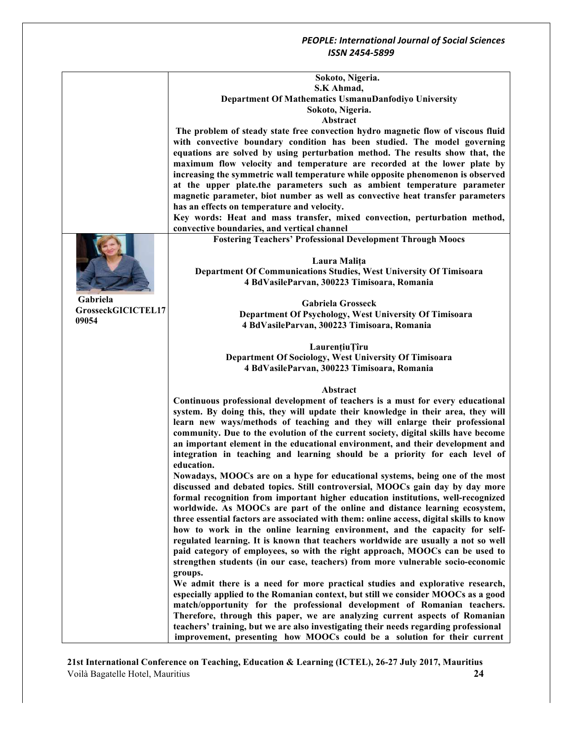| Sokoto, Nigeria.<br>S.K Ahmad,<br>Department Of Mathematics UsmanuDanfodiyo University<br>Sokoto, Nigeria.<br>Abstract<br>The problem of steady state free convection hydro magnetic flow of viscous fluid<br>with convective boundary condition has been studied. The model governing<br>equations are solved by using perturbation method. The results show that, the<br>maximum flow velocity and temperature are recorded at the lower plate by<br>increasing the symmetric wall temperature while opposite phenomenon is observed<br>at the upper plate.the parameters such as ambient temperature parameter<br>magnetic parameter, biot number as well as convective heat transfer parameters<br>has an effects on temperature and velocity.<br>Key words: Heat and mass transfer, mixed convection, perturbation method,<br>convective boundaries, and vertical channel<br><b>Fostering Teachers' Professional Development Through Moocs</b><br>Laura Malița<br>Department Of Communications Studies, West University Of Timisoara<br>4 BdVasileParvan, 300223 Timisoara, Romania<br>Gabriela<br><b>Gabriela Grosseck</b><br>GrosseckGICICTEL17<br>Department Of Psychology, West University Of Timisoara<br>09054<br>4 BdVasileParvan, 300223 Timisoara, Romania<br><b>Laurențiu</b> Țîru<br>Department Of Sociology, West University Of Timisoara<br>4 BdVasileParvan, 300223 Timisoara, Romania<br>Abstract<br>Continuous professional development of teachers is a must for every educational<br>system. By doing this, they will update their knowledge in their area, they will<br>learn new ways/methods of teaching and they will enlarge their professional<br>community. Due to the evolution of the current society, digital skills have become<br>an important element in the educational environment, and their development and<br>integration in teaching and learning should be a priority for each level of<br>education.<br>Nowadays, MOOCs are on a hype for educational systems, being one of the most<br>discussed and debated topics. Still controversial, MOOCs gain day by day more<br>formal recognition from important higher education institutions, well-recognized<br>worldwide. As MOOCs are part of the online and distance learning ecosystem,<br>three essential factors are associated with them: online access, digital skills to know<br>how to work in the online learning environment, and the capacity for self-<br>regulated learning. It is known that teachers worldwide are usually a not so well<br>paid category of employees, so with the right approach, MOOCs can be used to<br>strengthen students (in our case, teachers) from more vulnerable socio-economic<br>groups.<br>We admit there is a need for more practical studies and explorative research,<br>especially applied to the Romanian context, but still we consider MOOCs as a good<br>match/opportunity for the professional development of Romanian teachers.<br>Therefore, through this paper, we are analyzing current aspects of Romanian<br>teachers' training, but we are also investigating their needs regarding professional<br>improvement, presenting how MOOCs could be a solution for their current |  |
|--------------------------------------------------------------------------------------------------------------------------------------------------------------------------------------------------------------------------------------------------------------------------------------------------------------------------------------------------------------------------------------------------------------------------------------------------------------------------------------------------------------------------------------------------------------------------------------------------------------------------------------------------------------------------------------------------------------------------------------------------------------------------------------------------------------------------------------------------------------------------------------------------------------------------------------------------------------------------------------------------------------------------------------------------------------------------------------------------------------------------------------------------------------------------------------------------------------------------------------------------------------------------------------------------------------------------------------------------------------------------------------------------------------------------------------------------------------------------------------------------------------------------------------------------------------------------------------------------------------------------------------------------------------------------------------------------------------------------------------------------------------------------------------------------------------------------------------------------------------------------------------------------------------------------------------------------------------------------------------------------------------------------------------------------------------------------------------------------------------------------------------------------------------------------------------------------------------------------------------------------------------------------------------------------------------------------------------------------------------------------------------------------------------------------------------------------------------------------------------------------------------------------------------------------------------------------------------------------------------------------------------------------------------------------------------------------------------------------------------------------------------------------------------------------------------------------------------------------------------------------------------------------------------------------------------------------------------------------------------------------------------------------------------------------------------------------------------------------------------------------------------------------------------------------------------------------------------------------------------|--|
|                                                                                                                                                                                                                                                                                                                                                                                                                                                                                                                                                                                                                                                                                                                                                                                                                                                                                                                                                                                                                                                                                                                                                                                                                                                                                                                                                                                                                                                                                                                                                                                                                                                                                                                                                                                                                                                                                                                                                                                                                                                                                                                                                                                                                                                                                                                                                                                                                                                                                                                                                                                                                                                                                                                                                                                                                                                                                                                                                                                                                                                                                                                                                                                                                                      |  |
|                                                                                                                                                                                                                                                                                                                                                                                                                                                                                                                                                                                                                                                                                                                                                                                                                                                                                                                                                                                                                                                                                                                                                                                                                                                                                                                                                                                                                                                                                                                                                                                                                                                                                                                                                                                                                                                                                                                                                                                                                                                                                                                                                                                                                                                                                                                                                                                                                                                                                                                                                                                                                                                                                                                                                                                                                                                                                                                                                                                                                                                                                                                                                                                                                                      |  |
|                                                                                                                                                                                                                                                                                                                                                                                                                                                                                                                                                                                                                                                                                                                                                                                                                                                                                                                                                                                                                                                                                                                                                                                                                                                                                                                                                                                                                                                                                                                                                                                                                                                                                                                                                                                                                                                                                                                                                                                                                                                                                                                                                                                                                                                                                                                                                                                                                                                                                                                                                                                                                                                                                                                                                                                                                                                                                                                                                                                                                                                                                                                                                                                                                                      |  |
|                                                                                                                                                                                                                                                                                                                                                                                                                                                                                                                                                                                                                                                                                                                                                                                                                                                                                                                                                                                                                                                                                                                                                                                                                                                                                                                                                                                                                                                                                                                                                                                                                                                                                                                                                                                                                                                                                                                                                                                                                                                                                                                                                                                                                                                                                                                                                                                                                                                                                                                                                                                                                                                                                                                                                                                                                                                                                                                                                                                                                                                                                                                                                                                                                                      |  |
|                                                                                                                                                                                                                                                                                                                                                                                                                                                                                                                                                                                                                                                                                                                                                                                                                                                                                                                                                                                                                                                                                                                                                                                                                                                                                                                                                                                                                                                                                                                                                                                                                                                                                                                                                                                                                                                                                                                                                                                                                                                                                                                                                                                                                                                                                                                                                                                                                                                                                                                                                                                                                                                                                                                                                                                                                                                                                                                                                                                                                                                                                                                                                                                                                                      |  |
|                                                                                                                                                                                                                                                                                                                                                                                                                                                                                                                                                                                                                                                                                                                                                                                                                                                                                                                                                                                                                                                                                                                                                                                                                                                                                                                                                                                                                                                                                                                                                                                                                                                                                                                                                                                                                                                                                                                                                                                                                                                                                                                                                                                                                                                                                                                                                                                                                                                                                                                                                                                                                                                                                                                                                                                                                                                                                                                                                                                                                                                                                                                                                                                                                                      |  |
|                                                                                                                                                                                                                                                                                                                                                                                                                                                                                                                                                                                                                                                                                                                                                                                                                                                                                                                                                                                                                                                                                                                                                                                                                                                                                                                                                                                                                                                                                                                                                                                                                                                                                                                                                                                                                                                                                                                                                                                                                                                                                                                                                                                                                                                                                                                                                                                                                                                                                                                                                                                                                                                                                                                                                                                                                                                                                                                                                                                                                                                                                                                                                                                                                                      |  |
|                                                                                                                                                                                                                                                                                                                                                                                                                                                                                                                                                                                                                                                                                                                                                                                                                                                                                                                                                                                                                                                                                                                                                                                                                                                                                                                                                                                                                                                                                                                                                                                                                                                                                                                                                                                                                                                                                                                                                                                                                                                                                                                                                                                                                                                                                                                                                                                                                                                                                                                                                                                                                                                                                                                                                                                                                                                                                                                                                                                                                                                                                                                                                                                                                                      |  |
|                                                                                                                                                                                                                                                                                                                                                                                                                                                                                                                                                                                                                                                                                                                                                                                                                                                                                                                                                                                                                                                                                                                                                                                                                                                                                                                                                                                                                                                                                                                                                                                                                                                                                                                                                                                                                                                                                                                                                                                                                                                                                                                                                                                                                                                                                                                                                                                                                                                                                                                                                                                                                                                                                                                                                                                                                                                                                                                                                                                                                                                                                                                                                                                                                                      |  |
|                                                                                                                                                                                                                                                                                                                                                                                                                                                                                                                                                                                                                                                                                                                                                                                                                                                                                                                                                                                                                                                                                                                                                                                                                                                                                                                                                                                                                                                                                                                                                                                                                                                                                                                                                                                                                                                                                                                                                                                                                                                                                                                                                                                                                                                                                                                                                                                                                                                                                                                                                                                                                                                                                                                                                                                                                                                                                                                                                                                                                                                                                                                                                                                                                                      |  |
|                                                                                                                                                                                                                                                                                                                                                                                                                                                                                                                                                                                                                                                                                                                                                                                                                                                                                                                                                                                                                                                                                                                                                                                                                                                                                                                                                                                                                                                                                                                                                                                                                                                                                                                                                                                                                                                                                                                                                                                                                                                                                                                                                                                                                                                                                                                                                                                                                                                                                                                                                                                                                                                                                                                                                                                                                                                                                                                                                                                                                                                                                                                                                                                                                                      |  |
|                                                                                                                                                                                                                                                                                                                                                                                                                                                                                                                                                                                                                                                                                                                                                                                                                                                                                                                                                                                                                                                                                                                                                                                                                                                                                                                                                                                                                                                                                                                                                                                                                                                                                                                                                                                                                                                                                                                                                                                                                                                                                                                                                                                                                                                                                                                                                                                                                                                                                                                                                                                                                                                                                                                                                                                                                                                                                                                                                                                                                                                                                                                                                                                                                                      |  |
|                                                                                                                                                                                                                                                                                                                                                                                                                                                                                                                                                                                                                                                                                                                                                                                                                                                                                                                                                                                                                                                                                                                                                                                                                                                                                                                                                                                                                                                                                                                                                                                                                                                                                                                                                                                                                                                                                                                                                                                                                                                                                                                                                                                                                                                                                                                                                                                                                                                                                                                                                                                                                                                                                                                                                                                                                                                                                                                                                                                                                                                                                                                                                                                                                                      |  |
|                                                                                                                                                                                                                                                                                                                                                                                                                                                                                                                                                                                                                                                                                                                                                                                                                                                                                                                                                                                                                                                                                                                                                                                                                                                                                                                                                                                                                                                                                                                                                                                                                                                                                                                                                                                                                                                                                                                                                                                                                                                                                                                                                                                                                                                                                                                                                                                                                                                                                                                                                                                                                                                                                                                                                                                                                                                                                                                                                                                                                                                                                                                                                                                                                                      |  |
|                                                                                                                                                                                                                                                                                                                                                                                                                                                                                                                                                                                                                                                                                                                                                                                                                                                                                                                                                                                                                                                                                                                                                                                                                                                                                                                                                                                                                                                                                                                                                                                                                                                                                                                                                                                                                                                                                                                                                                                                                                                                                                                                                                                                                                                                                                                                                                                                                                                                                                                                                                                                                                                                                                                                                                                                                                                                                                                                                                                                                                                                                                                                                                                                                                      |  |
|                                                                                                                                                                                                                                                                                                                                                                                                                                                                                                                                                                                                                                                                                                                                                                                                                                                                                                                                                                                                                                                                                                                                                                                                                                                                                                                                                                                                                                                                                                                                                                                                                                                                                                                                                                                                                                                                                                                                                                                                                                                                                                                                                                                                                                                                                                                                                                                                                                                                                                                                                                                                                                                                                                                                                                                                                                                                                                                                                                                                                                                                                                                                                                                                                                      |  |
|                                                                                                                                                                                                                                                                                                                                                                                                                                                                                                                                                                                                                                                                                                                                                                                                                                                                                                                                                                                                                                                                                                                                                                                                                                                                                                                                                                                                                                                                                                                                                                                                                                                                                                                                                                                                                                                                                                                                                                                                                                                                                                                                                                                                                                                                                                                                                                                                                                                                                                                                                                                                                                                                                                                                                                                                                                                                                                                                                                                                                                                                                                                                                                                                                                      |  |
|                                                                                                                                                                                                                                                                                                                                                                                                                                                                                                                                                                                                                                                                                                                                                                                                                                                                                                                                                                                                                                                                                                                                                                                                                                                                                                                                                                                                                                                                                                                                                                                                                                                                                                                                                                                                                                                                                                                                                                                                                                                                                                                                                                                                                                                                                                                                                                                                                                                                                                                                                                                                                                                                                                                                                                                                                                                                                                                                                                                                                                                                                                                                                                                                                                      |  |
|                                                                                                                                                                                                                                                                                                                                                                                                                                                                                                                                                                                                                                                                                                                                                                                                                                                                                                                                                                                                                                                                                                                                                                                                                                                                                                                                                                                                                                                                                                                                                                                                                                                                                                                                                                                                                                                                                                                                                                                                                                                                                                                                                                                                                                                                                                                                                                                                                                                                                                                                                                                                                                                                                                                                                                                                                                                                                                                                                                                                                                                                                                                                                                                                                                      |  |
|                                                                                                                                                                                                                                                                                                                                                                                                                                                                                                                                                                                                                                                                                                                                                                                                                                                                                                                                                                                                                                                                                                                                                                                                                                                                                                                                                                                                                                                                                                                                                                                                                                                                                                                                                                                                                                                                                                                                                                                                                                                                                                                                                                                                                                                                                                                                                                                                                                                                                                                                                                                                                                                                                                                                                                                                                                                                                                                                                                                                                                                                                                                                                                                                                                      |  |
|                                                                                                                                                                                                                                                                                                                                                                                                                                                                                                                                                                                                                                                                                                                                                                                                                                                                                                                                                                                                                                                                                                                                                                                                                                                                                                                                                                                                                                                                                                                                                                                                                                                                                                                                                                                                                                                                                                                                                                                                                                                                                                                                                                                                                                                                                                                                                                                                                                                                                                                                                                                                                                                                                                                                                                                                                                                                                                                                                                                                                                                                                                                                                                                                                                      |  |
|                                                                                                                                                                                                                                                                                                                                                                                                                                                                                                                                                                                                                                                                                                                                                                                                                                                                                                                                                                                                                                                                                                                                                                                                                                                                                                                                                                                                                                                                                                                                                                                                                                                                                                                                                                                                                                                                                                                                                                                                                                                                                                                                                                                                                                                                                                                                                                                                                                                                                                                                                                                                                                                                                                                                                                                                                                                                                                                                                                                                                                                                                                                                                                                                                                      |  |
|                                                                                                                                                                                                                                                                                                                                                                                                                                                                                                                                                                                                                                                                                                                                                                                                                                                                                                                                                                                                                                                                                                                                                                                                                                                                                                                                                                                                                                                                                                                                                                                                                                                                                                                                                                                                                                                                                                                                                                                                                                                                                                                                                                                                                                                                                                                                                                                                                                                                                                                                                                                                                                                                                                                                                                                                                                                                                                                                                                                                                                                                                                                                                                                                                                      |  |
|                                                                                                                                                                                                                                                                                                                                                                                                                                                                                                                                                                                                                                                                                                                                                                                                                                                                                                                                                                                                                                                                                                                                                                                                                                                                                                                                                                                                                                                                                                                                                                                                                                                                                                                                                                                                                                                                                                                                                                                                                                                                                                                                                                                                                                                                                                                                                                                                                                                                                                                                                                                                                                                                                                                                                                                                                                                                                                                                                                                                                                                                                                                                                                                                                                      |  |
|                                                                                                                                                                                                                                                                                                                                                                                                                                                                                                                                                                                                                                                                                                                                                                                                                                                                                                                                                                                                                                                                                                                                                                                                                                                                                                                                                                                                                                                                                                                                                                                                                                                                                                                                                                                                                                                                                                                                                                                                                                                                                                                                                                                                                                                                                                                                                                                                                                                                                                                                                                                                                                                                                                                                                                                                                                                                                                                                                                                                                                                                                                                                                                                                                                      |  |
|                                                                                                                                                                                                                                                                                                                                                                                                                                                                                                                                                                                                                                                                                                                                                                                                                                                                                                                                                                                                                                                                                                                                                                                                                                                                                                                                                                                                                                                                                                                                                                                                                                                                                                                                                                                                                                                                                                                                                                                                                                                                                                                                                                                                                                                                                                                                                                                                                                                                                                                                                                                                                                                                                                                                                                                                                                                                                                                                                                                                                                                                                                                                                                                                                                      |  |
|                                                                                                                                                                                                                                                                                                                                                                                                                                                                                                                                                                                                                                                                                                                                                                                                                                                                                                                                                                                                                                                                                                                                                                                                                                                                                                                                                                                                                                                                                                                                                                                                                                                                                                                                                                                                                                                                                                                                                                                                                                                                                                                                                                                                                                                                                                                                                                                                                                                                                                                                                                                                                                                                                                                                                                                                                                                                                                                                                                                                                                                                                                                                                                                                                                      |  |
|                                                                                                                                                                                                                                                                                                                                                                                                                                                                                                                                                                                                                                                                                                                                                                                                                                                                                                                                                                                                                                                                                                                                                                                                                                                                                                                                                                                                                                                                                                                                                                                                                                                                                                                                                                                                                                                                                                                                                                                                                                                                                                                                                                                                                                                                                                                                                                                                                                                                                                                                                                                                                                                                                                                                                                                                                                                                                                                                                                                                                                                                                                                                                                                                                                      |  |
|                                                                                                                                                                                                                                                                                                                                                                                                                                                                                                                                                                                                                                                                                                                                                                                                                                                                                                                                                                                                                                                                                                                                                                                                                                                                                                                                                                                                                                                                                                                                                                                                                                                                                                                                                                                                                                                                                                                                                                                                                                                                                                                                                                                                                                                                                                                                                                                                                                                                                                                                                                                                                                                                                                                                                                                                                                                                                                                                                                                                                                                                                                                                                                                                                                      |  |
|                                                                                                                                                                                                                                                                                                                                                                                                                                                                                                                                                                                                                                                                                                                                                                                                                                                                                                                                                                                                                                                                                                                                                                                                                                                                                                                                                                                                                                                                                                                                                                                                                                                                                                                                                                                                                                                                                                                                                                                                                                                                                                                                                                                                                                                                                                                                                                                                                                                                                                                                                                                                                                                                                                                                                                                                                                                                                                                                                                                                                                                                                                                                                                                                                                      |  |
|                                                                                                                                                                                                                                                                                                                                                                                                                                                                                                                                                                                                                                                                                                                                                                                                                                                                                                                                                                                                                                                                                                                                                                                                                                                                                                                                                                                                                                                                                                                                                                                                                                                                                                                                                                                                                                                                                                                                                                                                                                                                                                                                                                                                                                                                                                                                                                                                                                                                                                                                                                                                                                                                                                                                                                                                                                                                                                                                                                                                                                                                                                                                                                                                                                      |  |
|                                                                                                                                                                                                                                                                                                                                                                                                                                                                                                                                                                                                                                                                                                                                                                                                                                                                                                                                                                                                                                                                                                                                                                                                                                                                                                                                                                                                                                                                                                                                                                                                                                                                                                                                                                                                                                                                                                                                                                                                                                                                                                                                                                                                                                                                                                                                                                                                                                                                                                                                                                                                                                                                                                                                                                                                                                                                                                                                                                                                                                                                                                                                                                                                                                      |  |
|                                                                                                                                                                                                                                                                                                                                                                                                                                                                                                                                                                                                                                                                                                                                                                                                                                                                                                                                                                                                                                                                                                                                                                                                                                                                                                                                                                                                                                                                                                                                                                                                                                                                                                                                                                                                                                                                                                                                                                                                                                                                                                                                                                                                                                                                                                                                                                                                                                                                                                                                                                                                                                                                                                                                                                                                                                                                                                                                                                                                                                                                                                                                                                                                                                      |  |
|                                                                                                                                                                                                                                                                                                                                                                                                                                                                                                                                                                                                                                                                                                                                                                                                                                                                                                                                                                                                                                                                                                                                                                                                                                                                                                                                                                                                                                                                                                                                                                                                                                                                                                                                                                                                                                                                                                                                                                                                                                                                                                                                                                                                                                                                                                                                                                                                                                                                                                                                                                                                                                                                                                                                                                                                                                                                                                                                                                                                                                                                                                                                                                                                                                      |  |
|                                                                                                                                                                                                                                                                                                                                                                                                                                                                                                                                                                                                                                                                                                                                                                                                                                                                                                                                                                                                                                                                                                                                                                                                                                                                                                                                                                                                                                                                                                                                                                                                                                                                                                                                                                                                                                                                                                                                                                                                                                                                                                                                                                                                                                                                                                                                                                                                                                                                                                                                                                                                                                                                                                                                                                                                                                                                                                                                                                                                                                                                                                                                                                                                                                      |  |
|                                                                                                                                                                                                                                                                                                                                                                                                                                                                                                                                                                                                                                                                                                                                                                                                                                                                                                                                                                                                                                                                                                                                                                                                                                                                                                                                                                                                                                                                                                                                                                                                                                                                                                                                                                                                                                                                                                                                                                                                                                                                                                                                                                                                                                                                                                                                                                                                                                                                                                                                                                                                                                                                                                                                                                                                                                                                                                                                                                                                                                                                                                                                                                                                                                      |  |
|                                                                                                                                                                                                                                                                                                                                                                                                                                                                                                                                                                                                                                                                                                                                                                                                                                                                                                                                                                                                                                                                                                                                                                                                                                                                                                                                                                                                                                                                                                                                                                                                                                                                                                                                                                                                                                                                                                                                                                                                                                                                                                                                                                                                                                                                                                                                                                                                                                                                                                                                                                                                                                                                                                                                                                                                                                                                                                                                                                                                                                                                                                                                                                                                                                      |  |
|                                                                                                                                                                                                                                                                                                                                                                                                                                                                                                                                                                                                                                                                                                                                                                                                                                                                                                                                                                                                                                                                                                                                                                                                                                                                                                                                                                                                                                                                                                                                                                                                                                                                                                                                                                                                                                                                                                                                                                                                                                                                                                                                                                                                                                                                                                                                                                                                                                                                                                                                                                                                                                                                                                                                                                                                                                                                                                                                                                                                                                                                                                                                                                                                                                      |  |
|                                                                                                                                                                                                                                                                                                                                                                                                                                                                                                                                                                                                                                                                                                                                                                                                                                                                                                                                                                                                                                                                                                                                                                                                                                                                                                                                                                                                                                                                                                                                                                                                                                                                                                                                                                                                                                                                                                                                                                                                                                                                                                                                                                                                                                                                                                                                                                                                                                                                                                                                                                                                                                                                                                                                                                                                                                                                                                                                                                                                                                                                                                                                                                                                                                      |  |
|                                                                                                                                                                                                                                                                                                                                                                                                                                                                                                                                                                                                                                                                                                                                                                                                                                                                                                                                                                                                                                                                                                                                                                                                                                                                                                                                                                                                                                                                                                                                                                                                                                                                                                                                                                                                                                                                                                                                                                                                                                                                                                                                                                                                                                                                                                                                                                                                                                                                                                                                                                                                                                                                                                                                                                                                                                                                                                                                                                                                                                                                                                                                                                                                                                      |  |
|                                                                                                                                                                                                                                                                                                                                                                                                                                                                                                                                                                                                                                                                                                                                                                                                                                                                                                                                                                                                                                                                                                                                                                                                                                                                                                                                                                                                                                                                                                                                                                                                                                                                                                                                                                                                                                                                                                                                                                                                                                                                                                                                                                                                                                                                                                                                                                                                                                                                                                                                                                                                                                                                                                                                                                                                                                                                                                                                                                                                                                                                                                                                                                                                                                      |  |
|                                                                                                                                                                                                                                                                                                                                                                                                                                                                                                                                                                                                                                                                                                                                                                                                                                                                                                                                                                                                                                                                                                                                                                                                                                                                                                                                                                                                                                                                                                                                                                                                                                                                                                                                                                                                                                                                                                                                                                                                                                                                                                                                                                                                                                                                                                                                                                                                                                                                                                                                                                                                                                                                                                                                                                                                                                                                                                                                                                                                                                                                                                                                                                                                                                      |  |
|                                                                                                                                                                                                                                                                                                                                                                                                                                                                                                                                                                                                                                                                                                                                                                                                                                                                                                                                                                                                                                                                                                                                                                                                                                                                                                                                                                                                                                                                                                                                                                                                                                                                                                                                                                                                                                                                                                                                                                                                                                                                                                                                                                                                                                                                                                                                                                                                                                                                                                                                                                                                                                                                                                                                                                                                                                                                                                                                                                                                                                                                                                                                                                                                                                      |  |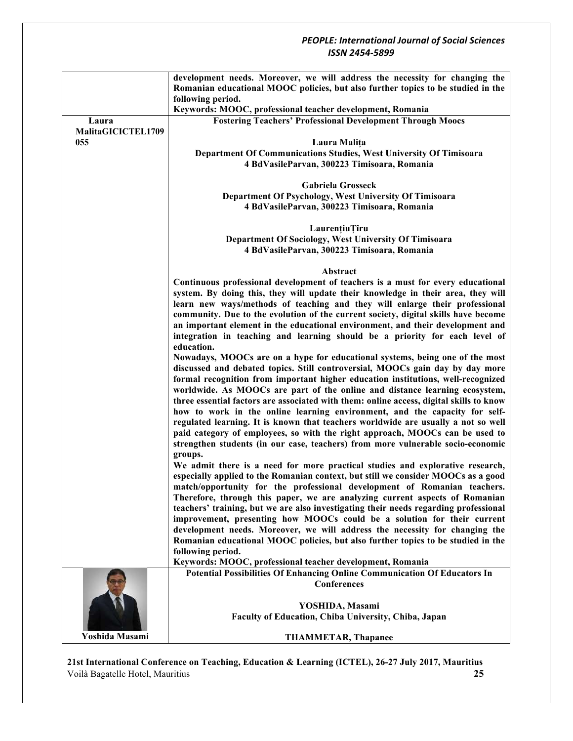|                             | development needs. Moreover, we will address the necessity for changing the<br>Romanian educational MOOC policies, but also further topics to be studied in the                                                                                                                                                                                                                                                                                                                                                                                                                                                                                                                                                                                                              |
|-----------------------------|------------------------------------------------------------------------------------------------------------------------------------------------------------------------------------------------------------------------------------------------------------------------------------------------------------------------------------------------------------------------------------------------------------------------------------------------------------------------------------------------------------------------------------------------------------------------------------------------------------------------------------------------------------------------------------------------------------------------------------------------------------------------------|
|                             | following period.                                                                                                                                                                                                                                                                                                                                                                                                                                                                                                                                                                                                                                                                                                                                                            |
|                             | Keywords: MOOC, professional teacher development, Romania                                                                                                                                                                                                                                                                                                                                                                                                                                                                                                                                                                                                                                                                                                                    |
| Laura<br>MalitaGICICTEL1709 | <b>Fostering Teachers' Professional Development Through Moocs</b>                                                                                                                                                                                                                                                                                                                                                                                                                                                                                                                                                                                                                                                                                                            |
| 055                         | Laura Malița<br>Department Of Communications Studies, West University Of Timisoara<br>4 BdVasileParvan, 300223 Timisoara, Romania                                                                                                                                                                                                                                                                                                                                                                                                                                                                                                                                                                                                                                            |
|                             | <b>Gabriela Grosseck</b><br>Department Of Psychology, West University Of Timisoara<br>4 BdVasileParvan, 300223 Timisoara, Romania                                                                                                                                                                                                                                                                                                                                                                                                                                                                                                                                                                                                                                            |
|                             | LaurențiuȚîru                                                                                                                                                                                                                                                                                                                                                                                                                                                                                                                                                                                                                                                                                                                                                                |
|                             | Department Of Sociology, West University Of Timisoara<br>4 BdVasileParvan, 300223 Timisoara, Romania                                                                                                                                                                                                                                                                                                                                                                                                                                                                                                                                                                                                                                                                         |
|                             | Abstract                                                                                                                                                                                                                                                                                                                                                                                                                                                                                                                                                                                                                                                                                                                                                                     |
|                             | Continuous professional development of teachers is a must for every educational<br>system. By doing this, they will update their knowledge in their area, they will<br>learn new ways/methods of teaching and they will enlarge their professional                                                                                                                                                                                                                                                                                                                                                                                                                                                                                                                           |
|                             | community. Due to the evolution of the current society, digital skills have become<br>an important element in the educational environment, and their development and<br>integration in teaching and learning should be a priority for each level of<br>education.                                                                                                                                                                                                                                                                                                                                                                                                                                                                                                            |
|                             | Nowadays, MOOCs are on a hype for educational systems, being one of the most<br>discussed and debated topics. Still controversial, MOOCs gain day by day more<br>formal recognition from important higher education institutions, well-recognized<br>worldwide. As MOOCs are part of the online and distance learning ecosystem,<br>three essential factors are associated with them: online access, digital skills to know<br>how to work in the online learning environment, and the capacity for self-<br>regulated learning. It is known that teachers worldwide are usually a not so well<br>paid category of employees, so with the right approach, MOOCs can be used to<br>strengthen students (in our case, teachers) from more vulnerable socio-economic<br>groups. |
|                             | We admit there is a need for more practical studies and explorative research,<br>especially applied to the Romanian context, but still we consider MOOCs as a good<br>match/opportunity for the professional development of Romanian teachers.<br>Therefore, through this paper, we are analyzing current aspects of Romanian<br>teachers' training, but we are also investigating their needs regarding professional<br>improvement, presenting how MOOCs could be a solution for their current<br>development needs. Moreover, we will address the necessity for changing the<br>Romanian educational MOOC policies, but also further topics to be studied in the                                                                                                          |
|                             | following period.                                                                                                                                                                                                                                                                                                                                                                                                                                                                                                                                                                                                                                                                                                                                                            |
|                             | Keywords: MOOC, professional teacher development, Romania                                                                                                                                                                                                                                                                                                                                                                                                                                                                                                                                                                                                                                                                                                                    |
|                             | Potential Possibilities Of Enhancing Online Communication Of Educators In<br>Conferences                                                                                                                                                                                                                                                                                                                                                                                                                                                                                                                                                                                                                                                                                     |
|                             | YOSHIDA, Masami                                                                                                                                                                                                                                                                                                                                                                                                                                                                                                                                                                                                                                                                                                                                                              |
|                             | Faculty of Education, Chiba University, Chiba, Japan                                                                                                                                                                                                                                                                                                                                                                                                                                                                                                                                                                                                                                                                                                                         |
| Yoshida Masami              | <b>THAMMETAR, Thapanee</b>                                                                                                                                                                                                                                                                                                                                                                                                                                                                                                                                                                                                                                                                                                                                                   |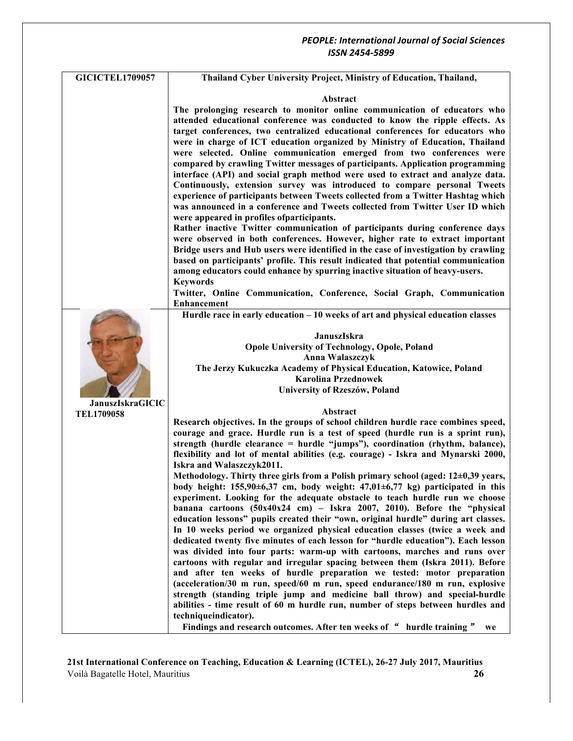| <b>GICICTEL1709057</b>                       | Thailand Cyber University Project, Ministry of Education, Thailand,                                                                                                                                                                                                                                                                                                                                                                                                                                                                                                                                                                                                                                                                                                                                                                                                                                                                                                                                                                                                                                                                                                                                                                                                                                                                                                                                                              |
|----------------------------------------------|----------------------------------------------------------------------------------------------------------------------------------------------------------------------------------------------------------------------------------------------------------------------------------------------------------------------------------------------------------------------------------------------------------------------------------------------------------------------------------------------------------------------------------------------------------------------------------------------------------------------------------------------------------------------------------------------------------------------------------------------------------------------------------------------------------------------------------------------------------------------------------------------------------------------------------------------------------------------------------------------------------------------------------------------------------------------------------------------------------------------------------------------------------------------------------------------------------------------------------------------------------------------------------------------------------------------------------------------------------------------------------------------------------------------------------|
|                                              | Abstract<br>The prolonging research to monitor online communication of educators who<br>attended educational conference was conducted to know the ripple effects. As<br>target conferences, two centralized educational conferences for educators who<br>were in charge of ICT education organized by Ministry of Education, Thailand<br>were selected. Online communication emerged from two conferences were<br>compared by crawling Twitter messages of participants. Application programming<br>interface (API) and social graph method were used to extract and analyze data.<br>Continuously, extension survey was introduced to compare personal Tweets<br>experience of participants between Tweets collected from a Twitter Hashtag which<br>was announced in a conference and Tweets collected from Twitter User ID which<br>were appeared in profiles ofparticipants.<br>Rather inactive Twitter communication of participants during conference days<br>were observed in both conferences. However, higher rate to extract important<br>Bridge users and Hub users were identified in the case of investigation by crawling<br>based on participants' profile. This result indicated that potential communication<br>among educators could enhance by spurring inactive situation of heavy-users.<br><b>Keywords</b><br>Twitter, Online Communication, Conference, Social Graph, Communication<br><b>Enhancement</b> |
| <b>JanuszIskraGICIC</b><br><b>TEL1709058</b> | Hurdle race in early education $-10$ weeks of art and physical education classes<br>JanuszIskra<br>Opole University of Technology, Opole, Poland<br>Anna Walaszczyk<br>The Jerzy Kukuczka Academy of Physical Education, Katowice, Poland<br><b>Karolina Przednowek</b><br>University of Rzeszów, Poland<br>Abstract<br>Research objectives. In the groups of school children hurdle race combines speed,<br>courage and grace. Hurdle run is a test of speed (hurdle run is a sprint run),<br>strength (hurdle clearance = hurdle "jumps"), coordination (rhythm, balance),                                                                                                                                                                                                                                                                                                                                                                                                                                                                                                                                                                                                                                                                                                                                                                                                                                                     |
|                                              | flexibility and lot of mental abilities (e.g. courage) - Iskra and Mynarski 2000,<br>Iskra and Walaszczyk2011.<br>Methodology. Thirty three girls from a Polish primary school (aged: 12±0,39 years,<br>body height: $155,90\pm6,37$ cm, body weight: $47,01\pm6,77$ kg) participated in this<br>experiment. Looking for the adequate obstacle to teach hurdle run we choose<br>banana cartoons $(50x40x24$ cm $)$ - Iskra 2007, 2010). Before the "physical<br>education lessons" pupils created their "own, original hurdle" during art classes.<br>In 10 weeks period we organized physical education classes (twice a week and<br>dedicated twenty five minutes of each lesson for "hurdle education"). Each lesson<br>was divided into four parts: warm-up with cartoons, marches and runs over<br>cartoons with regular and irregular spacing between them (Iskra 2011). Before<br>and after ten weeks of hurdle preparation we tested: motor preparation<br>(acceleration/30 m run, speed/60 m run, speed endurance/180 m run, explosive<br>strength (standing triple jump and medicine ball throw) and special-hurdle<br>abilities - time result of 60 m hurdle run, number of steps between hurdles and<br>techniqueindicator).<br>Findings and research outcomes. After ten weeks of " hurdle training"<br>we                                                                                                          |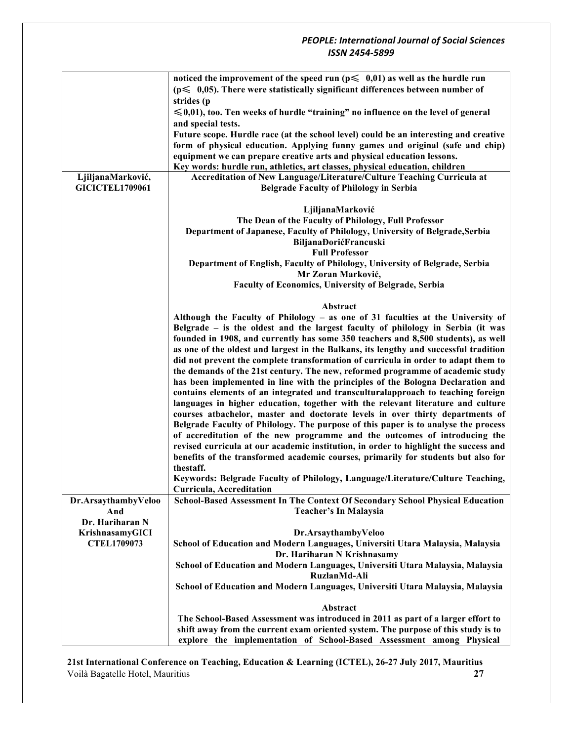|                        | noticed the improvement of the speed run ( $p \leq 0.01$ ) as well as the hurdle run    |
|------------------------|-----------------------------------------------------------------------------------------|
|                        | $(p \leq 0.05)$ . There were statistically significant differences between number of    |
|                        | strides (p                                                                              |
|                        | $\leq 0.01$ ), too. Ten weeks of hurdle "training" no influence on the level of general |
|                        | and special tests.                                                                      |
|                        |                                                                                         |
|                        | Future scope. Hurdle race (at the school level) could be an interesting and creative    |
|                        | form of physical education. Applying funny games and original (safe and chip)           |
|                        | equipment we can prepare creative arts and physical education lessons.                  |
|                        | Key words: hurdle run, athletics, art classes, physical education, children             |
| LjiljanaMarković,      | Accreditation of New Language/Literature/Culture Teaching Curricula at                  |
| <b>GICICTEL1709061</b> | <b>Belgrade Faculty of Philology in Serbia</b>                                          |
|                        |                                                                                         |
|                        | LjiljanaMarković                                                                        |
|                        | The Dean of the Faculty of Philology, Full Professor                                    |
|                        | Department of Japanese, Faculty of Philology, University of Belgrade, Serbia            |
|                        | <b>BiljanaĐorićFrancuski</b>                                                            |
|                        | <b>Full Professor</b>                                                                   |
|                        |                                                                                         |
|                        | Department of English, Faculty of Philology, University of Belgrade, Serbia             |
|                        | Mr Zoran Marković,                                                                      |
|                        | <b>Faculty of Economics, University of Belgrade, Serbia</b>                             |
|                        |                                                                                         |
|                        | Abstract                                                                                |
|                        | Although the Faculty of Philology - as one of 31 faculties at the University of         |
|                        | Belgrade – is the oldest and the largest faculty of philology in Serbia (it was         |
|                        | founded in 1908, and currently has some 350 teachers and 8,500 students), as well       |
|                        | as one of the oldest and largest in the Balkans, its lengthy and successful tradition   |
|                        | did not prevent the complete transformation of curricula in order to adapt them to      |
|                        |                                                                                         |
|                        | the demands of the 21st century. The new, reformed programme of academic study          |
|                        | has been implemented in line with the principles of the Bologna Declaration and         |
|                        | contains elements of an integrated and transculturalapproach to teaching foreign        |
|                        | languages in higher education, together with the relevant literature and culture        |
|                        | courses atbachelor, master and doctorate levels in over thirty departments of           |
|                        | Belgrade Faculty of Philology. The purpose of this paper is to analyse the process      |
|                        | of accreditation of the new programme and the outcomes of introducing the               |
|                        |                                                                                         |
|                        | revised curricula at our academic institution, in order to highlight the success and    |
|                        | benefits of the transformed academic courses, primarily for students but also for       |
|                        | thestaff.                                                                               |
|                        | Keywords: Belgrade Faculty of Philology, Language/Literature/Culture Teaching,          |
|                        | Curricula, Accreditation                                                                |
| Dr.ArsaythambyVeloo    | School-Based Assessment In The Context Of Secondary School Physical Education           |
| And                    | <b>Teacher's In Malaysia</b>                                                            |
| Dr. Hariharan N        |                                                                                         |
| KrishnasamyGICI        | Dr.ArsaythambyVeloo                                                                     |
|                        |                                                                                         |
| <b>CTEL1709073</b>     | School of Education and Modern Languages, Universiti Utara Malaysia, Malaysia           |
|                        | Dr. Hariharan N Krishnasamy                                                             |
|                        | School of Education and Modern Languages, Universiti Utara Malaysia, Malaysia           |
|                        | RuzlanMd-Ali                                                                            |
|                        | School of Education and Modern Languages, Universiti Utara Malaysia, Malaysia           |
|                        |                                                                                         |
|                        | Abstract                                                                                |
|                        | The School-Based Assessment was introduced in 2011 as part of a larger effort to        |
|                        | shift away from the current exam oriented system. The purpose of this study is to       |
|                        | explore the implementation of School-Based Assessment among Physical                    |
|                        |                                                                                         |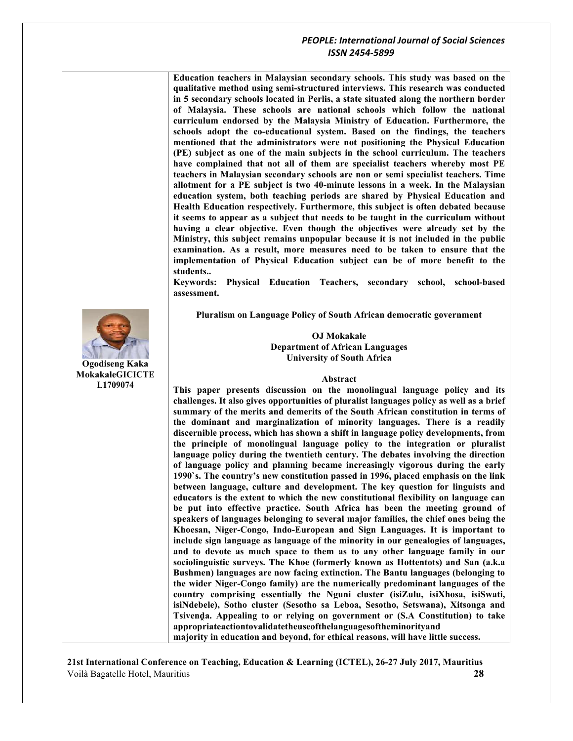**Education teachers in Malaysian secondary schools. This study was based on the qualitative method using semi-structured interviews. This research was conducted in 5 secondary schools located in Perlis, a state situated along the northern border of Malaysia. These schools are national schools which follow the national curriculum endorsed by the Malaysia Ministry of Education. Furthermore, the schools adopt the co-educational system. Based on the findings, the teachers mentioned that the administrators were not positioning the Physical Education (PE) subject as one of the main subjects in the school curriculum. The teachers have complained that not all of them are specialist teachers whereby most PE teachers in Malaysian secondary schools are non or semi specialist teachers. Time allotment for a PE subject is two 40-minute lessons in a week. In the Malaysian education system, both teaching periods are shared by Physical Education and Health Education respectively. Furthermore, this subject is often debated because it seems to appear as a subject that needs to be taught in the curriculum without having a clear objective. Even though the objectives were already set by the Ministry, this subject remains unpopular because it is not included in the public examination. As a result, more measures need to be taken to ensure that the implementation of Physical Education subject can be of more benefit to the students..**

**Keywords: Physical Education Teachers, secondary school, school-based assessment.**

**Pluralism on Language Policy of South African democratic government**

**Ogodiseng Kaka** 

**MokakaleGICICTE L1709074**

**OJ Mokakale Department of African Languages University of South Africa**

#### **Abstract**

**This paper presents discussion on the monolingual language policy and its challenges. It also gives opportunities of pluralist languages policy as well as a brief summary of the merits and demerits of the South African constitution in terms of the dominant and marginalization of minority languages. There is a readily discernible process, which has shown a shift in language policy developments, from the principle of monolingual language policy to the integration or pluralist language policy during the twentieth century. The debates involving the direction of language policy and planning became increasingly vigorous during the early 1990`s. The country's new constitution passed in 1996, placed emphasis on the link between language, culture and development. The key question for linguists and educators is the extent to which the new constitutional flexibility on language can be put into effective practice. South Africa has been the meeting ground of speakers of languages belonging to several major families, the chief ones being the Khoesan, Niger-Congo, Indo-European and Sign Languages. It is important to include sign language as language of the minority in our genealogies of languages, and to devote as much space to them as to any other language family in our sociolinguistic surveys. The Khoe (formerly known as Hottentots) and San (a.k.a Bushmen) languages are now facing extinction. The Bantu languages (belonging to the wider Niger-Congo family) are the numerically predominant languages of the country comprising essentially the Nguni cluster (isiZulu, isiXhosa, isiSwati, isiNdebele), Sotho cluster (Sesotho sa Leboa, Sesotho, Setswana), Xitsonga and Tsivenḓa. Appealing to or relying on government or (S.A Constitution) to take appropriateactiontovalidatetheuseofthelanguagesoftheminorityand majority in education and beyond, for ethical reasons, will have little success.**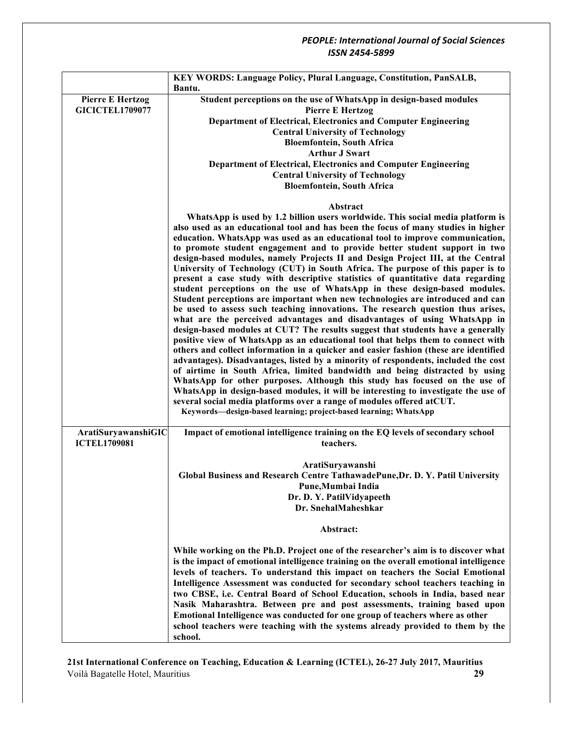|                         | KEY WORDS: Language Policy, Plural Language, Constitution, PanSALB,                                                                                                          |
|-------------------------|------------------------------------------------------------------------------------------------------------------------------------------------------------------------------|
| <b>Pierre E Hertzog</b> | Bantu.<br>Student perceptions on the use of WhatsApp in design-based modules                                                                                                 |
| <b>GICICTEL1709077</b>  | <b>Pierre E Hertzog</b>                                                                                                                                                      |
|                         | Department of Electrical, Electronics and Computer Engineering                                                                                                               |
|                         | <b>Central University of Technology</b>                                                                                                                                      |
|                         | <b>Bloemfontein, South Africa</b>                                                                                                                                            |
|                         | <b>Arthur J Swart</b>                                                                                                                                                        |
|                         | Department of Electrical, Electronics and Computer Engineering<br><b>Central University of Technology</b>                                                                    |
|                         | <b>Bloemfontein, South Africa</b>                                                                                                                                            |
|                         |                                                                                                                                                                              |
|                         | Abstract                                                                                                                                                                     |
|                         | WhatsApp is used by 1.2 billion users worldwide. This social media platform is                                                                                               |
|                         | also used as an educational tool and has been the focus of many studies in higher<br>education. WhatsApp was used as an educational tool to improve communication,           |
|                         | to promote student engagement and to provide better student support in two                                                                                                   |
|                         | design-based modules, namely Projects II and Design Project III, at the Central                                                                                              |
|                         | University of Technology (CUT) in South Africa. The purpose of this paper is to                                                                                              |
|                         | present a case study with descriptive statistics of quantitative data regarding                                                                                              |
|                         | student perceptions on the use of WhatsApp in these design-based modules.<br>Student perceptions are important when new technologies are introduced and can                  |
|                         | be used to assess such teaching innovations. The research question thus arises,                                                                                              |
|                         | what are the perceived advantages and disadvantages of using WhatsApp in                                                                                                     |
|                         | design-based modules at CUT? The results suggest that students have a generally                                                                                              |
|                         | positive view of WhatsApp as an educational tool that helps them to connect with                                                                                             |
|                         | others and collect information in a quicker and easier fashion (these are identified<br>advantages). Disadvantages, listed by a minority of respondents, included the cost   |
|                         | of airtime in South Africa, limited bandwidth and being distracted by using                                                                                                  |
|                         | WhatsApp for other purposes. Although this study has focused on the use of                                                                                                   |
|                         | WhatsApp in design-based modules, it will be interesting to investigate the use of                                                                                           |
|                         | several social media platforms over a range of modules offered atCUT.                                                                                                        |
|                         | Keywords-design-based learning; project-based learning; WhatsApp                                                                                                             |
| AratiSuryawanshiGIC     | Impact of emotional intelligence training on the EQ levels of secondary school                                                                                               |
| <b>ICTEL1709081</b>     | teachers.                                                                                                                                                                    |
|                         | AratiSuryawanshi                                                                                                                                                             |
|                         | Global Business and Research Centre TathawadePune, Dr. D. Y. Patil University                                                                                                |
|                         | Pune,Mumbai India                                                                                                                                                            |
|                         | Dr. D. Y. PatilVidyapeeth                                                                                                                                                    |
|                         | Dr. SnehalMaheshkar                                                                                                                                                          |
|                         | Abstract:                                                                                                                                                                    |
|                         |                                                                                                                                                                              |
|                         | While working on the Ph.D. Project one of the researcher's aim is to discover what<br>is the impact of emotional intelligence training on the overall emotional intelligence |
|                         | levels of teachers. To understand this impact on teachers the Social Emotional                                                                                               |
|                         | Intelligence Assessment was conducted for secondary school teachers teaching in                                                                                              |
|                         | two CBSE, i.e. Central Board of School Education, schools in India, based near                                                                                               |
|                         | Nasik Maharashtra. Between pre and post assessments, training based upon                                                                                                     |
|                         | Emotional Intelligence was conducted for one group of teachers where as other                                                                                                |
|                         | school teachers were teaching with the systems already provided to them by the                                                                                               |
|                         | school.                                                                                                                                                                      |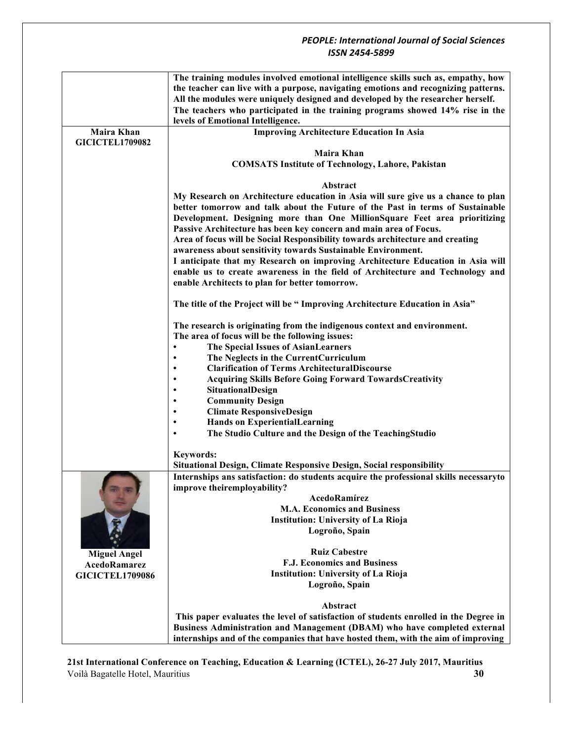|                                            | The training modules involved emotional intelligence skills such as, empathy, how<br>the teacher can live with a purpose, navigating emotions and recognizing patterns.<br>All the modules were uniquely designed and developed by the researcher herself.<br>The teachers who participated in the training programs showed 14% rise in the<br>levels of Emotional Intelligence.                                                                                     |
|--------------------------------------------|----------------------------------------------------------------------------------------------------------------------------------------------------------------------------------------------------------------------------------------------------------------------------------------------------------------------------------------------------------------------------------------------------------------------------------------------------------------------|
| Maira Khan                                 | <b>Improving Architecture Education In Asia</b>                                                                                                                                                                                                                                                                                                                                                                                                                      |
| <b>GICICTEL1709082</b>                     | Maira Khan<br><b>COMSATS Institute of Technology, Lahore, Pakistan</b>                                                                                                                                                                                                                                                                                                                                                                                               |
|                                            | Abstract                                                                                                                                                                                                                                                                                                                                                                                                                                                             |
|                                            | My Research on Architecture education in Asia will sure give us a chance to plan<br>better tomorrow and talk about the Future of the Past in terms of Sustainable<br>Development. Designing more than One MillionSquare Feet area prioritizing<br>Passive Architecture has been key concern and main area of Focus.<br>Area of focus will be Social Responsibility towards architecture and creating<br>awareness about sensitivity towards Sustainable Environment. |
|                                            | I anticipate that my Research on improving Architecture Education in Asia will                                                                                                                                                                                                                                                                                                                                                                                       |
|                                            | enable us to create awareness in the field of Architecture and Technology and                                                                                                                                                                                                                                                                                                                                                                                        |
|                                            | enable Architects to plan for better tomorrow.                                                                                                                                                                                                                                                                                                                                                                                                                       |
|                                            | The title of the Project will be "Improving Architecture Education in Asia"                                                                                                                                                                                                                                                                                                                                                                                          |
|                                            | The research is originating from the indigenous context and environment.<br>The area of focus will be the following issues:                                                                                                                                                                                                                                                                                                                                          |
|                                            | The Special Issues of AsianLearners                                                                                                                                                                                                                                                                                                                                                                                                                                  |
|                                            | The Neglects in the CurrentCurriculum                                                                                                                                                                                                                                                                                                                                                                                                                                |
|                                            | <b>Clarification of Terms ArchitecturalDiscourse</b><br>٠                                                                                                                                                                                                                                                                                                                                                                                                            |
|                                            | <b>Acquiring Skills Before Going Forward Towards Creativity</b>                                                                                                                                                                                                                                                                                                                                                                                                      |
|                                            | SituationalDesign<br><b>Community Design</b>                                                                                                                                                                                                                                                                                                                                                                                                                         |
|                                            | <b>Climate ResponsiveDesign</b>                                                                                                                                                                                                                                                                                                                                                                                                                                      |
|                                            | <b>Hands on ExperientialLearning</b>                                                                                                                                                                                                                                                                                                                                                                                                                                 |
|                                            | The Studio Culture and the Design of the TeachingStudio<br>$\bullet$                                                                                                                                                                                                                                                                                                                                                                                                 |
|                                            |                                                                                                                                                                                                                                                                                                                                                                                                                                                                      |
|                                            | <b>Keywords:</b>                                                                                                                                                                                                                                                                                                                                                                                                                                                     |
|                                            | <b>Situational Design, Climate Responsive Design, Social responsibility</b>                                                                                                                                                                                                                                                                                                                                                                                          |
|                                            | Internships ans satisfaction: do students acquire the professional skills necessaryto<br>improve theiremployability?                                                                                                                                                                                                                                                                                                                                                 |
|                                            | <b>AcedoRamírez</b>                                                                                                                                                                                                                                                                                                                                                                                                                                                  |
|                                            | <b>M.A. Economics and Business</b>                                                                                                                                                                                                                                                                                                                                                                                                                                   |
|                                            | <b>Institution: University of La Rioja</b>                                                                                                                                                                                                                                                                                                                                                                                                                           |
|                                            | Logroño, Spain                                                                                                                                                                                                                                                                                                                                                                                                                                                       |
|                                            | <b>Ruiz Cabestre</b>                                                                                                                                                                                                                                                                                                                                                                                                                                                 |
| <b>Miguel Angel</b><br><b>AcedoRamarez</b> | <b>F.J. Economics and Business</b>                                                                                                                                                                                                                                                                                                                                                                                                                                   |
| <b>GICICTEL1709086</b>                     | <b>Institution: University of La Rioja</b>                                                                                                                                                                                                                                                                                                                                                                                                                           |
|                                            | Logroño, Spain                                                                                                                                                                                                                                                                                                                                                                                                                                                       |
|                                            |                                                                                                                                                                                                                                                                                                                                                                                                                                                                      |
|                                            | Abstract                                                                                                                                                                                                                                                                                                                                                                                                                                                             |
|                                            | This paper evaluates the level of satisfaction of students enrolled in the Degree in<br>Business Administration and Management (DBAM) who have completed external<br>internships and of the companies that have hosted them, with the aim of improving                                                                                                                                                                                                               |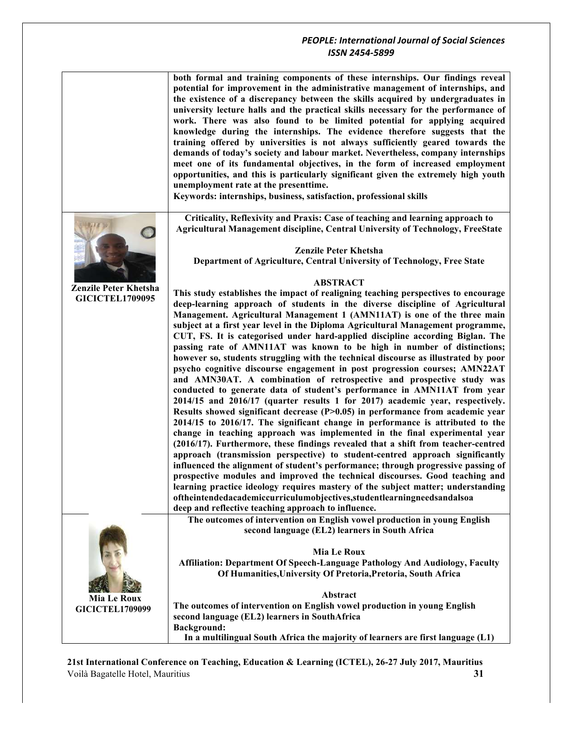|                              | both formal and training components of these internships. Our findings reveal<br>potential for improvement in the administrative management of internships, and<br>the existence of a discrepancy between the skills acquired by undergraduates in<br>university lecture halls and the practical skills necessary for the performance of<br>work. There was also found to be limited potential for applying acquired<br>knowledge during the internships. The evidence therefore suggests that the<br>training offered by universities is not always sufficiently geared towards the<br>demands of today's society and labour market. Nevertheless, company internships<br>meet one of its fundamental objectives, in the form of increased employment<br>opportunities, and this is particularly significant given the extremely high youth<br>unemployment rate at the presenttime.<br>Keywords: internships, business, satisfaction, professional skills |
|------------------------------|-------------------------------------------------------------------------------------------------------------------------------------------------------------------------------------------------------------------------------------------------------------------------------------------------------------------------------------------------------------------------------------------------------------------------------------------------------------------------------------------------------------------------------------------------------------------------------------------------------------------------------------------------------------------------------------------------------------------------------------------------------------------------------------------------------------------------------------------------------------------------------------------------------------------------------------------------------------|
|                              | Criticality, Reflexivity and Praxis: Case of teaching and learning approach to                                                                                                                                                                                                                                                                                                                                                                                                                                                                                                                                                                                                                                                                                                                                                                                                                                                                              |
|                              | <b>Agricultural Management discipline, Central University of Technology, FreeState</b>                                                                                                                                                                                                                                                                                                                                                                                                                                                                                                                                                                                                                                                                                                                                                                                                                                                                      |
|                              |                                                                                                                                                                                                                                                                                                                                                                                                                                                                                                                                                                                                                                                                                                                                                                                                                                                                                                                                                             |
|                              | <b>Zenzile Peter Khetsha</b>                                                                                                                                                                                                                                                                                                                                                                                                                                                                                                                                                                                                                                                                                                                                                                                                                                                                                                                                |
|                              | Department of Agriculture, Central University of Technology, Free State                                                                                                                                                                                                                                                                                                                                                                                                                                                                                                                                                                                                                                                                                                                                                                                                                                                                                     |
|                              | <b>ABSTRACT</b>                                                                                                                                                                                                                                                                                                                                                                                                                                                                                                                                                                                                                                                                                                                                                                                                                                                                                                                                             |
| <b>Zenzile Peter Khetsha</b> | This study establishes the impact of realigning teaching perspectives to encourage                                                                                                                                                                                                                                                                                                                                                                                                                                                                                                                                                                                                                                                                                                                                                                                                                                                                          |
| <b>GICICTEL1709095</b>       | deep-learning approach of students in the diverse discipline of Agricultural                                                                                                                                                                                                                                                                                                                                                                                                                                                                                                                                                                                                                                                                                                                                                                                                                                                                                |
|                              | Management. Agricultural Management 1 (AMN11AT) is one of the three main                                                                                                                                                                                                                                                                                                                                                                                                                                                                                                                                                                                                                                                                                                                                                                                                                                                                                    |
|                              | subject at a first year level in the Diploma Agricultural Management programme,                                                                                                                                                                                                                                                                                                                                                                                                                                                                                                                                                                                                                                                                                                                                                                                                                                                                             |
|                              | CUT, FS. It is categorised under hard-applied discipline according Biglan. The                                                                                                                                                                                                                                                                                                                                                                                                                                                                                                                                                                                                                                                                                                                                                                                                                                                                              |
|                              | passing rate of AMN11AT was known to be high in number of distinctions;                                                                                                                                                                                                                                                                                                                                                                                                                                                                                                                                                                                                                                                                                                                                                                                                                                                                                     |
|                              | however so, students struggling with the technical discourse as illustrated by poor                                                                                                                                                                                                                                                                                                                                                                                                                                                                                                                                                                                                                                                                                                                                                                                                                                                                         |
|                              | psycho cognitive discourse engagement in post progression courses; AMN22AT<br>and AMN30AT. A combination of retrospective and prospective study was                                                                                                                                                                                                                                                                                                                                                                                                                                                                                                                                                                                                                                                                                                                                                                                                         |
|                              | conducted to generate data of student's performance in AMN11AT from year                                                                                                                                                                                                                                                                                                                                                                                                                                                                                                                                                                                                                                                                                                                                                                                                                                                                                    |
|                              | 2014/15 and 2016/17 (quarter results 1 for 2017) academic year, respectively.                                                                                                                                                                                                                                                                                                                                                                                                                                                                                                                                                                                                                                                                                                                                                                                                                                                                               |
|                              | Results showed significant decrease (P>0.05) in performance from academic year                                                                                                                                                                                                                                                                                                                                                                                                                                                                                                                                                                                                                                                                                                                                                                                                                                                                              |
|                              | 2014/15 to 2016/17. The significant change in performance is attributed to the                                                                                                                                                                                                                                                                                                                                                                                                                                                                                                                                                                                                                                                                                                                                                                                                                                                                              |
|                              | change in teaching approach was implemented in the final experimental year                                                                                                                                                                                                                                                                                                                                                                                                                                                                                                                                                                                                                                                                                                                                                                                                                                                                                  |
|                              | (2016/17). Furthermore, these findings revealed that a shift from teacher-centred                                                                                                                                                                                                                                                                                                                                                                                                                                                                                                                                                                                                                                                                                                                                                                                                                                                                           |
|                              | approach (transmission perspective) to student-centred approach significantly                                                                                                                                                                                                                                                                                                                                                                                                                                                                                                                                                                                                                                                                                                                                                                                                                                                                               |
|                              | influenced the alignment of student's performance; through progressive passing of                                                                                                                                                                                                                                                                                                                                                                                                                                                                                                                                                                                                                                                                                                                                                                                                                                                                           |
|                              | prospective modules and improved the technical discourses. Good teaching and                                                                                                                                                                                                                                                                                                                                                                                                                                                                                                                                                                                                                                                                                                                                                                                                                                                                                |
|                              | learning practice ideology requires mastery of the subject matter; understanding<br>oftheintendedacademiccurriculumobjectives, studentlearningneedsandalsoa                                                                                                                                                                                                                                                                                                                                                                                                                                                                                                                                                                                                                                                                                                                                                                                                 |
|                              | deep and reflective teaching approach to influence.                                                                                                                                                                                                                                                                                                                                                                                                                                                                                                                                                                                                                                                                                                                                                                                                                                                                                                         |
|                              | The outcomes of intervention on English vowel production in young English                                                                                                                                                                                                                                                                                                                                                                                                                                                                                                                                                                                                                                                                                                                                                                                                                                                                                   |
|                              | second language (EL2) learners in South Africa                                                                                                                                                                                                                                                                                                                                                                                                                                                                                                                                                                                                                                                                                                                                                                                                                                                                                                              |
|                              |                                                                                                                                                                                                                                                                                                                                                                                                                                                                                                                                                                                                                                                                                                                                                                                                                                                                                                                                                             |
|                              | Mia Le Roux                                                                                                                                                                                                                                                                                                                                                                                                                                                                                                                                                                                                                                                                                                                                                                                                                                                                                                                                                 |
|                              | <b>Affiliation: Department Of Speech-Language Pathology And Audiology, Faculty</b>                                                                                                                                                                                                                                                                                                                                                                                                                                                                                                                                                                                                                                                                                                                                                                                                                                                                          |
|                              | Of Humanities, University Of Pretoria, Pretoria, South Africa                                                                                                                                                                                                                                                                                                                                                                                                                                                                                                                                                                                                                                                                                                                                                                                                                                                                                               |
|                              |                                                                                                                                                                                                                                                                                                                                                                                                                                                                                                                                                                                                                                                                                                                                                                                                                                                                                                                                                             |
| <b>Mia Le Roux</b>           | Abstract<br>The outcomes of intervention on English vowel production in young English                                                                                                                                                                                                                                                                                                                                                                                                                                                                                                                                                                                                                                                                                                                                                                                                                                                                       |
| <b>GICICTEL1709099</b>       | second language (EL2) learners in SouthAfrica                                                                                                                                                                                                                                                                                                                                                                                                                                                                                                                                                                                                                                                                                                                                                                                                                                                                                                               |
|                              | <b>Background:</b>                                                                                                                                                                                                                                                                                                                                                                                                                                                                                                                                                                                                                                                                                                                                                                                                                                                                                                                                          |
|                              | In a multilingual South Africa the majority of learners are first language (L1)                                                                                                                                                                                                                                                                                                                                                                                                                                                                                                                                                                                                                                                                                                                                                                                                                                                                             |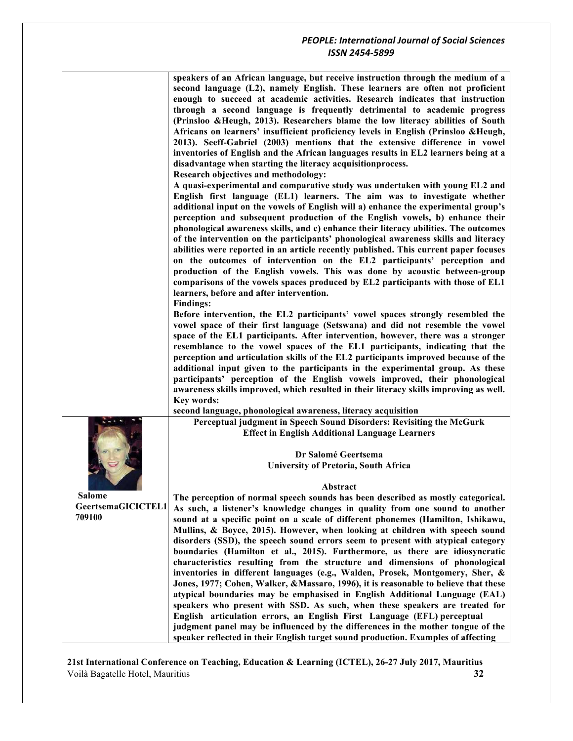|                    | speakers of an African language, but receive instruction through the medium of a<br>second language (L2), namely English. These learners are often not proficient<br>enough to succeed at academic activities. Research indicates that instruction<br>through a second language is frequently detrimental to academic progress<br>(Prinsloo &Heugh, 2013). Researchers blame the low literacy abilities of South<br>Africans on learners' insufficient proficiency levels in English (Prinsloo & Heugh,<br>2013). Seeff-Gabriel (2003) mentions that the extensive difference in vowel<br>inventories of English and the African languages results in EL2 learners being at a<br>disadvantage when starting the literacy acquisitionprocess. |
|--------------------|----------------------------------------------------------------------------------------------------------------------------------------------------------------------------------------------------------------------------------------------------------------------------------------------------------------------------------------------------------------------------------------------------------------------------------------------------------------------------------------------------------------------------------------------------------------------------------------------------------------------------------------------------------------------------------------------------------------------------------------------|
|                    | Research objectives and methodology:                                                                                                                                                                                                                                                                                                                                                                                                                                                                                                                                                                                                                                                                                                         |
|                    | A quasi-experimental and comparative study was undertaken with young EL2 and<br>English first language (EL1) learners. The aim was to investigate whether<br>additional input on the vowels of English will a) enhance the experimental group's<br>perception and subsequent production of the English vowels, b) enhance their<br>phonological awareness skills, and c) enhance their literacy abilities. The outcomes<br>of the intervention on the participants' phonological awareness skills and literacy                                                                                                                                                                                                                               |
|                    | abilities were reported in an article recently published. This current paper focuses                                                                                                                                                                                                                                                                                                                                                                                                                                                                                                                                                                                                                                                         |
|                    | on the outcomes of intervention on the EL2 participants' perception and                                                                                                                                                                                                                                                                                                                                                                                                                                                                                                                                                                                                                                                                      |
|                    | production of the English vowels. This was done by acoustic between-group<br>comparisons of the vowels spaces produced by EL2 participants with those of EL1<br>learners, before and after intervention.                                                                                                                                                                                                                                                                                                                                                                                                                                                                                                                                     |
|                    | <b>Findings:</b><br>Before intervention, the EL2 participants' vowel spaces strongly resembled the<br>vowel space of their first language (Setswana) and did not resemble the vowel<br>space of the EL1 participants. After intervention, however, there was a stronger                                                                                                                                                                                                                                                                                                                                                                                                                                                                      |
|                    | resemblance to the vowel spaces of the EL1 participants, indicating that the                                                                                                                                                                                                                                                                                                                                                                                                                                                                                                                                                                                                                                                                 |
|                    | perception and articulation skills of the EL2 participants improved because of the<br>additional input given to the participants in the experimental group. As these                                                                                                                                                                                                                                                                                                                                                                                                                                                                                                                                                                         |
|                    | participants' perception of the English vowels improved, their phonological                                                                                                                                                                                                                                                                                                                                                                                                                                                                                                                                                                                                                                                                  |
|                    | awareness skills improved, which resulted in their literacy skills improving as well.                                                                                                                                                                                                                                                                                                                                                                                                                                                                                                                                                                                                                                                        |
|                    | <b>Key words:</b>                                                                                                                                                                                                                                                                                                                                                                                                                                                                                                                                                                                                                                                                                                                            |
|                    | second language, phonological awareness, literacy acquisition                                                                                                                                                                                                                                                                                                                                                                                                                                                                                                                                                                                                                                                                                |
|                    | Perceptual judgment in Speech Sound Disorders: Revisiting the McGurk<br><b>Effect in English Additional Language Learners</b>                                                                                                                                                                                                                                                                                                                                                                                                                                                                                                                                                                                                                |
|                    | Dr Salomé Geertsema                                                                                                                                                                                                                                                                                                                                                                                                                                                                                                                                                                                                                                                                                                                          |
|                    | <b>University of Pretoria, South Africa</b>                                                                                                                                                                                                                                                                                                                                                                                                                                                                                                                                                                                                                                                                                                  |
|                    | Abstract                                                                                                                                                                                                                                                                                                                                                                                                                                                                                                                                                                                                                                                                                                                                     |
| <b>Salome</b>      | The perception of normal speech sounds has been described as mostly categorical.                                                                                                                                                                                                                                                                                                                                                                                                                                                                                                                                                                                                                                                             |
| GeertsemaGICICTEL1 | As such, a listener's knowledge changes in quality from one sound to another                                                                                                                                                                                                                                                                                                                                                                                                                                                                                                                                                                                                                                                                 |
| 709100             | sound at a specific point on a scale of different phonemes (Hamilton, Ishikawa,                                                                                                                                                                                                                                                                                                                                                                                                                                                                                                                                                                                                                                                              |
|                    | Mullins, & Boyce, 2015). However, when looking at children with speech sound<br>disorders (SSD), the speech sound errors seem to present with atypical category                                                                                                                                                                                                                                                                                                                                                                                                                                                                                                                                                                              |
|                    | boundaries (Hamilton et al., 2015). Furthermore, as there are idiosyncratic                                                                                                                                                                                                                                                                                                                                                                                                                                                                                                                                                                                                                                                                  |
|                    | characteristics resulting from the structure and dimensions of phonological                                                                                                                                                                                                                                                                                                                                                                                                                                                                                                                                                                                                                                                                  |
|                    | inventories in different languages (e.g., Walden, Prosek, Montgomery, Sher, &                                                                                                                                                                                                                                                                                                                                                                                                                                                                                                                                                                                                                                                                |
|                    | Jones, 1977; Cohen, Walker, & Massaro, 1996), it is reasonable to believe that these                                                                                                                                                                                                                                                                                                                                                                                                                                                                                                                                                                                                                                                         |
|                    | atypical boundaries may be emphasised in English Additional Language (EAL)                                                                                                                                                                                                                                                                                                                                                                                                                                                                                                                                                                                                                                                                   |
|                    | speakers who present with SSD. As such, when these speakers are treated for<br>English articulation errors, an English First Language (EFL) perceptual                                                                                                                                                                                                                                                                                                                                                                                                                                                                                                                                                                                       |
|                    | judgment panel may be influenced by the differences in the mother tongue of the                                                                                                                                                                                                                                                                                                                                                                                                                                                                                                                                                                                                                                                              |
|                    | speaker reflected in their English target sound production. Examples of affecting                                                                                                                                                                                                                                                                                                                                                                                                                                                                                                                                                                                                                                                            |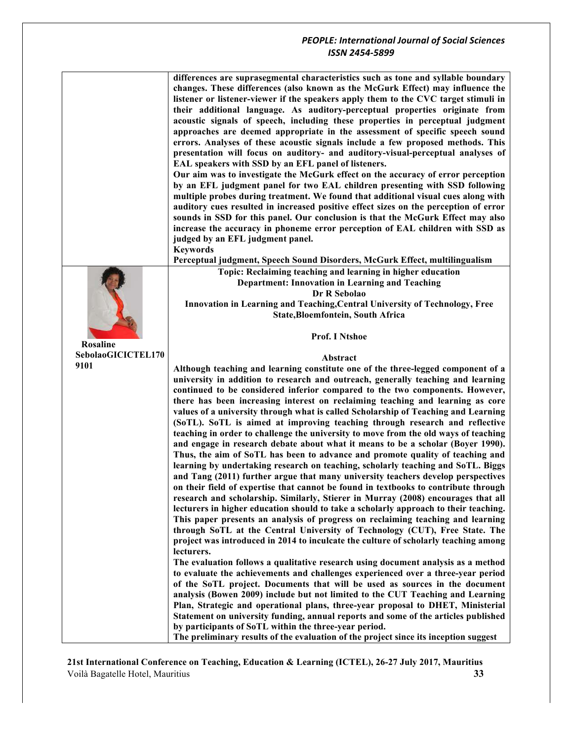|                    | differences are suprasegmental characteristics such as tone and syllable boundary<br>changes. These differences (also known as the McGurk Effect) may influence the<br>listener or listener-viewer if the speakers apply them to the CVC target stimuli in<br>their additional language. As auditory-perceptual properties originate from<br>acoustic signals of speech, including these properties in perceptual judgment<br>approaches are deemed appropriate in the assessment of specific speech sound<br>errors. Analyses of these acoustic signals include a few proposed methods. This<br>presentation will focus on auditory- and auditory-visual-perceptual analyses of<br>EAL speakers with SSD by an EFL panel of listeners.<br>Our aim was to investigate the McGurk effect on the accuracy of error perception<br>by an EFL judgment panel for two EAL children presenting with SSD following<br>multiple probes during treatment. We found that additional visual cues along with<br>auditory cues resulted in increased positive effect sizes on the perception of error<br>sounds in SSD for this panel. Our conclusion is that the McGurk Effect may also<br>increase the accuracy in phoneme error perception of EAL children with SSD as<br>judged by an EFL judgment panel.<br><b>Keywords</b> |
|--------------------|--------------------------------------------------------------------------------------------------------------------------------------------------------------------------------------------------------------------------------------------------------------------------------------------------------------------------------------------------------------------------------------------------------------------------------------------------------------------------------------------------------------------------------------------------------------------------------------------------------------------------------------------------------------------------------------------------------------------------------------------------------------------------------------------------------------------------------------------------------------------------------------------------------------------------------------------------------------------------------------------------------------------------------------------------------------------------------------------------------------------------------------------------------------------------------------------------------------------------------------------------------------------------------------------------------------------|
|                    | Perceptual judgment, Speech Sound Disorders, McGurk Effect, multilingualism                                                                                                                                                                                                                                                                                                                                                                                                                                                                                                                                                                                                                                                                                                                                                                                                                                                                                                                                                                                                                                                                                                                                                                                                                                        |
|                    | Topic: Reclaiming teaching and learning in higher education                                                                                                                                                                                                                                                                                                                                                                                                                                                                                                                                                                                                                                                                                                                                                                                                                                                                                                                                                                                                                                                                                                                                                                                                                                                        |
|                    | <b>Department: Innovation in Learning and Teaching</b>                                                                                                                                                                                                                                                                                                                                                                                                                                                                                                                                                                                                                                                                                                                                                                                                                                                                                                                                                                                                                                                                                                                                                                                                                                                             |
|                    | Dr R Sebolao                                                                                                                                                                                                                                                                                                                                                                                                                                                                                                                                                                                                                                                                                                                                                                                                                                                                                                                                                                                                                                                                                                                                                                                                                                                                                                       |
|                    | Innovation in Learning and Teaching, Central University of Technology, Free                                                                                                                                                                                                                                                                                                                                                                                                                                                                                                                                                                                                                                                                                                                                                                                                                                                                                                                                                                                                                                                                                                                                                                                                                                        |
|                    | <b>State, Bloemfontein, South Africa</b>                                                                                                                                                                                                                                                                                                                                                                                                                                                                                                                                                                                                                                                                                                                                                                                                                                                                                                                                                                                                                                                                                                                                                                                                                                                                           |
|                    |                                                                                                                                                                                                                                                                                                                                                                                                                                                                                                                                                                                                                                                                                                                                                                                                                                                                                                                                                                                                                                                                                                                                                                                                                                                                                                                    |
| <b>Rosaline</b>    | Prof. I Ntshoe                                                                                                                                                                                                                                                                                                                                                                                                                                                                                                                                                                                                                                                                                                                                                                                                                                                                                                                                                                                                                                                                                                                                                                                                                                                                                                     |
| SebolaoGICICTEL170 |                                                                                                                                                                                                                                                                                                                                                                                                                                                                                                                                                                                                                                                                                                                                                                                                                                                                                                                                                                                                                                                                                                                                                                                                                                                                                                                    |
| 9101               | Abstract                                                                                                                                                                                                                                                                                                                                                                                                                                                                                                                                                                                                                                                                                                                                                                                                                                                                                                                                                                                                                                                                                                                                                                                                                                                                                                           |
|                    | Although teaching and learning constitute one of the three-legged component of a                                                                                                                                                                                                                                                                                                                                                                                                                                                                                                                                                                                                                                                                                                                                                                                                                                                                                                                                                                                                                                                                                                                                                                                                                                   |
|                    | university in addition to research and outreach, generally teaching and learning<br>continued to be considered inferior compared to the two components. However,                                                                                                                                                                                                                                                                                                                                                                                                                                                                                                                                                                                                                                                                                                                                                                                                                                                                                                                                                                                                                                                                                                                                                   |
|                    | there has been increasing interest on reclaiming teaching and learning as core                                                                                                                                                                                                                                                                                                                                                                                                                                                                                                                                                                                                                                                                                                                                                                                                                                                                                                                                                                                                                                                                                                                                                                                                                                     |
|                    | values of a university through what is called Scholarship of Teaching and Learning                                                                                                                                                                                                                                                                                                                                                                                                                                                                                                                                                                                                                                                                                                                                                                                                                                                                                                                                                                                                                                                                                                                                                                                                                                 |
|                    | (SoTL). SoTL is aimed at improving teaching through research and reflective                                                                                                                                                                                                                                                                                                                                                                                                                                                                                                                                                                                                                                                                                                                                                                                                                                                                                                                                                                                                                                                                                                                                                                                                                                        |
|                    | teaching in order to challenge the university to move from the old ways of teaching                                                                                                                                                                                                                                                                                                                                                                                                                                                                                                                                                                                                                                                                                                                                                                                                                                                                                                                                                                                                                                                                                                                                                                                                                                |
|                    | and engage in research debate about what it means to be a scholar (Boyer 1990).                                                                                                                                                                                                                                                                                                                                                                                                                                                                                                                                                                                                                                                                                                                                                                                                                                                                                                                                                                                                                                                                                                                                                                                                                                    |
|                    | Thus, the aim of SoTL has been to advance and promote quality of teaching and                                                                                                                                                                                                                                                                                                                                                                                                                                                                                                                                                                                                                                                                                                                                                                                                                                                                                                                                                                                                                                                                                                                                                                                                                                      |
|                    | learning by undertaking research on teaching, scholarly teaching and SoTL. Biggs                                                                                                                                                                                                                                                                                                                                                                                                                                                                                                                                                                                                                                                                                                                                                                                                                                                                                                                                                                                                                                                                                                                                                                                                                                   |
|                    | and Tang (2011) further argue that many university teachers develop perspectives                                                                                                                                                                                                                                                                                                                                                                                                                                                                                                                                                                                                                                                                                                                                                                                                                                                                                                                                                                                                                                                                                                                                                                                                                                   |
|                    | on their field of expertise that cannot be found in textbooks to contribute through                                                                                                                                                                                                                                                                                                                                                                                                                                                                                                                                                                                                                                                                                                                                                                                                                                                                                                                                                                                                                                                                                                                                                                                                                                |
|                    | research and scholarship. Similarly, Stierer in Murray (2008) encourages that all                                                                                                                                                                                                                                                                                                                                                                                                                                                                                                                                                                                                                                                                                                                                                                                                                                                                                                                                                                                                                                                                                                                                                                                                                                  |
|                    | lecturers in higher education should to take a scholarly approach to their teaching.                                                                                                                                                                                                                                                                                                                                                                                                                                                                                                                                                                                                                                                                                                                                                                                                                                                                                                                                                                                                                                                                                                                                                                                                                               |
|                    | This paper presents an analysis of progress on reclaiming teaching and learning                                                                                                                                                                                                                                                                                                                                                                                                                                                                                                                                                                                                                                                                                                                                                                                                                                                                                                                                                                                                                                                                                                                                                                                                                                    |
|                    | through SoTL at the Central University of Technology (CUT), Free State. The                                                                                                                                                                                                                                                                                                                                                                                                                                                                                                                                                                                                                                                                                                                                                                                                                                                                                                                                                                                                                                                                                                                                                                                                                                        |
|                    | project was introduced in 2014 to inculcate the culture of scholarly teaching among                                                                                                                                                                                                                                                                                                                                                                                                                                                                                                                                                                                                                                                                                                                                                                                                                                                                                                                                                                                                                                                                                                                                                                                                                                |
|                    | lecturers.                                                                                                                                                                                                                                                                                                                                                                                                                                                                                                                                                                                                                                                                                                                                                                                                                                                                                                                                                                                                                                                                                                                                                                                                                                                                                                         |
|                    | The evaluation follows a qualitative research using document analysis as a method                                                                                                                                                                                                                                                                                                                                                                                                                                                                                                                                                                                                                                                                                                                                                                                                                                                                                                                                                                                                                                                                                                                                                                                                                                  |
|                    | to evaluate the achievements and challenges experienced over a three-year period                                                                                                                                                                                                                                                                                                                                                                                                                                                                                                                                                                                                                                                                                                                                                                                                                                                                                                                                                                                                                                                                                                                                                                                                                                   |
|                    | of the SoTL project. Documents that will be used as sources in the document                                                                                                                                                                                                                                                                                                                                                                                                                                                                                                                                                                                                                                                                                                                                                                                                                                                                                                                                                                                                                                                                                                                                                                                                                                        |
|                    | analysis (Bowen 2009) include but not limited to the CUT Teaching and Learning                                                                                                                                                                                                                                                                                                                                                                                                                                                                                                                                                                                                                                                                                                                                                                                                                                                                                                                                                                                                                                                                                                                                                                                                                                     |
|                    | Plan, Strategic and operational plans, three-year proposal to DHET, Ministerial                                                                                                                                                                                                                                                                                                                                                                                                                                                                                                                                                                                                                                                                                                                                                                                                                                                                                                                                                                                                                                                                                                                                                                                                                                    |
|                    | Statement on university funding, annual reports and some of the articles published                                                                                                                                                                                                                                                                                                                                                                                                                                                                                                                                                                                                                                                                                                                                                                                                                                                                                                                                                                                                                                                                                                                                                                                                                                 |
|                    | by participants of SoTL within the three-year period.                                                                                                                                                                                                                                                                                                                                                                                                                                                                                                                                                                                                                                                                                                                                                                                                                                                                                                                                                                                                                                                                                                                                                                                                                                                              |
|                    | The preliminary results of the evaluation of the project since its inception suggest                                                                                                                                                                                                                                                                                                                                                                                                                                                                                                                                                                                                                                                                                                                                                                                                                                                                                                                                                                                                                                                                                                                                                                                                                               |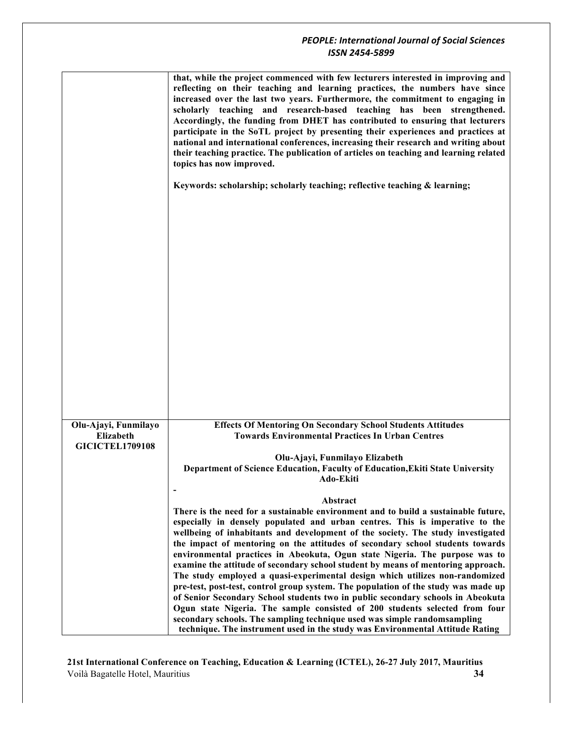|                                     | that, while the project commenced with few lecturers interested in improving and<br>reflecting on their teaching and learning practices, the numbers have since<br>increased over the last two years. Furthermore, the commitment to engaging in<br>scholarly teaching and research-based teaching has been strengthened.<br>Accordingly, the funding from DHET has contributed to ensuring that lecturers<br>participate in the SoTL project by presenting their experiences and practices at<br>national and international conferences, increasing their research and writing about<br>their teaching practice. The publication of articles on teaching and learning related<br>topics has now improved.<br>Keywords: scholarship; scholarly teaching; reflective teaching & learning; |
|-------------------------------------|------------------------------------------------------------------------------------------------------------------------------------------------------------------------------------------------------------------------------------------------------------------------------------------------------------------------------------------------------------------------------------------------------------------------------------------------------------------------------------------------------------------------------------------------------------------------------------------------------------------------------------------------------------------------------------------------------------------------------------------------------------------------------------------|
| Olu-Ajayi, Funmilayo                | <b>Effects Of Mentoring On Secondary School Students Attitudes</b>                                                                                                                                                                                                                                                                                                                                                                                                                                                                                                                                                                                                                                                                                                                       |
| Elizabeth<br><b>GICICTEL1709108</b> | <b>Towards Environmental Practices In Urban Centres</b>                                                                                                                                                                                                                                                                                                                                                                                                                                                                                                                                                                                                                                                                                                                                  |
|                                     | Olu-Ajayi, Funmilayo Elizabeth                                                                                                                                                                                                                                                                                                                                                                                                                                                                                                                                                                                                                                                                                                                                                           |
|                                     | Department of Science Education, Faculty of Education, Ekiti State University<br>Ado-Ekiti                                                                                                                                                                                                                                                                                                                                                                                                                                                                                                                                                                                                                                                                                               |
|                                     | Abstract                                                                                                                                                                                                                                                                                                                                                                                                                                                                                                                                                                                                                                                                                                                                                                                 |
|                                     | There is the need for a sustainable environment and to build a sustainable future,                                                                                                                                                                                                                                                                                                                                                                                                                                                                                                                                                                                                                                                                                                       |
|                                     | especially in densely populated and urban centres. This is imperative to the<br>wellbeing of inhabitants and development of the society. The study investigated                                                                                                                                                                                                                                                                                                                                                                                                                                                                                                                                                                                                                          |
|                                     | the impact of mentoring on the attitudes of secondary school students towards<br>environmental practices in Abeokuta, Ogun state Nigeria. The purpose was to                                                                                                                                                                                                                                                                                                                                                                                                                                                                                                                                                                                                                             |
|                                     | examine the attitude of secondary school student by means of mentoring approach.                                                                                                                                                                                                                                                                                                                                                                                                                                                                                                                                                                                                                                                                                                         |
|                                     | The study employed a quasi-experimental design which utilizes non-randomized<br>pre-test, post-test, control group system. The population of the study was made up                                                                                                                                                                                                                                                                                                                                                                                                                                                                                                                                                                                                                       |
|                                     | of Senior Secondary School students two in public secondary schools in Abeokuta                                                                                                                                                                                                                                                                                                                                                                                                                                                                                                                                                                                                                                                                                                          |
|                                     | Ogun state Nigeria. The sample consisted of 200 students selected from four<br>secondary schools. The sampling technique used was simple randomsampling                                                                                                                                                                                                                                                                                                                                                                                                                                                                                                                                                                                                                                  |
|                                     | technique. The instrument used in the study was Environmental Attitude Rating                                                                                                                                                                                                                                                                                                                                                                                                                                                                                                                                                                                                                                                                                                            |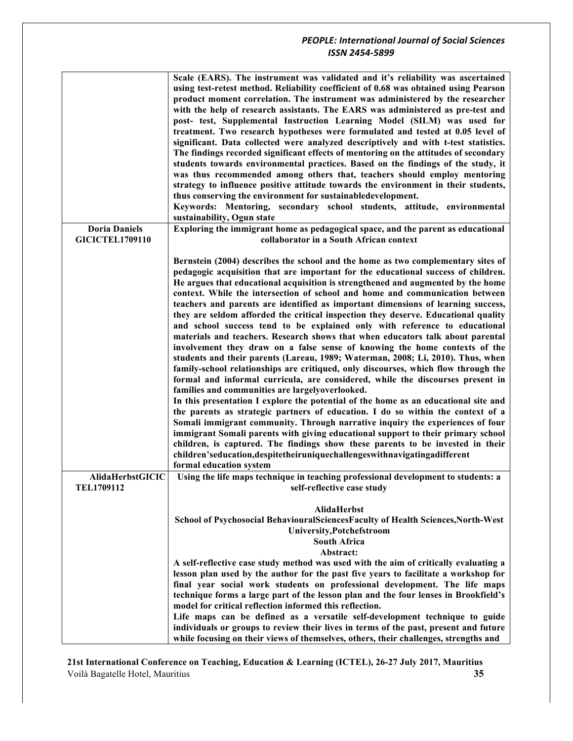|                                                | Scale (EARS). The instrument was validated and it's reliability was ascertained<br>using test-retest method. Reliability coefficient of 0.68 was obtained using Pearson<br>product moment correlation. The instrument was administered by the researcher<br>with the help of research assistants. The EARS was administered as pre-test and<br>post- test, Supplemental Instruction Learning Model (SILM) was used for<br>treatment. Two research hypotheses were formulated and tested at 0.05 level of<br>significant. Data collected were analyzed descriptively and with t-test statistics.<br>The findings recorded significant effects of mentoring on the attitudes of secondary<br>students towards environmental practices. Based on the findings of the study, it<br>was thus recommended among others that, teachers should employ mentoring<br>strategy to influence positive attitude towards the environment in their students,<br>thus conserving the environment for sustainabledevelopment.<br>Keywords: Mentoring, secondary school students, attitude, environmental<br>sustainability, Ogun state                                                                                                                                                                                                                                                                                                                                                                                                                                                                                                        |
|------------------------------------------------|------------------------------------------------------------------------------------------------------------------------------------------------------------------------------------------------------------------------------------------------------------------------------------------------------------------------------------------------------------------------------------------------------------------------------------------------------------------------------------------------------------------------------------------------------------------------------------------------------------------------------------------------------------------------------------------------------------------------------------------------------------------------------------------------------------------------------------------------------------------------------------------------------------------------------------------------------------------------------------------------------------------------------------------------------------------------------------------------------------------------------------------------------------------------------------------------------------------------------------------------------------------------------------------------------------------------------------------------------------------------------------------------------------------------------------------------------------------------------------------------------------------------------------------------------------------------------------------------------------------------------|
| <b>Doria Daniels</b><br><b>GICICTEL1709110</b> | Exploring the immigrant home as pedagogical space, and the parent as educational<br>collaborator in a South African context                                                                                                                                                                                                                                                                                                                                                                                                                                                                                                                                                                                                                                                                                                                                                                                                                                                                                                                                                                                                                                                                                                                                                                                                                                                                                                                                                                                                                                                                                                  |
|                                                | Bernstein (2004) describes the school and the home as two complementary sites of<br>pedagogic acquisition that are important for the educational success of children.<br>He argues that educational acquisition is strengthened and augmented by the home<br>context. While the intersection of school and home and communication between<br>teachers and parents are identified as important dimensions of learning success,<br>they are seldom afforded the critical inspection they deserve. Educational quality<br>and school success tend to be explained only with reference to educational<br>materials and teachers. Research shows that when educators talk about parental<br>involvement they draw on a false sense of knowing the home contexts of the<br>students and their parents (Lareau, 1989; Waterman, 2008; Li, 2010). Thus, when<br>family-school relationships are critiqued, only discourses, which flow through the<br>formal and informal curricula, are considered, while the discourses present in<br>families and communities are largelyoverlooked.<br>In this presentation I explore the potential of the home as an educational site and<br>the parents as strategic partners of education. I do so within the context of a<br>Somali immigrant community. Through narrative inquiry the experiences of four<br>immigrant Somali parents with giving educational support to their primary school<br>children, is captured. The findings show these parents to be invested in their<br>children'seducation, despitetheiruniquechallenges with navigating a different<br>formal education system |
| AlidaHerbstGICIC<br><b>TEL1709112</b>          | Using the life maps technique in teaching professional development to students: a<br>self-reflective case study                                                                                                                                                                                                                                                                                                                                                                                                                                                                                                                                                                                                                                                                                                                                                                                                                                                                                                                                                                                                                                                                                                                                                                                                                                                                                                                                                                                                                                                                                                              |
|                                                | AlidaHerbst<br>School of Psychosocial BehaviouralSciencesFaculty of Health Sciences, North-West<br>University, Potchefstroom<br><b>South Africa</b><br>Abstract:<br>A self-reflective case study method was used with the aim of critically evaluating a<br>lesson plan used by the author for the past five years to facilitate a workshop for<br>final year social work students on professional development. The life maps<br>technique forms a large part of the lesson plan and the four lenses in Brookfield's<br>model for critical reflection informed this reflection.<br>Life maps can be defined as a versatile self-development technique to guide<br>individuals or groups to review their lives in terms of the past, present and future<br>while focusing on their views of themselves, others, their challenges, strengths and                                                                                                                                                                                                                                                                                                                                                                                                                                                                                                                                                                                                                                                                                                                                                                               |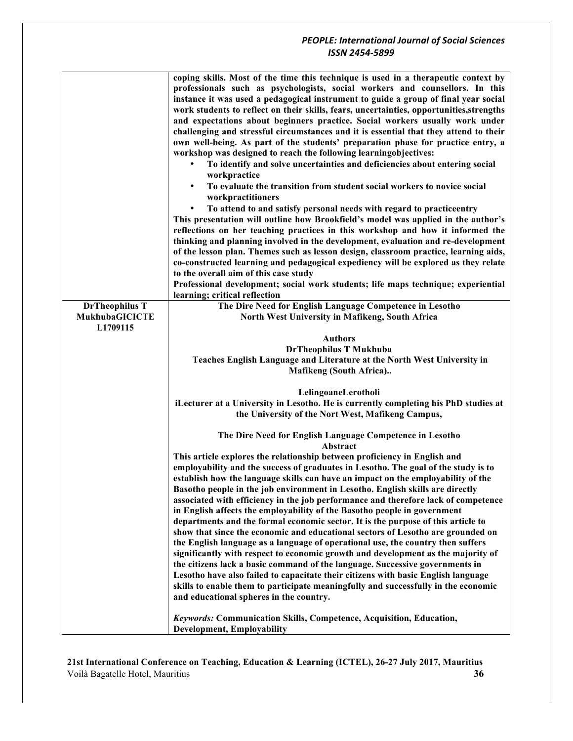| <b>DrTheophilus T</b> | coping skills. Most of the time this technique is used in a therapeutic context by<br>professionals such as psychologists, social workers and counsellors. In this<br>instance it was used a pedagogical instrument to guide a group of final year social<br>work students to reflect on their skills, fears, uncertainties, opportunities, strengths<br>and expectations about beginners practice. Social workers usually work under<br>challenging and stressful circumstances and it is essential that they attend to their<br>own well-being. As part of the students' preparation phase for practice entry, a<br>workshop was designed to reach the following learningobjectives:<br>To identify and solve uncertainties and deficiencies about entering social<br>workpractice<br>To evaluate the transition from student social workers to novice social<br>٠<br>workpractitioners<br>To attend to and satisfy personal needs with regard to practiceentry<br>This presentation will outline how Brookfield's model was applied in the author's<br>reflections on her teaching practices in this workshop and how it informed the<br>thinking and planning involved in the development, evaluation and re-development<br>of the lesson plan. Themes such as lesson design, classroom practice, learning aids,<br>co-constructed learning and pedagogical expediency will be explored as they relate<br>to the overall aim of this case study<br>Professional development; social work students; life maps technique; experiential<br>learning; critical reflection<br>The Dire Need for English Language Competence in Lesotho |
|-----------------------|---------------------------------------------------------------------------------------------------------------------------------------------------------------------------------------------------------------------------------------------------------------------------------------------------------------------------------------------------------------------------------------------------------------------------------------------------------------------------------------------------------------------------------------------------------------------------------------------------------------------------------------------------------------------------------------------------------------------------------------------------------------------------------------------------------------------------------------------------------------------------------------------------------------------------------------------------------------------------------------------------------------------------------------------------------------------------------------------------------------------------------------------------------------------------------------------------------------------------------------------------------------------------------------------------------------------------------------------------------------------------------------------------------------------------------------------------------------------------------------------------------------------------------------------------------------------------------------------------------------------------------------|
| <b>MukhubaGICICTE</b> | North West University in Mafikeng, South Africa                                                                                                                                                                                                                                                                                                                                                                                                                                                                                                                                                                                                                                                                                                                                                                                                                                                                                                                                                                                                                                                                                                                                                                                                                                                                                                                                                                                                                                                                                                                                                                                       |
| L1709115              | <b>Authors</b>                                                                                                                                                                                                                                                                                                                                                                                                                                                                                                                                                                                                                                                                                                                                                                                                                                                                                                                                                                                                                                                                                                                                                                                                                                                                                                                                                                                                                                                                                                                                                                                                                        |
|                       | <b>DrTheophilus T Mukhuba</b>                                                                                                                                                                                                                                                                                                                                                                                                                                                                                                                                                                                                                                                                                                                                                                                                                                                                                                                                                                                                                                                                                                                                                                                                                                                                                                                                                                                                                                                                                                                                                                                                         |
|                       | Teaches English Language and Literature at the North West University in                                                                                                                                                                                                                                                                                                                                                                                                                                                                                                                                                                                                                                                                                                                                                                                                                                                                                                                                                                                                                                                                                                                                                                                                                                                                                                                                                                                                                                                                                                                                                               |
|                       | Mafikeng (South Africa)                                                                                                                                                                                                                                                                                                                                                                                                                                                                                                                                                                                                                                                                                                                                                                                                                                                                                                                                                                                                                                                                                                                                                                                                                                                                                                                                                                                                                                                                                                                                                                                                               |
|                       | LelingoaneLerotholi                                                                                                                                                                                                                                                                                                                                                                                                                                                                                                                                                                                                                                                                                                                                                                                                                                                                                                                                                                                                                                                                                                                                                                                                                                                                                                                                                                                                                                                                                                                                                                                                                   |
|                       | iLecturer at a University in Lesotho. He is currently completing his PhD studies at                                                                                                                                                                                                                                                                                                                                                                                                                                                                                                                                                                                                                                                                                                                                                                                                                                                                                                                                                                                                                                                                                                                                                                                                                                                                                                                                                                                                                                                                                                                                                   |
|                       | the University of the Nort West, Mafikeng Campus,                                                                                                                                                                                                                                                                                                                                                                                                                                                                                                                                                                                                                                                                                                                                                                                                                                                                                                                                                                                                                                                                                                                                                                                                                                                                                                                                                                                                                                                                                                                                                                                     |
|                       | The Dire Need for English Language Competence in Lesotho                                                                                                                                                                                                                                                                                                                                                                                                                                                                                                                                                                                                                                                                                                                                                                                                                                                                                                                                                                                                                                                                                                                                                                                                                                                                                                                                                                                                                                                                                                                                                                              |
|                       | Abstract<br>This article explores the relationship between proficiency in English and                                                                                                                                                                                                                                                                                                                                                                                                                                                                                                                                                                                                                                                                                                                                                                                                                                                                                                                                                                                                                                                                                                                                                                                                                                                                                                                                                                                                                                                                                                                                                 |
|                       | employability and the success of graduates in Lesotho. The goal of the study is to                                                                                                                                                                                                                                                                                                                                                                                                                                                                                                                                                                                                                                                                                                                                                                                                                                                                                                                                                                                                                                                                                                                                                                                                                                                                                                                                                                                                                                                                                                                                                    |
|                       | establish how the language skills can have an impact on the employability of the                                                                                                                                                                                                                                                                                                                                                                                                                                                                                                                                                                                                                                                                                                                                                                                                                                                                                                                                                                                                                                                                                                                                                                                                                                                                                                                                                                                                                                                                                                                                                      |
|                       | Basotho people in the job environment in Lesotho. English skills are directly                                                                                                                                                                                                                                                                                                                                                                                                                                                                                                                                                                                                                                                                                                                                                                                                                                                                                                                                                                                                                                                                                                                                                                                                                                                                                                                                                                                                                                                                                                                                                         |
|                       | associated with efficiency in the job performance and therefore lack of competence                                                                                                                                                                                                                                                                                                                                                                                                                                                                                                                                                                                                                                                                                                                                                                                                                                                                                                                                                                                                                                                                                                                                                                                                                                                                                                                                                                                                                                                                                                                                                    |
|                       | in English affects the employability of the Basotho people in government<br>departments and the formal economic sector. It is the purpose of this article to                                                                                                                                                                                                                                                                                                                                                                                                                                                                                                                                                                                                                                                                                                                                                                                                                                                                                                                                                                                                                                                                                                                                                                                                                                                                                                                                                                                                                                                                          |
|                       | show that since the economic and educational sectors of Lesotho are grounded on                                                                                                                                                                                                                                                                                                                                                                                                                                                                                                                                                                                                                                                                                                                                                                                                                                                                                                                                                                                                                                                                                                                                                                                                                                                                                                                                                                                                                                                                                                                                                       |
|                       | the English language as a language of operational use, the country then suffers                                                                                                                                                                                                                                                                                                                                                                                                                                                                                                                                                                                                                                                                                                                                                                                                                                                                                                                                                                                                                                                                                                                                                                                                                                                                                                                                                                                                                                                                                                                                                       |
|                       | significantly with respect to economic growth and development as the majority of                                                                                                                                                                                                                                                                                                                                                                                                                                                                                                                                                                                                                                                                                                                                                                                                                                                                                                                                                                                                                                                                                                                                                                                                                                                                                                                                                                                                                                                                                                                                                      |
|                       | the citizens lack a basic command of the language. Successive governments in                                                                                                                                                                                                                                                                                                                                                                                                                                                                                                                                                                                                                                                                                                                                                                                                                                                                                                                                                                                                                                                                                                                                                                                                                                                                                                                                                                                                                                                                                                                                                          |
|                       | Lesotho have also failed to capacitate their citizens with basic English language<br>skills to enable them to participate meaningfully and successfully in the economic                                                                                                                                                                                                                                                                                                                                                                                                                                                                                                                                                                                                                                                                                                                                                                                                                                                                                                                                                                                                                                                                                                                                                                                                                                                                                                                                                                                                                                                               |
|                       | and educational spheres in the country.                                                                                                                                                                                                                                                                                                                                                                                                                                                                                                                                                                                                                                                                                                                                                                                                                                                                                                                                                                                                                                                                                                                                                                                                                                                                                                                                                                                                                                                                                                                                                                                               |
|                       |                                                                                                                                                                                                                                                                                                                                                                                                                                                                                                                                                                                                                                                                                                                                                                                                                                                                                                                                                                                                                                                                                                                                                                                                                                                                                                                                                                                                                                                                                                                                                                                                                                       |
|                       | Keywords: Communication Skills, Competence, Acquisition, Education,<br><b>Development, Employability</b>                                                                                                                                                                                                                                                                                                                                                                                                                                                                                                                                                                                                                                                                                                                                                                                                                                                                                                                                                                                                                                                                                                                                                                                                                                                                                                                                                                                                                                                                                                                              |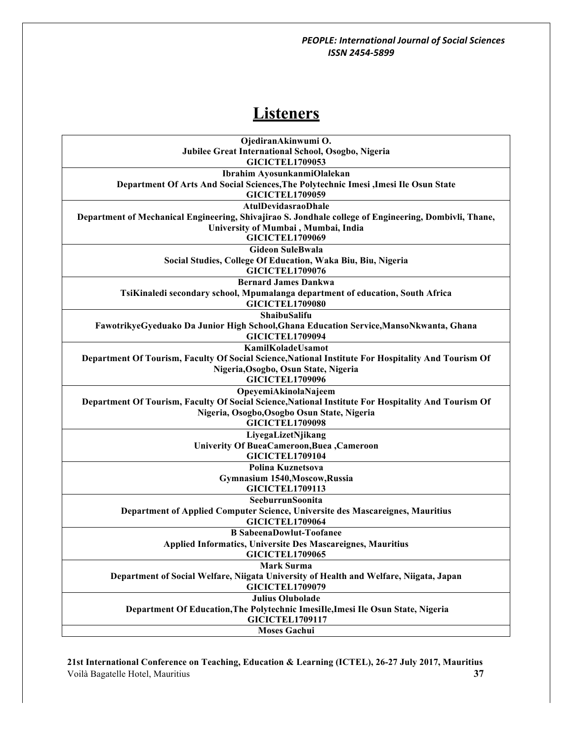# **Listeners**

| OjediranAkinwumi O.                                                                                         |
|-------------------------------------------------------------------------------------------------------------|
| Jubilee Great International School, Osogbo, Nigeria                                                         |
| <b>GICICTEL1709053</b>                                                                                      |
| Ibrahim AyosunkanmiOlalekan                                                                                 |
| Department Of Arts And Social Sciences, The Polytechnic Imesi , Imesi Ile Osun State                        |
| <b>GICICTEL1709059</b>                                                                                      |
| <b>AtulDevidasraoDhale</b>                                                                                  |
| Department of Mechanical Engineering, Shivajirao S. Jondhale college of Engineering, Dombivli, Thane,       |
| University of Mumbai, Mumbai, India                                                                         |
| <b>GICICTEL1709069</b>                                                                                      |
| <b>Gideon SuleBwala</b>                                                                                     |
| Social Studies, College Of Education, Waka Biu, Biu, Nigeria                                                |
| <b>GICICTEL1709076</b>                                                                                      |
| <b>Bernard James Dankwa</b>                                                                                 |
| TsiKinaledi secondary school, Mpumalanga department of education, South Africa<br><b>GICICTEL1709080</b>    |
| ShaibuSalifu                                                                                                |
| FawotrikyeGyeduako Da Junior High School, Ghana Education Service, MansoNkwanta, Ghana                      |
| <b>GICICTEL1709094</b>                                                                                      |
| KamilKoladeUsamot                                                                                           |
| Department Of Tourism, Faculty Of Social Science, National Institute For Hospitality And Tourism Of         |
| Nigeria, Osogbo, Osun State, Nigeria                                                                        |
| <b>GICICTEL1709096</b>                                                                                      |
| OpeyemiAkinolaNajeem                                                                                        |
| Department Of Tourism, Faculty Of Social Science, National Institute For Hospitality And Tourism Of         |
| Nigeria, Osogbo, Osogbo Osun State, Nigeria                                                                 |
| <b>GICICTEL1709098</b>                                                                                      |
| LiyegaLizetNjikang                                                                                          |
| Univerity Of BueaCameroon, Buea, Cameroon                                                                   |
| <b>GICICTEL1709104</b>                                                                                      |
| Polina Kuznetsova                                                                                           |
| Gymnasium 1540, Moscow, Russia                                                                              |
| <b>GICICTEL1709113</b>                                                                                      |
| SeeburrunSoonita                                                                                            |
| Department of Applied Computer Science, Universite des Mascareignes, Mauritius                              |
| <b>GICICTEL1709064</b>                                                                                      |
| <b>B</b> SabeenaDowlut-Toofanee                                                                             |
| Applied Informatics, Universite Des Mascareignes, Mauritius                                                 |
| <b>GICICTEL1709065</b>                                                                                      |
| <b>Mark Surma</b><br>Department of Social Welfare, Niigata University of Health and Welfare, Niigata, Japan |
| <b>GICICTEL1709079</b>                                                                                      |
| <b>Julius Olubolade</b>                                                                                     |
| Department Of Education, The Polytechnic Imesille, Imesi Ile Osun State, Nigeria                            |
| <b>GICICTEL1709117</b>                                                                                      |
| <b>Moses Gachui</b>                                                                                         |
|                                                                                                             |